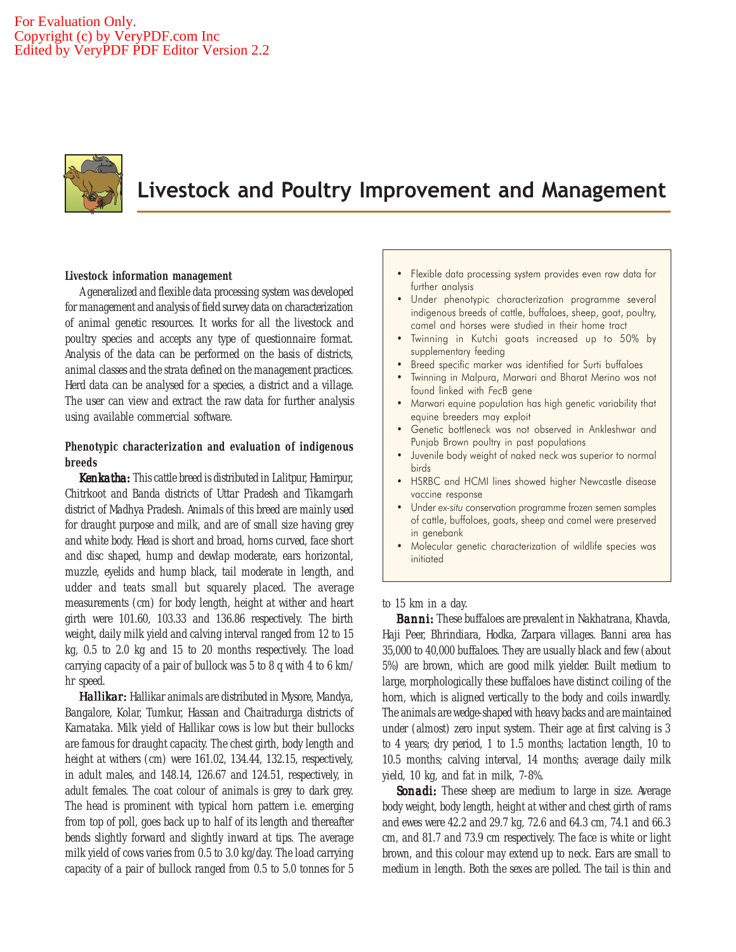

# Livestock and Poultry Improvement and Management

# **Livestock information management**

A generalized and flexible data processing system was developed for management and analysis of field survey data on characterization of animal genetic resources. It works for all the livestock and poultry species and accepts any type of questionnaire format. Analysis of the data can be performed on the basis of districts, animal classes and the strata defined on the management practices. Herd data can be analysed for a species, a district and a village. The user can view and extract the raw data for further analysis using available commercial software.

# **Phenotypic characterization and evaluation of indigenous breeds**

*Kenkatha: Kenkatha:* This cattle breed is distributed in Lalitpur, Hamirpur, Chitrkoot and Banda districts of Uttar Pradesh and Tikamgarh district of Madhya Pradesh. Animals of this breed are mainly used for draught purpose and milk, and are of small size having grey and white body. Head is short and broad, horns curved, face short and disc shaped, hump and dewlap moderate, ears horizontal, muzzle, eyelids and hump black, tail moderate in length, and udder and teats small but squarely placed. The average measurements (cm) for body length, height at wither and heart girth were 101.60, 103.33 and 136.86 respectively. The birth weight, daily milk yield and calving interval ranged from 12 to 15 kg, 0.5 to 2.0 kg and 15 to 20 months respectively. The load carrying capacity of a pair of bullock was 5 to 8 q with 4 to 6 km/ hr speed.

*Hallikar:* Hallikar animals are distributed in Mysore, Mandya, Bangalore, Kolar, Tumkur, Hassan and Chaitradurga districts of Karnataka. Milk yield of Hallikar cows is low but their bullocks are famous for draught capacity. The chest girth, body length and height at withers (cm) were 161.02, 134.44, 132.15, respectively, in adult males, and 148.14, 126.67 and 124.51, respectively, in adult females. The coat colour of animals is grey to dark grey. The head is prominent with typical horn pattern i.e. emerging from top of poll, goes back up to half of its length and thereafter bends slightly forward and slightly inward at tips. The average milk yield of cows varies from 0.5 to 3.0 kg/day. The load carrying capacity of a pair of bullock ranged from 0.5 to 5.0 tonnes for 5

- Flexible data processing system provides even raw data for further analysis
- Under phenotypic characterization programme several indigenous breeds of cattle, buffaloes, sheep, goat, poultry, camel and horses were studied in their home tract
- Twinning in Kutchi goats increased up to 50% by supplementary feeding
- Breed specific marker was identified for Surti buffaloes
- Twinning in Malpura, Marwari and Bharat Merino was not found linked with FecB gene
- Marwari equine population has high genetic variability that equine breeders may exploit
- Genetic bottleneck was not observed in Ankleshwar and Punjab Brown poultry in past populations
- Juvenile body weight of naked neck was superior to normal birds
- HSRBC and HCMI lines showed higher Newcastle disease vaccine response
- Under ex-situ conservation programme frozen semen samples of cattle, buffaloes, goats, sheep and camel were preserved in genebank
- Molecular genetic characterization of wildlife species was initiated

to 15 km in a day.

*Banni:* These buffaloes are prevalent in Nakhatrana, Khavda, Haji Peer, Bhrindiara, Hodka, Zarpara villages. Banni area has 35,000 to 40,000 buffaloes. They are usually black and few (about 5%) are brown, which are good milk yielder. Built medium to large, morphologically these buffaloes have distinct coiling of the horn, which is aligned vertically to the body and coils inwardly. The animals are wedge-shaped with heavy backs and are maintained under (almost) zero input system. Their age at first calving is 3 to 4 years; dry period, 1 to 1.5 months; lactation length, 10 to 10.5 months; calving interval, 14 months; average daily milk yield, 10 kg, and fat in milk, 7-8%.

*Sonadi: Sonadi:* These sheep are medium to large in size. Average body weight, body length, height at wither and chest girth of rams and ewes were 42.2 and 29.7 kg, 72.6 and 64.3 cm, 74.1 and 66.3 cm, and 81.7 and 73.9 cm respectively. The face is white or light brown, and this colour may extend up to neck. Ears are small to medium in length. Both the sexes are polled. The tail is thin and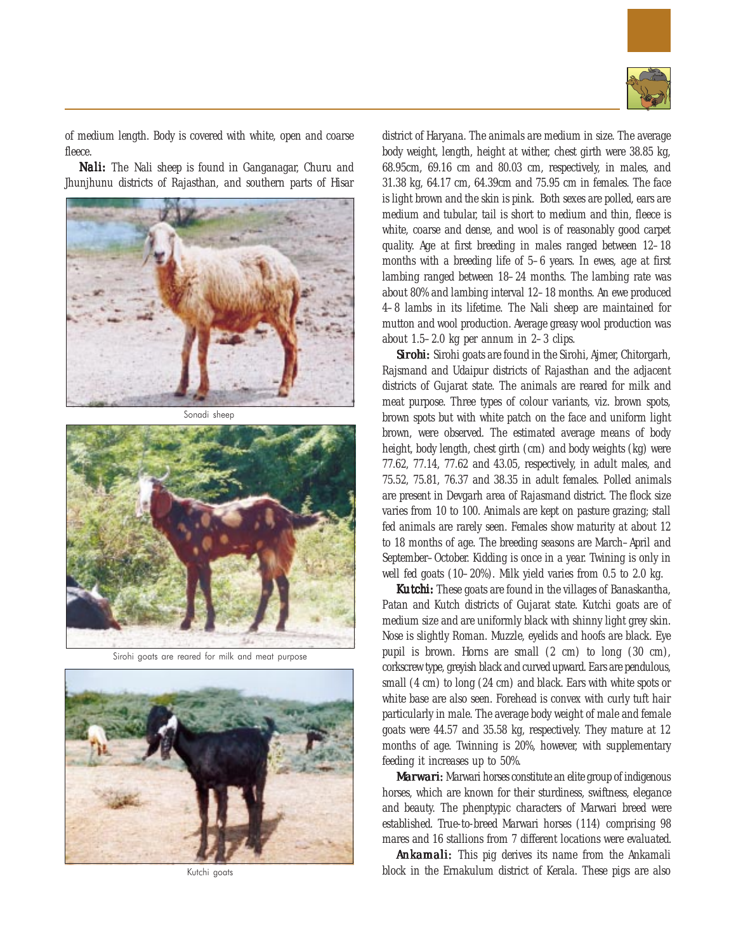

of medium length. Body is covered with white, open and coarse fleece.

*Nali:* The Nali sheep is found in Ganganagar, Churu and Jhunjhunu districts of Rajasthan, and southern parts of Hisar



Sonadi sheep



Sirohi goats are reared for milk and meat purpose



Kutchi goats

district of Haryana. The animals are medium in size. The average body weight, length, height at wither, chest girth were 38.85 kg, 68.95cm, 69.16 cm and 80.03 cm, respectively, in males, and 31.38 kg, 64.17 cm, 64.39cm and 75.95 cm in females. The face is light brown and the skin is pink. Both sexes are polled, ears are medium and tubular, tail is short to medium and thin, fleece is white, coarse and dense, and wool is of reasonably good carpet quality. Age at first breeding in males ranged between 12–18 months with a breeding life of 5–6 years. In ewes, age at first lambing ranged between 18–24 months. The lambing rate was about 80% and lambing interval 12–18 months. An ewe produced 4–8 lambs in its lifetime. The Nali sheep are maintained for mutton and wool production. Average greasy wool production was about 1.5–2.0 kg per annum in 2–3 clips.

*Sirohi: Sirohi:* Sirohi goats are found in the Sirohi, Ajmer, Chitorgarh, Rajsmand and Udaipur districts of Rajasthan and the adjacent districts of Gujarat state. The animals are reared for milk and meat purpose. Three types of colour variants, viz. brown spots, brown spots but with white patch on the face and uniform light brown, were observed. The estimated average means of body height, body length, chest girth (cm) and body weights (kg) were 77.62, 77.14, 77.62 and 43.05, respectively, in adult males, and 75.52, 75.81, 76.37 and 38.35 in adult females. Polled animals are present in Devgarh area of Rajasmand district. The flock size varies from 10 to 100. Animals are kept on pasture grazing; stall fed animals are rarely seen. Females show maturity at about 12 to 18 months of age. The breeding seasons are March–April and September–October. Kidding is once in a year. Twining is only in well fed goats (10–20%). Milk yield varies from 0.5 to 2.0 kg.

*Kutchi: Kutchi:* These goats are found in the villages of Banaskantha, Patan and Kutch districts of Gujarat state. Kutchi goats are of medium size and are uniformly black with shinny light grey skin. Nose is slightly Roman. Muzzle, eyelids and hoofs are black. Eye pupil is brown. Horns are small (2 cm) to long (30 cm), corkscrew type, greyish black and curved upward. Ears are pendulous, small (4 cm) to long (24 cm) and black. Ears with white spots or white base are also seen. Forehead is convex with curly tuft hair particularly in male. The average body weight of male and female goats were 44.57 and 35.58 kg, respectively. They mature at 12 months of age. Twinning is 20%, however, with supplementary feeding it increases up to 50%.

*Marwari:* Marwari horses constitute an elite group of indigenous horses, which are known for their sturdiness, swiftness, elegance and beauty. The phenptypic characters of Marwari breed were established. True-to-breed Marwari horses (114) comprising 98 mares and 16 stallions from 7 different locations were evaluated.

*Ankamali: Ankamali:* This pig derives its name from the Ankamali block in the Ernakulum district of Kerala. These pigs are also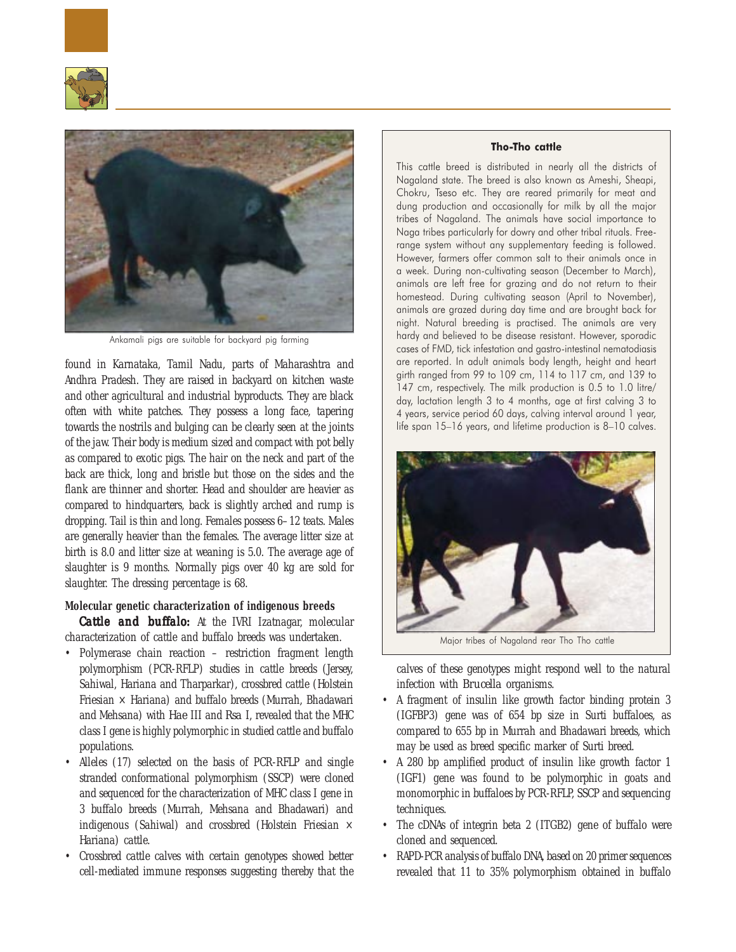



Ankamali pigs are suitable for backyard pig farming

found in Karnataka, Tamil Nadu, parts of Maharashtra and Andhra Pradesh. They are raised in backyard on kitchen waste and other agricultural and industrial byproducts. They are black often with white patches. They possess a long face, tapering towards the nostrils and bulging can be clearly seen at the joints of the jaw. Their body is medium sized and compact with pot belly as compared to exotic pigs. The hair on the neck and part of the back are thick, long and bristle but those on the sides and the flank are thinner and shorter. Head and shoulder are heavier as compared to hindquarters, back is slightly arched and rump is dropping. Tail is thin and long. Females possess 6–12 teats. Males are generally heavier than the females. The average litter size at birth is 8.0 and litter size at weaning is 5.0. The average age of slaughter is 9 months. Normally pigs over 40 kg are sold for slaughter. The dressing percentage is 68.

## **Molecular genetic characterization of indigenous breeds**

*Cattle and buffalo:* At the IVRI Izatnagar, molecular characterization of cattle and buffalo breeds was undertaken.

- Polymerase chain reaction restriction fragment length polymorphism (PCR-RFLP) studies in cattle breeds (Jersey, Sahiwal, Hariana and Tharparkar), crossbred cattle (Holstein Friesian  $\times$  Hariana) and buffalo breeds (Murrah, Bhadawari and Mehsana) with *Hae* III and *Rsa* I, revealed that the MHC class I gene is highly polymorphic in studied cattle and buffalo populations.
- Alleles (17) selected on the basis of PCR-RFLP and single stranded conformational polymorphism (SSCP) were cloned and sequenced for the characterization of MHC class I gene in 3 buffalo breeds (Murrah, Mehsana and Bhadawari) and indigenous (Sahiwal) and crossbred (Holstein Friesian  $\times$ Hariana) cattle.
- Crossbred cattle calves with certain genotypes showed better cell-mediated immune responses suggesting thereby that the

# Tho-Tho cattle

This cattle breed is distributed in nearly all the districts of Nagaland state. The breed is also known as Ameshi, Sheapi, Chokru, Tseso etc. They are reared primarily for meat and dung production and occasionally for milk by all the major tribes of Nagaland. The animals have social importance to Naga tribes particularly for dowry and other tribal rituals. Freerange system without any supplementary feeding is followed. However, farmers offer common salt to their animals once in a week. During non-cultivating season (December to March), animals are left free for grazing and do not return to their homestead. During cultivating season (April to November), animals are grazed during day time and are brought back for night. Natural breeding is practised. The animals are very hardy and believed to be disease resistant. However, sporadic cases of FMD, tick infestation and gastro-intestinal nematodiasis are reported. In adult animals body length, height and heart girth ranged from 99 to 109 cm, 114 to 117 cm, and 139 to 147 cm, respectively. The milk production is 0.5 to 1.0 litre/ day, lactation length 3 to 4 months, age at first calving 3 to 4 years, service period 60 days, calving interval around 1 year, life span 15–16 years, and lifetime production is 8–10 calves.



calves of these genotypes might respond well to the natural infection with *Brucella* organisms.

- A fragment of insulin like growth factor binding protein 3 (IGFBP3) gene was of 654 bp size in Surti buffaloes, as compared to 655 bp in Murrah and Bhadawari breeds, which may be used as breed specific marker of Surti breed.
- A 280 bp amplified product of insulin like growth factor 1 (IGF1) gene was found to be polymorphic in goats and monomorphic in buffaloes by PCR-RFLP, SSCP and sequencing techniques.
- The cDNAs of integrin beta 2 (ITGB2) gene of buffalo were cloned and sequenced.
- RAPD-PCR analysis of buffalo DNA, based on 20 primer sequences revealed that 11 to 35% polymorphism obtained in buffalo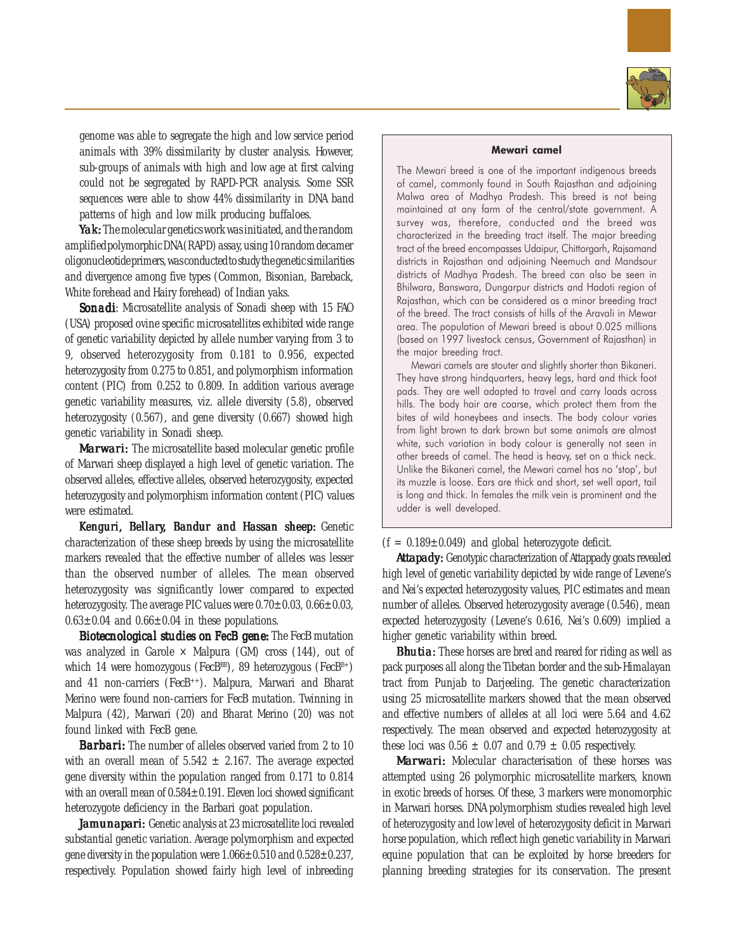

genome was able to segregate the high and low service period animals with 39% dissimilarity by cluster analysis. However, sub-groups of animals with high and low age at first calving could not be segregated by RAPD-PCR analysis. Some SSR sequences were able to show 44% dissimilarity in DNA band patterns of high and low milk producing buffaloes.

*Yak:* The molecular genetics work was initiated, and the random amplified polymorphic DNA (RAPD) assay, using 10 random decamer oligonucleotide primers, was conducted to study the genetic similarities and divergence among five types (Common, Bisonian, Bareback, White forehead and Hairy forehead) of Indian yaks.

**Sonadi:** Microsatellite analysis of Sonadi sheep with 15 FAO (USA) proposed ovine specific microsatellites exhibited wide range of genetic variability depicted by allele number varying from 3 to 9, observed heterozygosity from 0.181 to 0.956, expected heterozygosity from 0.275 to 0.851, and polymorphism information content (PIC) from 0.252 to 0.809. In addition various average genetic variability measures, viz. allele diversity (5.8), observed heterozygosity (0.567), and gene diversity (0.667) showed high genetic variability in Sonadi sheep.

*Marwari:* The microsatellite based molecular genetic profile of Marwari sheep displayed a high level of genetic variation. The observed alleles, effective alleles, observed heterozygosity, expected heterozygosity and polymorphism information content (PIC) values were estimated.

Kenguri, Bellary, Bandur and Hassan sheep: Genetic characterization of these sheep breeds by using the microsatellite markers revealed that the effective number of alleles was lesser than the observed number of alleles. The mean observed heterozygosity was significantly lower compared to expected heterozygosity. The average PIC values were  $0.70\pm0.03$ ,  $0.66\pm0.03$ ,  $0.63\pm0.04$  and  $0.66\pm0.04$  in these populations.

**Biotecnological studies on FecB gene:** The *FecB* mutation was analyzed in Garole  $\times$  Malpura (GM) cross (144), out of which 14 were homozygous (*Fec*B<sup>BB</sup>), 89 heterozygous (*Fec*B<sup>B+</sup>) and 41 non-carriers (*Fec*B++). Malpura, Marwari and Bharat Merino were found non-carriers for *Fec*B mutation. Twinning in Malpura (42), Marwari (20) and Bharat Merino (20) was not found linked with *Fec*B gene.

*Barbari:* The number of alleles observed varied from 2 to 10 with an overall mean of  $5.542 \pm 2.167$ . The average expected gene diversity within the population ranged from 0.171 to 0.814 with an overall mean of 0.584±0.191. Eleven loci showed significant heterozygote deficiency in the Barbari goat population.

Jamunapari: Genetic analysis at 23 microsatellite loci revealed substantial genetic variation. Average polymorphism and expected gene diversity in the population were  $1.066 \pm 0.510$  and  $0.528 \pm 0.237$ , respectively. Population showed fairly high level of inbreeding

#### Mewari camel

The Mewari breed is one of the important indigenous breeds of camel, commonly found in South Rajasthan and adjoining Malwa area of Madhya Pradesh. This breed is not being maintained at any farm of the central/state government. A survey was, therefore, conducted and the breed was characterized in the breeding tract itself. The major breeding tract of the breed encompasses Udaipur, Chittorgarh, Rajsamand districts in Rajasthan and adjoining Neemuch and Mandsour districts of Madhya Pradesh. The breed can also be seen in Bhilwara, Banswara, Dungarpur districts and Hadoti region of Rajasthan, which can be considered as a minor breeding tract of the breed. The tract consists of hills of the Aravali in Mewar area. The population of Mewari breed is about 0.025 millions (based on 1997 livestock census, Government of Rajasthan) in the major breeding tract.

Mewari camels are stouter and slightly shorter than Bikaneri. They have strong hindquarters, heavy legs, hard and thick foot pads. They are well adapted to travel and carry loads across hills. The body hair are coarse, which protect them from the bites of wild honeybees and insects. The body colour varies from light brown to dark brown but some animals are almost white, such variation in body colour is generally not seen in other breeds of camel. The head is heavy, set on a thick neck. Unlike the Bikaneri camel, the Mewari camel has no 'stop', but its muzzle is loose. Ears are thick and short, set well apart, tail is long and thick. In females the milk vein is prominent and the udder is well developed.

## $(f = 0.189 \pm 0.049)$  and global heterozygote deficit.

**Attapady:** Genotypic characterization of Attappady goats revealed high level of genetic variability depicted by wide range of Levene's and Nei's expected heterozygosity values, PIC estimates and mean number of alleles. Observed heterozygosity average (0.546), mean expected heterozygosity (Levene's 0.616, Nei's 0.609) implied a higher genetic variability within breed.

*Bhutia:* These horses are bred and reared for riding as well as pack purposes all along the Tibetan border and the sub-Himalayan tract from Punjab to Darjeeling. The genetic characterization using 25 microsatellite markers showed that the mean observed and effective numbers of alleles at all loci were 5.64 and 4.62 respectively. The mean observed and expected heterozygosity at these loci was  $0.56 \pm 0.07$  and  $0.79 \pm 0.05$  respectively.

*Marwari: Marwari:* Molecular characterisation of these horses was attempted using 26 polymorphic microsatellite markers, known in exotic breeds of horses. Of these, 3 markers were monomorphic in Marwari horses. DNA polymorphism studies revealed high level of heterozygosity and low level of heterozygosity deficit in Marwari horse population, which reflect high genetic variability in Marwari equine population that can be exploited by horse breeders for planning breeding strategies for its conservation. The present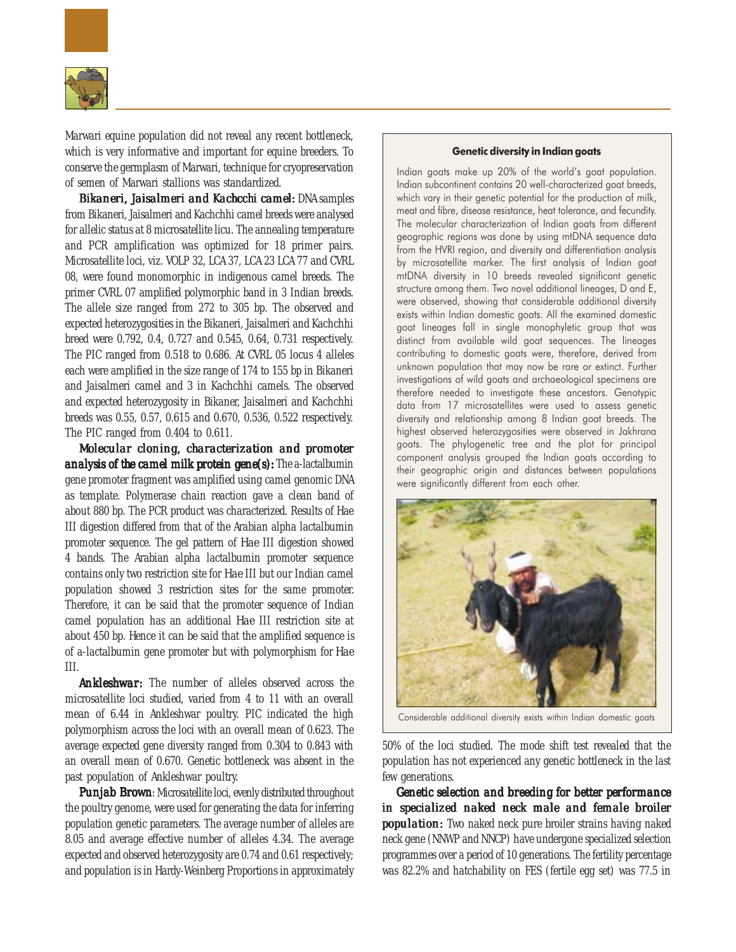

Marwari equine population did not reveal any recent bottleneck, which is very informative and important for equine breeders. To conserve the germplasm of Marwari, technique for cryopreservation of semen of Marwari stallions was standardized.

*Bikaneri, Jaisalmeri and Kachcchi camel: Jaisalmeri and Kachcchi camel:* DNA samples from Bikaneri, Jaisalmeri and Kachchhi camel breeds were analysed for allelic status at 8 microsatellite licu. The annealing temperature and PCR amplification was optimized for 18 primer pairs. Microsatellite loci, viz. VOLP 32, LCA 37, LCA 23 LCA 77 and CVRL 08, were found monomorphic in indigenous camel breeds. The primer CVRL 07 amplified polymorphic band in 3 Indian breeds. The allele size ranged from 272 to 305 bp. The observed and expected heterozygosities in the Bikaneri, Jaisalmeri and Kachchhi breed were 0.792, 0.4, 0.727 and 0.545, 0.64, 0.731 respectively. The PIC ranged from 0.518 to 0.686. At CVRL 05 locus 4 alleles each were amplified in the size range of 174 to 155 bp in Bikaneri and Jaisalmeri camel and 3 in Kachchhi camels. The observed and expected heterozygosity in Bikaner, Jaisalmeri and Kachchhi breeds was 0.55, 0.57, 0.615 and 0.670, 0.536, 0.522 respectively. The PIC ranged from 0.404 to 0.611.

*Molecular cloning, characterization and promoter cloning, and promoter analysis of the camel milk protein gene(s):* The a-lactalbumin gene promoter fragment was amplified using camel genomic DNA as template. Polymerase chain reaction gave a clean band of about 880 bp. The PCR product was characterized. Results of Hae III digestion differed from that of the Arabian alpha lactalbumin promoter sequence. The gel pattern of *Hae* III digestion showed 4 bands. The Arabian alpha lactalbumin promoter sequence contains only two restriction site for *Hae* III but our Indian camel population showed 3 restriction sites for the same promoter. Therefore, it can be said that the promoter sequence of Indian camel population has an additional *Hae* III restriction site at about 450 bp. Hence it can be said that the amplified sequence is of a-lactalbumin gene promoter but with polymorphism for *Hae* III.

*Ankleshwar: Ankleshwar:* The number of alleles observed across the microsatellite loci studied, varied from 4 to 11 with an overall mean of 6.44 in Ankleshwar poultry. PIC indicated the high polymorphism across the loci with an overall mean of 0.623. The average expected gene diversity ranged from 0.304 to 0.843 with an overall mean of 0.670. Genetic bottleneck was absent in the past population of Ankleshwar poultry.

**Punjab Brown:** Microsatellite loci, evenly distributed throughout the poultry genome, were used for generating the data for inferring population genetic parameters. The average number of alleles are 8.05 and average effective number of alleles 4.34. The average expected and observed heterozygosity are 0.74 and 0.61 respectively; and population is in Hardy-Weinberg Proportions in approximately

## Genetic diversity in Indian goats

Indian goats make up 20% of the world's goat population. Indian subcontinent contains 20 well-characterized goat breeds, which vary in their genetic potential for the production of milk, meat and fibre, disease resistance, heat tolerance, and fecundity. The molecular characterization of Indian goats from different geographic regions was done by using mtDNA sequence data from the HVRI region, and diversity and differentiation analysis by microsatellite marker. The first analysis of Indian goat mtDNA diversity in 10 breeds revealed significant genetic structure among them. Two novel additional lineages, D and E, were observed, showing that considerable additional diversity exists within Indian domestic goats. All the examined domestic goat lineages fall in single monophyletic group that was distinct from available wild goat sequences. The lineages contributing to domestic goats were, therefore, derived from unknown population that may now be rare or extinct. Further investigations of wild goats and archaeological specimens are therefore needed to investigate these ancestors. Genotypic data from 17 microsatellites were used to assess genetic diversity and relationship among 8 Indian goat breeds. The highest observed heterozygosities were observed in Jakhrana goats. The phylogenetic tree and the plot for principal component analysis grouped the Indian goats according to their geographic origin and distances between populations were significantly different from each other.



Considerable additional diversity exists within Indian domestic goats

50% of the loci studied. The mode shift test revealed that the population has not experienced any genetic bottleneck in the last few generations.

*Genetic selection and breeding for better performance selection and breeding in specialized naked neck male and female broiler neck male female broiler population:* Two naked neck pure broiler strains having naked neck gene (NNWP and NNCP) have undergone specialized selection programmes over a period of 10 generations. The fertility percentage was 82.2% and hatchability on FES (fertile egg set) was 77.5 in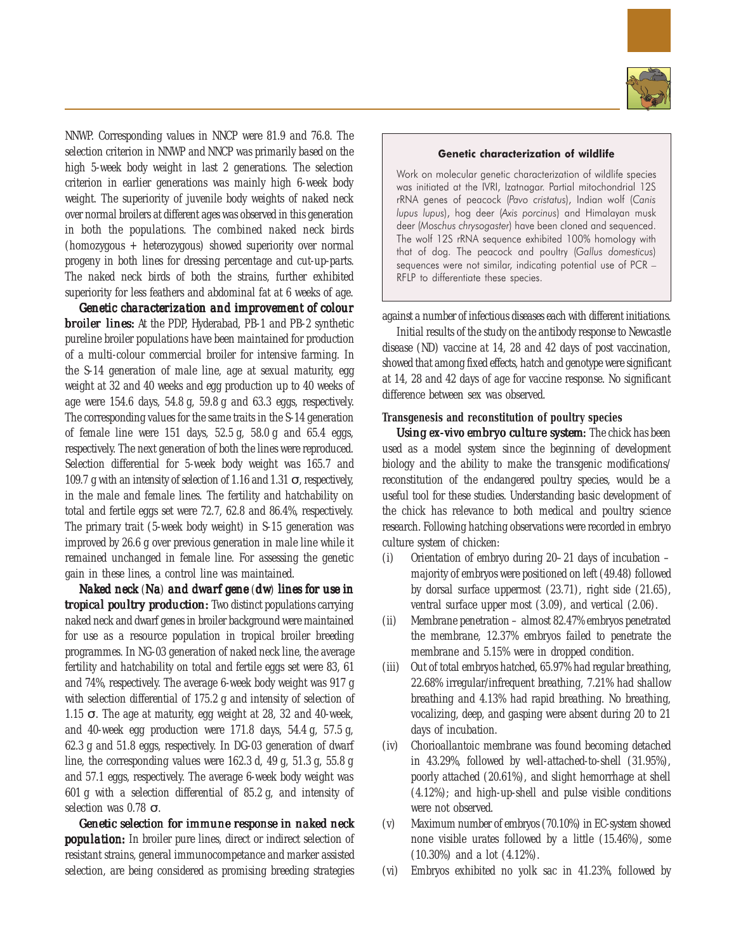

NNWP. Corresponding values in NNCP were 81.9 and 76.8. The selection criterion in NNWP and NNCP was primarily based on the high 5-week body weight in last 2 generations. The selection criterion in earlier generations was mainly high 6-week body weight. The superiority of juvenile body weights of naked neck over normal broilers at different ages was observed in this generation in both the populations. The combined naked neck birds (homozygous + heterozygous) showed superiority over normal progeny in both lines for dressing percentage and cut-up-parts. The naked neck birds of both the strains, further exhibited superiority for less feathers and abdominal fat at 6 weeks of age.

*Genetic characterization and improvement of colour characterization improvement broiler lines: broiler lines:* At the PDP, Hyderabad, PB-1 and PB-2 synthetic pureline broiler populations have been maintained for production of a multi-colour commercial broiler for intensive farming. In the S-14 generation of male line, age at sexual maturity, egg weight at 32 and 40 weeks and egg production up to 40 weeks of age were 154.6 days, 54.8 g, 59.8 g and 63.3 eggs, respectively. The corresponding values for the same traits in the S-14 generation of female line were 151 days, 52.5 g, 58.0 g and 65.4 eggs, respectively. The next generation of both the lines were reproduced. Selection differential for 5-week body weight was 165.7 and 109.7 g with an intensity of selection of 1.16 and 1.31  $\sigma$ , respectively, in the male and female lines. The fertility and hatchability on total and fertile eggs set were 72.7, 62.8 and 86.4%, respectively. The primary trait (5-week body weight) in S-15 generation was improved by 26.6 g over previous generation in male line while it remained unchanged in female line. For assessing the genetic gain in these lines, a control line was maintained.

*Naked neck* (*Na*) and dwarf gene (*dw*) lines for use in *tropical poultry production:* Two distinct populations carrying naked neck and dwarf genes in broiler background were maintained for use as a resource population in tropical broiler breeding programmes. In NG-03 generation of naked neck line, the average fertility and hatchability on total and fertile eggs set were 83, 61 and 74%, respectively. The average 6-week body weight was 917 g with selection differential of 175.2 g and intensity of selection of 1.15  $\sigma$ . The age at maturity, egg weight at 28, 32 and 40-week, and 40-week egg production were 171.8 days, 54.4 g, 57.5 g, 62.3 g and 51.8 eggs, respectively. In DG-03 generation of dwarf line, the corresponding values were 162.3 d, 49 g, 51.3 g, 55.8 g and 57.1 eggs, respectively. The average 6-week body weight was 601 g with a selection differential of 85.2 g, and intensity of selection was 0.78 σ.

*Genetic selection for immune response in naked neck* **population:** In broiler pure lines, direct or indirect selection of resistant strains, general immunocompetance and marker assisted selection, are being considered as promising breeding strategies

#### Genetic characterization of wildlife

Work on molecular genetic characterization of wildlife species was initiated at the IVRI, Izatnagar. Partial mitochondrial 12S rRNA genes of peacock (Pavo cristatus), Indian wolf (Canis lupus lupus), hog deer (Axis porcinus) and Himalayan musk deer (Moschus chrysogaster) have been cloned and sequenced. The wolf 12S rRNA sequence exhibited 100% homology with that of dog. The peacock and poultry (Gallus domesticus) sequences were not similar, indicating potential use of PCR – RFLP to differentiate these species.

against a number of infectious diseases each with different initiations.

Initial results of the study on the antibody response to Newcastle disease (ND) vaccine at 14, 28 and 42 days of post vaccination, showed that among fixed effects, hatch and genotype were significant at 14, 28 and 42 days of age for vaccine response. No significant difference between sex was observed.

# **Transgenesis and reconstitution of poultry species**

*Using* ex-vivo *embryo culture system*: The chick has been used as a model system since the beginning of development biology and the ability to make the transgenic modifications/ reconstitution of the endangered poultry species, would be a useful tool for these studies. Understanding basic development of the chick has relevance to both medical and poultry science research. Following hatching observations were recorded in embryo culture system of chicken:

- (i) Orientation of embryo during 20–21 days of incubation majority of embryos were positioned on left (49.48) followed by dorsal surface uppermost (23.71), right side (21.65), ventral surface upper most (3.09), and vertical (2.06).
- (ii) Membrane penetration almost 82.47% embryos penetrated the membrane, 12.37% embryos failed to penetrate the membrane and 5.15% were in dropped condition.
- (iii) Out of total embryos hatched, 65.97% had regular breathing, 22.68% irregular/infrequent breathing, 7.21% had shallow breathing and 4.13% had rapid breathing. No breathing, vocalizing, deep, and gasping were absent during 20 to 21 days of incubation.
- (iv) Chorioallantoic membrane was found becoming detached in 43.29%, followed by well-attached-to-shell (31.95%), poorly attached (20.61%), and slight hemorrhage at shell (4.12%); and high-up-shell and pulse visible conditions were not observed.
- (v) Maximum number of embryos (70.10%) in EC-system showed none visible urates followed by a little (15.46%), some (10.30%) and a lot (4.12%).
- (vi) Embryos exhibited no yolk sac in 41.23%, followed by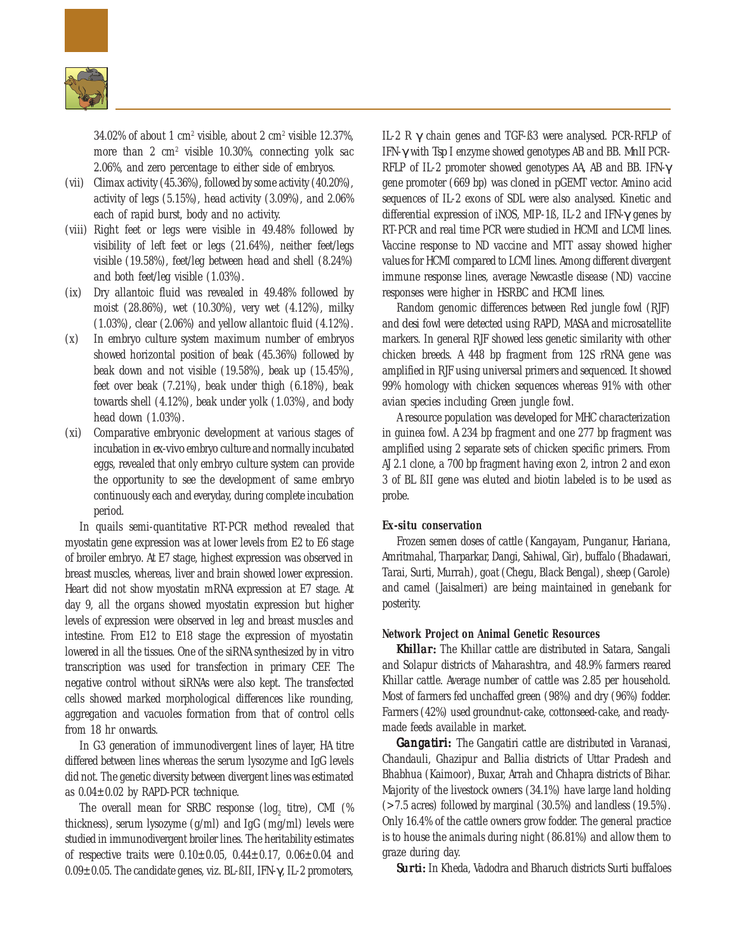

34.02% of about 1 cm2 visible, about 2 cm2 visible 12.37%, more than 2 cm<sup>2</sup> visible 10.30%, connecting yolk sac 2.06%, and zero percentage to either side of embryos.

- (vii) Climax activity (45.36%), followed by some activity (40.20%), activity of legs (5.15%), head activity (3.09%), and 2.06% each of rapid burst, body and no activity.
- (viii) Right feet or legs were visible in 49.48% followed by visibility of left feet or legs (21.64%), neither feet/legs visible (19.58%), feet/leg between head and shell (8.24%) and both feet/leg visible (1.03%).
- (ix) Dry allantoic fluid was revealed in 49.48% followed by moist (28.86%), wet (10.30%), very wet (4.12%), milky (1.03%), clear (2.06%) and yellow allantoic fluid (4.12%).
- (x) In embryo culture system maximum number of embryos showed horizontal position of beak (45.36%) followed by beak down and not visible (19.58%), beak up (15.45%), feet over beak (7.21%), beak under thigh (6.18%), beak towards shell (4.12%), beak under yolk (1.03%), and body head down (1.03%).
- (xi) Comparative embryonic development at various stages of incubation in *ex-vivo* embryo culture and normally incubated eggs, revealed that only embryo culture system can provide the opportunity to see the development of same embryo continuously each and everyday, during complete incubation period.

In quails semi-quantitative RT-PCR method revealed that myostatin gene expression was at lower levels from E2 to E6 stage of broiler embryo. At E7 stage, highest expression was observed in breast muscles, whereas, liver and brain showed lower expression. Heart did not show myostatin mRNA expression at E7 stage. At day 9, all the organs showed myostatin expression but higher levels of expression were observed in leg and breast muscles and intestine. From E12 to E18 stage the expression of myostatin lowered in all the tissues. One of the siRNA synthesized by *in vitro* transcription was used for transfection in primary CEF. The negative control without siRNAs were also kept. The transfected cells showed marked morphological differences like rounding, aggregation and vacuoles formation from that of control cells from 18 hr onwards.

In G3 generation of immunodivergent lines of layer, HA titre differed between lines whereas the serum lysozyme and IgG levels did not. The genetic diversity between divergent lines was estimated as 0.04±0.02 by RAPD-PCR technique.

The overall mean for SRBC response  $(log_{2}$  titre), CMI (% thickness), serum lysozyme (g/ml) and IgG (mg/ml) levels were studied in immunodivergent broiler lines. The heritability estimates of respective traits were  $0.10 \pm 0.05$ ,  $0.44 \pm 0.17$ ,  $0.06 \pm 0.04$  and 0.09±0.05. The candidate genes, viz. BL-ßII, IFN-γ, IL-2 promoters, IL-2 R γ chain genes and TGF-ß3 were analysed. PCR-RFLP of IFN-γ with *Tsp* I enzyme showed genotypes AB and BB. *MnlI* PCR-RFLP of IL-2 promoter showed genotypes AA, AB and BB. IFN-γ gene promoter (669 bp) was cloned in pGEMT vector. Amino acid sequences of IL-2 exons of SDL were also analysed. Kinetic and differential expression of iNOS, MIP-1ß, IL-2 and IFN-γ genes by RT-PCR and real time PCR were studied in HCMI and LCMI lines. Vaccine response to ND vaccine and MTT assay showed higher values for HCMI compared to LCMI lines. Among different divergent immune response lines, average Newcastle disease (ND) vaccine responses were higher in HSRBC and HCMI lines.

Random genomic differences between Red jungle fowl (RJF) and *desi* fowl were detected using RAPD, MASA and microsatellite markers. In general RJF showed less genetic similarity with other chicken breeds. A 448 bp fragment from 12S rRNA gene was amplified in RJF using universal primers and sequenced. It showed 99% homology with chicken sequences whereas 91% with other avian species including Green jungle fowl.

A resource population was developed for MHC characterization in guinea fowl. A 234 bp fragment and one 277 bp fragment was amplified using 2 separate sets of chicken specific primers. From AJ 2.1 clone, a 700 bp fragment having exon 2, intron 2 and exon 3 of BL ßII gene was eluted and biotin labeled is to be used as probe.

# *Ex-situ* **conservation**

Frozen semen doses of cattle (Kangayam, Punganur, Hariana, Amritmahal, Tharparkar, Dangi, Sahiwal, Gir), buffalo (Bhadawari, Tarai, Surti, Murrah), goat (Chegu, Black Bengal), sheep (Garole) and camel (Jaisalmeri) are being maintained in genebank for posterity.

## **Network Project on Animal Genetic Resources**

*Khillar:* The Khillar cattle are distributed in Satara, Sangali and Solapur districts of Maharashtra, and 48.9% farmers reared Khillar cattle. Average number of cattle was 2.85 per household. Most of farmers fed unchaffed green (98%) and dry (96%) fodder. Farmers (42%) used groundnut-cake, cottonseed-cake, and readymade feeds available in market.

*Gangatiri:* The Gangatiri cattle are distributed in Varanasi, Chandauli, Ghazipur and Ballia districts of Uttar Pradesh and Bhabhua (Kaimoor), Buxar, Arrah and Chhapra districts of Bihar. Majority of the livestock owners (34.1%) have large land holding (>7.5 acres) followed by marginal (30.5%) and landless (19.5%). Only 16.4% of the cattle owners grow fodder. The general practice is to house the animals during night (86.81%) and allow them to graze during day.

*Surti:* In Kheda, Vadodra and Bharuch districts Surti buffaloes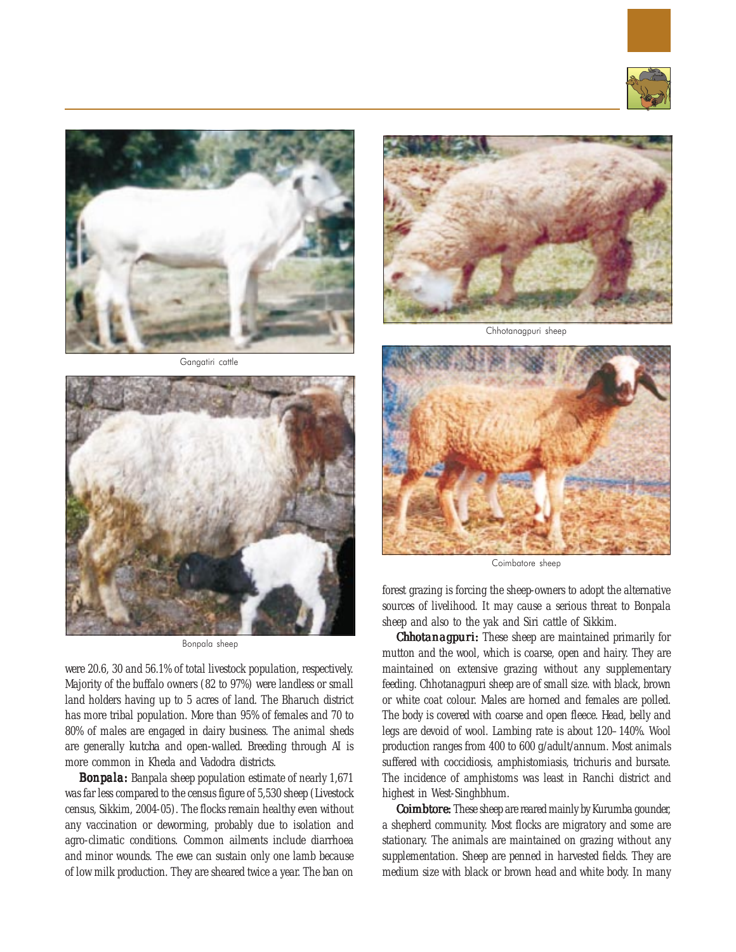



Gangatiri cattle



Bonpala sheep

were 20.6, 30 and 56.1% of total livestock population, respectively. Majority of the buffalo owners (82 to 97%) were landless or small land holders having up to 5 acres of land. The Bharuch district has more tribal population. More than 95% of females and 70 to 80% of males are engaged in dairy business. The animal sheds are generally *kutcha* and open-walled. Breeding through AI is more common in Kheda and Vadodra districts.

*Bonpala:* Banpala sheep population estimate of nearly 1,671 was far less compared to the census figure of 5,530 sheep (Livestock census, Sikkim, 2004-05). The flocks remain healthy even without any vaccination or deworming, probably due to isolation and agro-climatic conditions. Common ailments include diarrhoea and minor wounds. The ewe can sustain only one lamb because of low milk production. They are sheared twice a year. The ban on



Chhotanagpuri sheep



Coimbatore sheep

forest grazing is forcing the sheep-owners to adopt the alternative sources of livelihood. It may cause a serious threat to Bonpala sheep and also to the yak and Siri cattle of Sikkim.

*Chhotanagpuri:* These sheep are maintained primarily for mutton and the wool, which is coarse, open and hairy. They are maintained on extensive grazing without any supplementary feeding. Chhotanagpuri sheep are of small size. with black, brown or white coat colour. Males are horned and females are polled. The body is covered with coarse and open fleece. Head, belly and legs are devoid of wool. Lambing rate is about 120–140%. Wool production ranges from 400 to 600 g/adult/annum. Most animals suffered with coccidiosis, amphistomiasis, trichuris and bursate. The incidence of amphistoms was least in Ranchi district and highest in West-Singhbhum.

*Coimbtore:* These sheep are reared mainly by Kurumba gounder, a shepherd community. Most flocks are migratory and some are stationary. The animals are maintained on grazing without any supplementation. Sheep are penned in harvested fields. They are medium size with black or brown head and white body. In many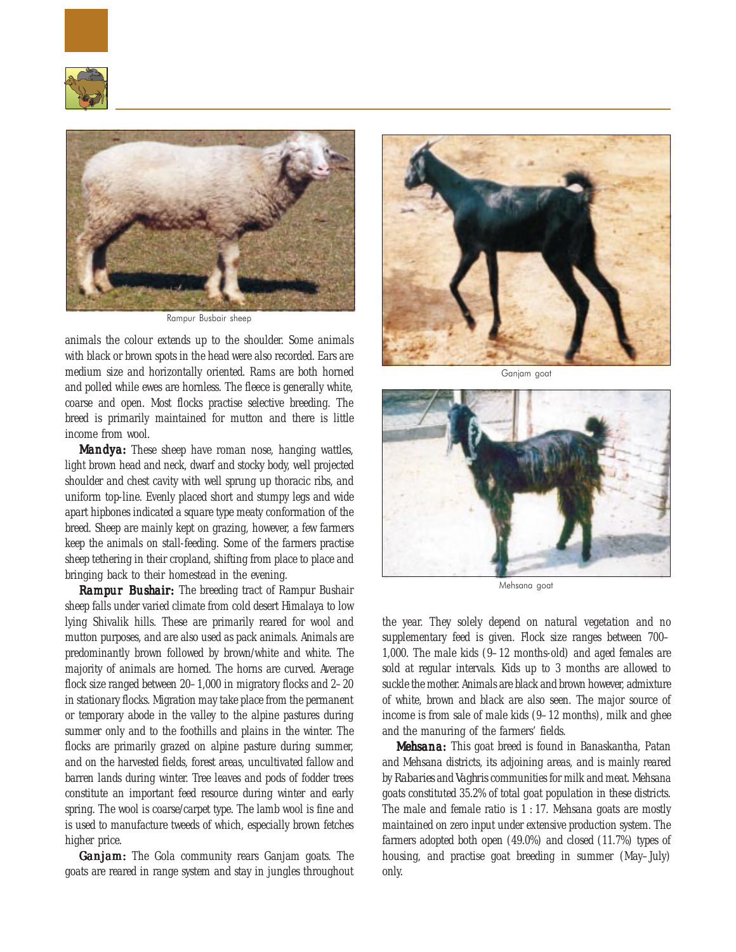



Rampur Busbair sheep

animals the colour extends up to the shoulder. Some animals with black or brown spots in the head were also recorded. Ears are medium size and horizontally oriented. Rams are both horned and polled while ewes are hornless. The fleece is generally white, coarse and open. Most flocks practise selective breeding. The breed is primarily maintained for mutton and there is little income from wool.

*Mandya: Mandya:* These sheep have roman nose, hanging wattles, light brown head and neck, dwarf and stocky body, well projected shoulder and chest cavity with well sprung up thoracic ribs, and uniform top-line. Evenly placed short and stumpy legs and wide apart hipbones indicated a square type meaty conformation of the breed. Sheep are mainly kept on grazing, however, a few farmers keep the animals on stall-feeding. Some of the farmers practise sheep tethering in their cropland, shifting from place to place and bringing back to their homestead in the evening.

*Rampur Bushair: Bushair: Bushair:* The breeding tract of Rampur Bushair sheep falls under varied climate from cold desert Himalaya to low lying Shivalik hills. These are primarily reared for wool and mutton purposes, and are also used as pack animals. Animals are predominantly brown followed by brown/white and white. The majority of animals are horned. The horns are curved. Average flock size ranged between 20–1,000 in migratory flocks and 2–20 in stationary flocks. Migration may take place from the permanent or temporary abode in the valley to the alpine pastures during summer only and to the foothills and plains in the winter. The flocks are primarily grazed on alpine pasture during summer, and on the harvested fields, forest areas, uncultivated fallow and barren lands during winter. Tree leaves and pods of fodder trees constitute an important feed resource during winter and early spring. The wool is coarse/carpet type. The lamb wool is fine and is used to manufacture tweeds of which, especially brown fetches higher price.

*Ganjam:* The Gola community rears Ganjam goats. The goats are reared in range system and stay in jungles throughout



Ganjam goat



Mehsana goat

the year. They solely depend on natural vegetation and no supplementary feed is given. Flock size ranges between 700– 1,000. The male kids (9–12 months-old) and aged females are sold at regular intervals. Kids up to 3 months are allowed to suckle the mother. Animals are black and brown however, admixture of white, brown and black are also seen. The major source of income is from sale of male kids (9–12 months), milk and ghee and the manuring of the farmers' fields.

*Mehsana: Mehsana:* This goat breed is found in Banaskantha, Patan and Mehsana districts, its adjoining areas, and is mainly reared by *Rabaries* and *Vaghris* communities for milk and meat. Mehsana goats constituted 35.2% of total goat population in these districts. The male and female ratio is  $1:17$ . Mehsana goats are mostly maintained on zero input under extensive production system. The farmers adopted both open (49.0%) and closed (11.7%) types of housing, and practise goat breeding in summer (May–July) only.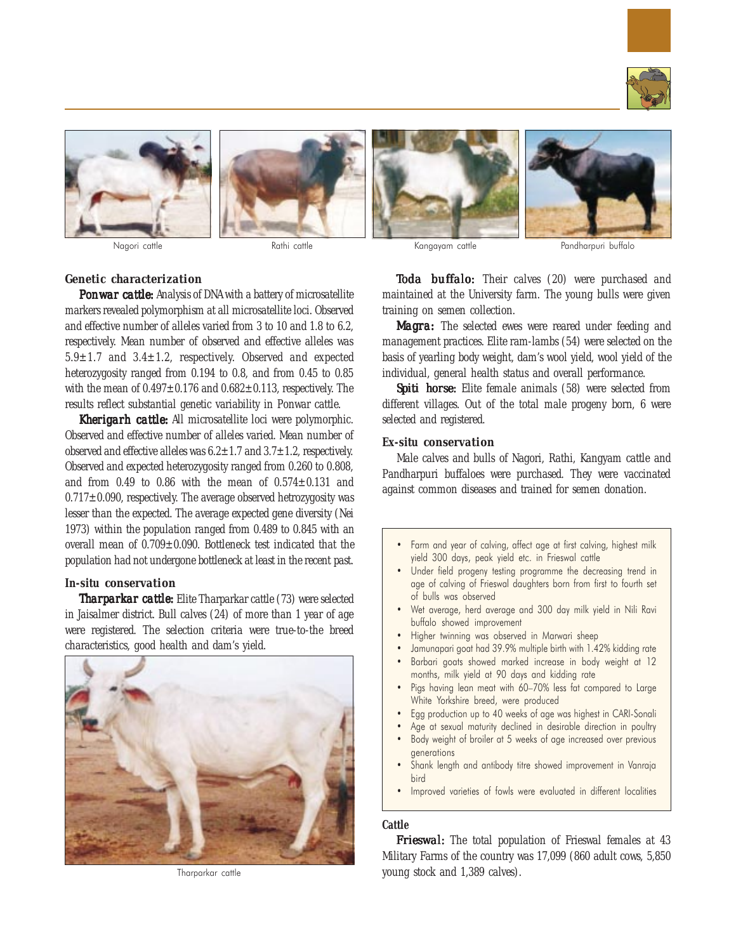











Nagori cattle **Rathi cattle Rathi cattle Rathi cattle** Kangayam cattle Randharpuri buffalo

# *Genetic characterization*

*Ponwar cattle:* Analysis of DNA with a battery of microsatellite markers revealed polymorphism at all microsatellite loci. Observed and effective number of alleles varied from 3 to 10 and 1.8 to 6.2, respectively. Mean number of observed and effective alleles was 5.9±1.7 and 3.4±1.2, respectively. Observed and expected heterozygosity ranged from 0.194 to 0.8, and from 0.45 to 0.85 with the mean of  $0.497 \pm 0.176$  and  $0.682 \pm 0.113$ , respectively. The results reflect substantial genetic variability in Ponwar cattle.

*Kherigarh cattle:* All microsatellite loci were polymorphic. Observed and effective number of alleles varied. Mean number of observed and effective alleles was  $6.2 \pm 1.7$  and  $3.7 \pm 1.2$ , respectively. Observed and expected heterozygosity ranged from 0.260 to 0.808, and from  $0.49$  to  $0.86$  with the mean of  $0.574 \pm 0.131$  and  $0.717\pm0.090$ , respectively. The average observed hetrozygosity was lesser than the expected. The average expected gene diversity (Nei 1973) within the population ranged from 0.489 to 0.845 with an overall mean of 0.709±0.090. Bottleneck test indicated that the population had not undergone bottleneck at least in the recent past.

# **In-situ** *conservation*

*Tharparkar cattle: cattle:* Elite Tharparkar cattle (73) were selected in Jaisalmer district. Bull calves (24) of more than 1 year of age were registered. The selection criteria were true-to-the breed characteristics, good health and dam's yield.



Tharparkar cattle

*Toda buffalo:* Their calves (20) were purchased and maintained at the University farm. The young bulls were given training on semen collection.

*Magra:* The selected ewes were reared under feeding and management practices. Elite ram-lambs (54) were selected on the basis of yearling body weight, dam's wool yield, wool yield of the individual, general health status and overall performance.

**Spiti horse:** Elite female animals (58) were selected from different villages. Out of the total male progeny born, 6 were selected and registered.

# **Ex-situ** *conservation*

Male calves and bulls of Nagori, Rathi, Kangyam cattle and Pandharpuri buffaloes were purchased. They were vaccinated against common diseases and trained for semen donation.

- Farm and year of calving, affect age at first calving, highest milk yield 300 days, peak yield etc. in Frieswal cattle
- Under field progeny testing programme the decreasing trend in age of calving of Frieswal daughters born from first to fourth set of bulls was observed
- Wet average, herd average and 300 day milk yield in Nili Ravi buffalo showed improvement
- Higher twinning was observed in Marwari sheep
- Jamunapari goat had 39.9% multiple birth with 1.42% kidding rate Barbari goats showed marked increase in body weight at 12 months, milk yield at 90 days and kidding rate
- Pigs having lean meat with 60-70% less fat compared to Large White Yorkshire breed, were produced
- Egg production up to 40 weeks of age was highest in CARI-Sonali
- Age at sexual maturity declined in desirable direction in poultry
- Body weight of broiler at 5 weeks of age increased over previous generations
- Shank length and antibody titre showed improvement in Vanraja bird
- Improved varieties of fowls were evaluated in different localities

## **Cattle**

*Frieswal:* The total population of Frieswal females at 43 Military Farms of the country was 17,099 (860 adult cows, 5,850 young stock and 1,389 calves).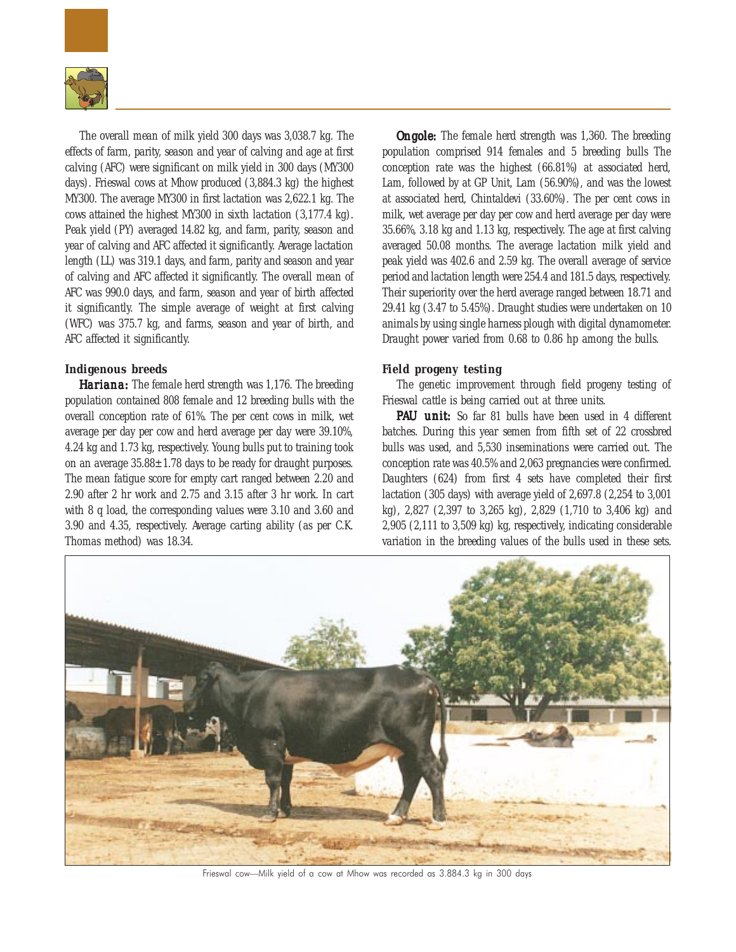

The overall mean of milk yield 300 days was 3,038.7 kg. The effects of farm, parity, season and year of calving and age at first calving (AFC) were significant on milk yield in 300 days (MY300 days). Frieswal cows at Mhow produced (3,884.3 kg) the highest MY300. The average MY300 in first lactation was 2,622.1 kg. The cows attained the highest MY300 in sixth lactation (3,177.4 kg). Peak yield (PY) averaged 14.82 kg, and farm, parity, season and year of calving and AFC affected it significantly. Average lactation length (LL) was 319.1 days, and farm, parity and season and year of calving and AFC affected it significantly. The overall mean of AFC was 990.0 days, and farm, season and year of birth affected it significantly. The simple average of weight at first calving (WFC) was 375.7 kg, and farms, season and year of birth, and AFC affected it significantly.

# *Indigenous breeds*

*Hariana: Hariana: Hariana:*The female herd strength was 1,176. The breeding population contained 808 female and 12 breeding bulls with the overall conception rate of 61%. The per cent cows in milk, wet average per day per cow and herd average per day were 39.10%, 4.24 kg and 1.73 kg, respectively. Young bulls put to training took on an average  $35.88 \pm 1.78$  days to be ready for draught purposes. The mean fatigue score for empty cart ranged between 2.20 and 2.90 after 2 hr work and 2.75 and 3.15 after 3 hr work. In cart with 8 q load, the corresponding values were 3.10 and 3.60 and 3.90 and 4.35, respectively. Average carting ability (as per C.K. Thomas method) was 18.34.

*Ongole:* The female herd strength was 1,360. The breeding population comprised 914 females and 5 breeding bulls The conception rate was the highest (66.81%) at associated herd, Lam, followed by at GP Unit, Lam (56.90%), and was the lowest at associated herd, Chintaldevi (33.60%). The per cent cows in milk, wet average per day per cow and herd average per day were 35.66%, 3.18 kg and 1.13 kg, respectively. The age at first calving averaged 50.08 months. The average lactation milk yield and peak yield was 402.6 and 2.59 kg. The overall average of service period and lactation length were 254.4 and 181.5 days, respectively. Their superiority over the herd average ranged between 18.71 and 29.41 kg (3.47 to 5.45%). Draught studies were undertaken on 10 animals by using single harness plough with digital dynamometer. Draught power varied from 0.68 to 0.86 hp among the bulls.

# *Field progeny testing*

The genetic improvement through field progeny testing of Frieswal cattle is being carried out at three units.

PAU unit: So far 81 bulls have been used in 4 different batches. During this year semen from fifth set of 22 crossbred bulls was used, and 5,530 inseminations were carried out. The conception rate was 40.5% and 2,063 pregnancies were confirmed. Daughters (624) from first 4 sets have completed their first lactation (305 days) with average yield of 2,697.8 (2,254 to 3,001 kg), 2,827 (2,397 to 3,265 kg), 2,829 (1,710 to 3,406 kg) and 2,905 (2,111 to 3,509 kg) kg, respectively, indicating considerable variation in the breeding values of the bulls used in these sets.



Frieswal cow—Milk yield of a cow at Mhow was recorded as 3.884.3 kg in 300 days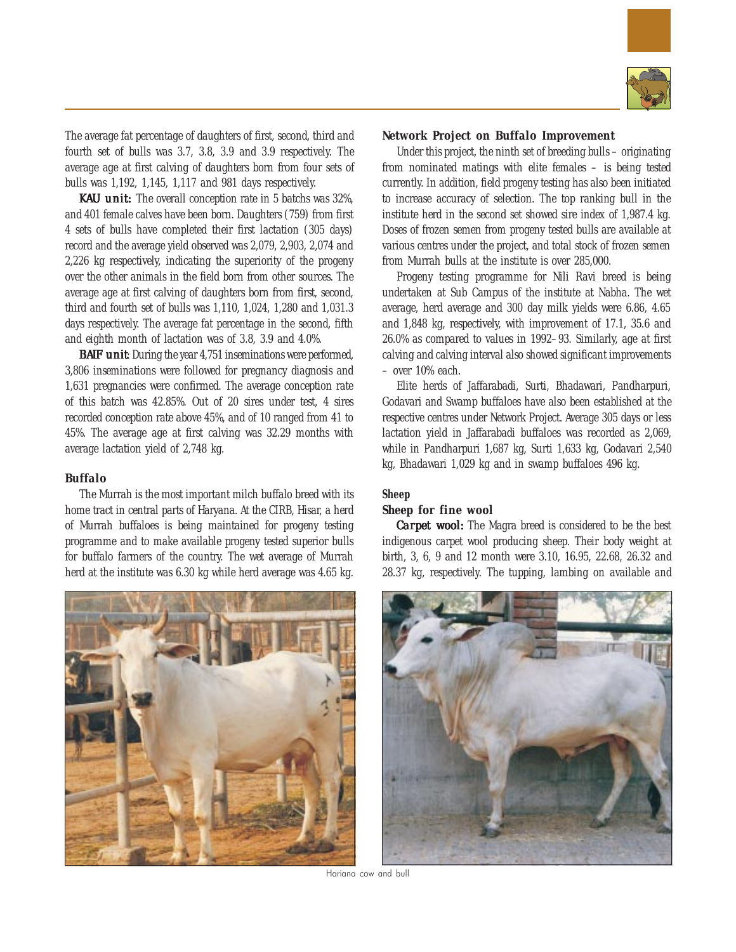

The average fat percentage of daughters of first, second, third and fourth set of bulls was 3.7, 3.8, 3.9 and 3.9 respectively. The average age at first calving of daughters born from four sets of bulls was 1,192, 1,145, 1,117 and 981 days respectively.

KAU unit: The overall conception rate in 5 batchs was 32%, and 401 female calves have been born. Daughters (759) from first 4 sets of bulls have completed their first lactation (305 days) record and the average yield observed was 2,079, 2,903, 2,074 and 2,226 kg respectively, indicating the superiority of the progeny over the other animals in the field born from other sources. The average age at first calving of daughters born from first, second, third and fourth set of bulls was 1,110, 1,024, 1,280 and 1,031.3 days respectively. The average fat percentage in the second, fifth and eighth month of lactation was of 3.8, 3.9 and 4.0%.

**BAIF unit** During the year 4,751 inseminations were performed, 3,806 inseminations were followed for pregnancy diagnosis and 1,631 pregnancies were confirmed. The average conception rate of this batch was 42.85%. Out of 20 sires under test, 4 sires recorded conception rate above 45%, and of 10 ranged from 41 to 45%. The average age at first calving was 32.29 months with average lactation yield of 2,748 kg.

# *Buffalo*

The Murrah is the most important milch buffalo breed with its home tract in central parts of Haryana. At the CIRB, Hisar, a herd of Murrah buffaloes is being maintained for progeny testing programme and to make available progeny tested superior bulls for buffalo farmers of the country. The wet average of Murrah herd at the institute was 6.30 kg while herd average was 4.65 kg.



## *Network Project on Buffalo Improvement*

Under this project, the ninth set of breeding bulls – originating from nominated matings with elite females – is being tested currently. In addition, field progeny testing has also been initiated to increase accuracy of selection. The top ranking bull in the institute herd in the second set showed sire index of 1,987.4 kg. Doses of frozen semen from progeny tested bulls are available at various centres under the project, and total stock of frozen semen from Murrah bulls at the institute is over 285,000.

Progeny testing programme for Nili Ravi breed is being undertaken at Sub Campus of the institute at Nabha. The wet average, herd average and 300 day milk yields were 6.86, 4.65 and 1,848 kg, respectively, with improvement of 17.1, 35.6 and 26.0% as compared to values in 1992–93. Similarly, age at first calving and calving interval also showed significant improvements – over 10% each.

Elite herds of Jaffarabadi, Surti, Bhadawari, Pandharpuri, Godavari and Swamp buffaloes have also been established at the respective centres under Network Project. Average 305 days or less lactation yield in Jaffarabadi buffaloes was recorded as 2,069, while in Pandharpuri 1,687 kg, Surti 1,633 kg, Godavari 2,540 kg, Bhadawari 1,029 kg and in swamp buffaloes 496 kg.

# **Sheep**

# *Sheep for fine wool*

*Carpet wool:* The Magra breed is considered to be the best indigenous carpet wool producing sheep. Their body weight at birth, 3, 6, 9 and 12 month were 3.10, 16.95, 22.68, 26.32 and 28.37 kg, respectively. The tupping, lambing on available and



Hariana cow and bull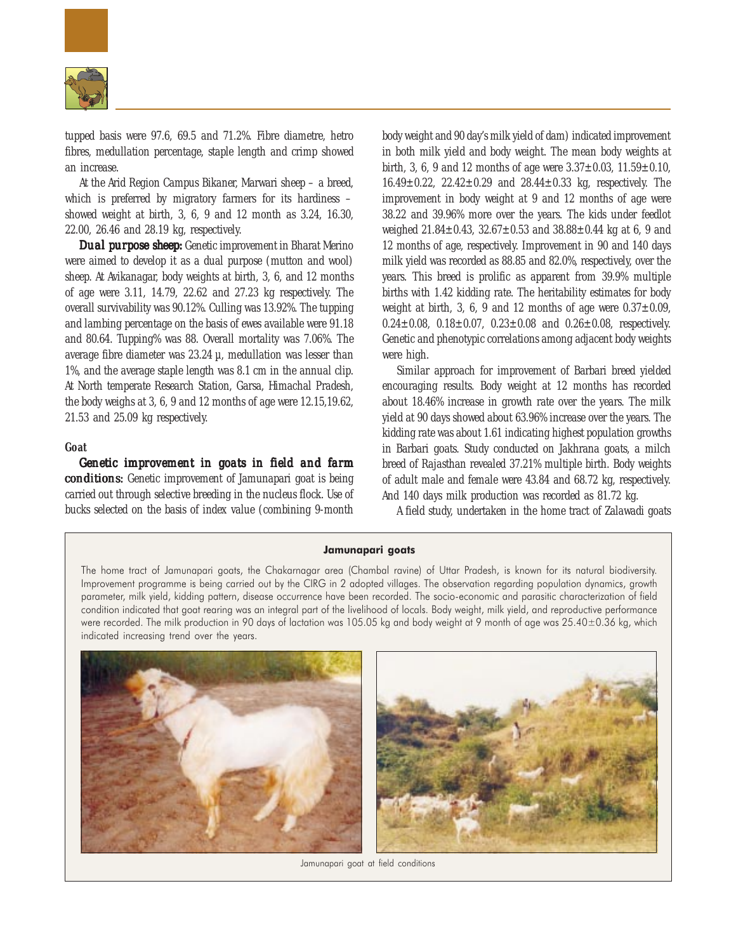

tupped basis were 97.6, 69.5 and 71.2%. Fibre diametre, hetro fibres, medullation percentage, staple length and crimp showed an increase.

At the Arid Region Campus Bikaner, Marwari sheep – a breed, which is preferred by migratory farmers for its hardiness – showed weight at birth, 3, 6, 9 and 12 month as 3.24, 16.30, 22.00, 26.46 and 28.19 kg, respectively.

*Dual purpose sheep:* Genetic improvement in Bharat Merino were aimed to develop it as a dual purpose (mutton and wool) sheep. At Avikanagar, body weights at birth, 3, 6, and 12 months of age were 3.11, 14.79, 22.62 and 27.23 kg respectively. The overall survivability was 90.12%. Culling was 13.92%. The tupping and lambing percentage on the basis of ewes available were 91.18 and 80.64. Tupping% was 88. Overall mortality was 7.06%. The average fibre diameter was  $23.24 \mu$ , medullation was lesser than 1%, and the average staple length was 8.1 cm in the annual clip. At North temperate Research Station, Garsa, Himachal Pradesh, the body weighs at 3, 6, 9 and 12 months of age were 12.15,19.62, 21.53 and 25.09 kg respectively.

## **Goat**

*Genetic improvement in goats in field and farm conditions: conditions:* Genetic improvement of Jamunapari goat is being carried out through selective breeding in the nucleus flock. Use of bucks selected on the basis of index value (combining 9-month

body weight and 90 day's milk yield of dam) indicated improvement in both milk yield and body weight. The mean body weights at birth, 3, 6, 9 and 12 months of age were  $3.37 \pm 0.03$ ,  $11.59 \pm 0.10$ ,  $16.49 \pm 0.22$ ,  $22.42 \pm 0.29$  and  $28.44 \pm 0.33$  kg, respectively. The improvement in body weight at 9 and 12 months of age were 38.22 and 39.96% more over the years. The kids under feedlot weighed 21.84±0.43, 32.67±0.53 and 38.88±0.44 kg at 6, 9 and 12 months of age, respectively. Improvement in 90 and 140 days milk yield was recorded as 88.85 and 82.0%, respectively, over the years. This breed is prolific as apparent from 39.9% multiple births with 1.42 kidding rate. The heritability estimates for body weight at birth, 3, 6, 9 and 12 months of age were  $0.37 \pm 0.09$ ,  $0.24 \pm 0.08$ ,  $0.18 \pm 0.07$ ,  $0.23 \pm 0.08$  and  $0.26 \pm 0.08$ , respectively. Genetic and phenotypic correlations among adjacent body weights were high.

Similar approach for improvement of Barbari breed yielded encouraging results. Body weight at 12 months has recorded about 18.46% increase in growth rate over the years. The milk yield at 90 days showed about 63.96% increase over the years. The kidding rate was about 1.61 indicating highest population growths in Barbari goats. Study conducted on Jakhrana goats, a milch breed of Rajasthan revealed 37.21% multiple birth. Body weights of adult male and female were 43.84 and 68.72 kg, respectively. And 140 days milk production was recorded as 81.72 kg.

A field study, undertaken in the home tract of Zalawadi goats

#### Jamunapari goats

The home tract of Jamunapari goats, the Chakarnagar area (Chambal ravine) of Uttar Pradesh, is known for its natural biodiversity. Improvement programme is being carried out by the CIRG in 2 adopted villages. The observation regarding population dynamics, growth parameter, milk yield, kidding pattern, disease occurrence have been recorded. The socio-economic and parasitic characterization of field condition indicated that goat rearing was an integral part of the livelihood of locals. Body weight, milk yield, and reproductive performance were recorded. The milk production in 90 days of lactation was 105.05 kg and body weight at 9 month of age was 25.40±0.36 kg, which indicated increasing trend over the years.



Jamunapari goat at field conditions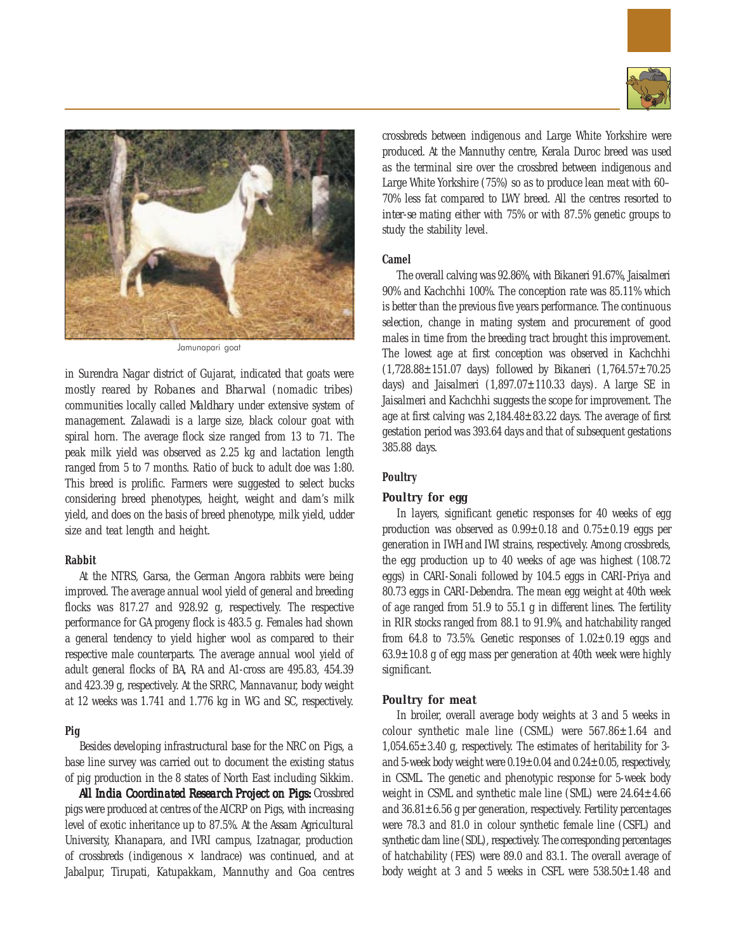



Jamunapari goat

in Surendra Nagar district of Gujarat, indicated that goats were mostly reared by *Robanes* and *Bharwal* (nomadic tribes) communities locally called *Maldhary* under extensive system of management. Zalawadi is a large size, black colour goat with spiral horn. The average flock size ranged from 13 to 71. The peak milk yield was observed as 2.25 kg and lactation length ranged from 5 to 7 months. Ratio of buck to adult doe was 1:80. This breed is prolific. Farmers were suggested to select bucks considering breed phenotypes, height, weight and dam's milk yield, and does on the basis of breed phenotype, milk yield, udder size and teat length and height.

#### **Rabbit**

At the NTRS, Garsa, the German Angora rabbits were being improved. The average annual wool yield of general and breeding flocks was 817.27 and 928.92 g, respectively. The respective performance for GA progeny flock is 483.5 g. Females had shown a general tendency to yield higher wool as compared to their respective male counterparts. The average annual wool yield of adult general flocks of BA, RA and A1-cross are 495.83, 454.39 and 423.39 g, respectively. At the SRRC, Mannavanur, body weight at 12 weeks was 1.741 and 1.776 kg in WG and SC, respectively.

# **Pig**

Besides developing infrastructural base for the NRC on Pigs, a base line survey was carried out to document the existing status of pig production in the 8 states of North East including Sikkim.

All India Coordinated Research Project on Pigs: Crossbred pigs were produced at centres of the AICRP on Pigs, with increasing level of exotic inheritance up to 87.5%. At the Assam Agricultural University, Khanapara, and IVRI campus, Izatnagar, production of crossbreds (indigenous  $\times$  landrace) was continued, and at Jabalpur, Tirupati, Katupakkam, Mannuthy and Goa centres

crossbreds between indigenous and Large White Yorkshire were produced. At the Mannuthy centre, Kerala Duroc breed was used as the terminal sire over the crossbred between indigenous and Large White Yorkshire (75%) so as to produce lean meat with 60– 70% less fat compared to LWY breed. All the centres resorted to *inter-se* mating either with 75% or with 87.5% genetic groups to study the stability level.

# **Camel**

The overall calving was 92.86%, with Bikaneri 91.67%, Jaisalmeri 90% and Kachchhi 100%. The conception rate was 85.11% which is better than the previous five years performance. The continuous selection, change in mating system and procurement of good males in time from the breeding tract brought this improvement. The lowest age at first conception was observed in Kachchhi (1,728.88±151.07 days) followed by Bikaneri (1,764.57±70.25 days) and Jaisalmeri  $(1,897.07 \pm 110.33$  days). A large SE in Jaisalmeri and Kachchhi suggests the scope for improvement. The age at first calving was 2,184.48±83.22 days. The average of first gestation period was 393.64 days and that of subsequent gestations 385.88 days.

# **Poultry**

# *Poultry for egg*

In layers, significant genetic responses for 40 weeks of egg production was observed as  $0.99 \pm 0.18$  and  $0.75 \pm 0.19$  eggs per generation in IWH and IWI strains, respectively. Among crossbreds, the egg production up to 40 weeks of age was highest (108.72 eggs) in CARI-Sonali followed by 104.5 eggs in CARI-Priya and 80.73 eggs in CARI-Debendra. The mean egg weight at 40th week of age ranged from 51.9 to 55.1 g in different lines. The fertility in RIR stocks ranged from 88.1 to 91.9%, and hatchability ranged from 64.8 to 73.5%. Genetic responses of  $1.02 \pm 0.19$  eggs and 63.9±10.8 g of egg mass per generation at 40th week were highly significant.

# *Poultry for meat*

In broiler, overall average body weights at 3 and 5 weeks in colour synthetic male line (CSML) were  $567.86 \pm 1.64$  and  $1,054.65\pm3.40$  g, respectively. The estimates of heritability for 3and 5-week body weight were  $0.19 \pm 0.04$  and  $0.24 \pm 0.05$ , respectively, in CSML. The genetic and phenotypic response for 5-week body weight in CSML and synthetic male line (SML) were  $24.64 \pm 4.66$ and  $36.81 \pm 6.56$  g per generation, respectively. Fertility percentages were 78.3 and 81.0 in colour synthetic female line (CSFL) and synthetic dam line (SDL), respectively. The corresponding percentages of hatchability (FES) were 89.0 and 83.1. The overall average of body weight at 3 and 5 weeks in CSFL were 538.50±1.48 and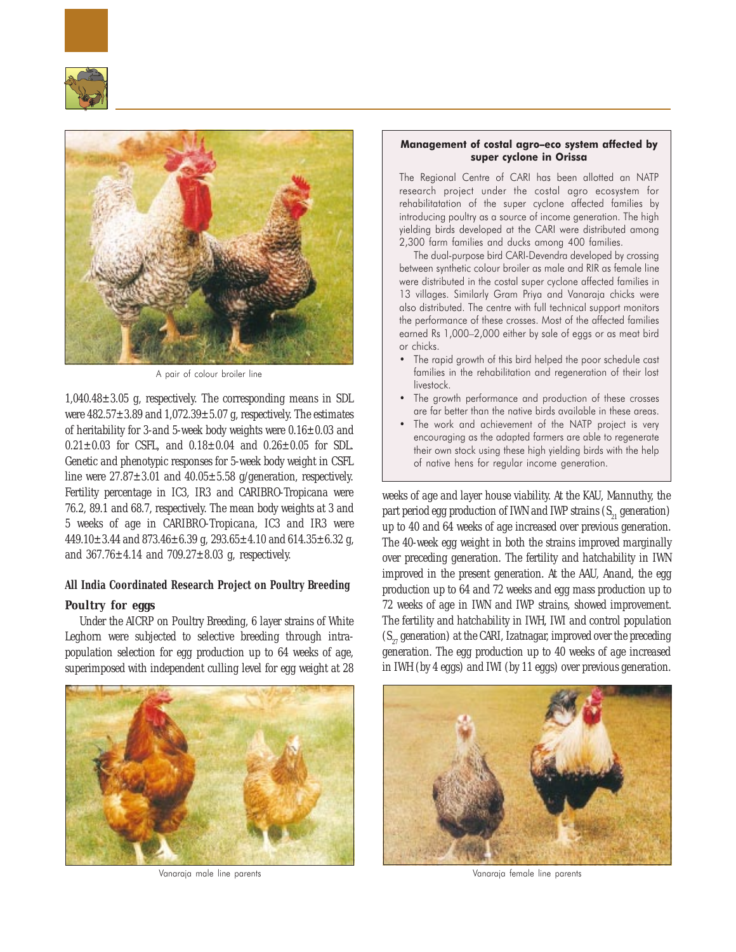



A pair of colour broiler line

 $1,040.48\pm3.05$  g, respectively. The corresponding means in SDL were  $482.57 \pm 3.89$  and  $1,072.39 \pm 5.07$  g, respectively. The estimates of heritability for 3-and 5-week body weights were 0.16±0.03 and  $0.21 \pm 0.03$  for CSFL, and  $0.18 \pm 0.04$  and  $0.26 \pm 0.05$  for SDL. Genetic and phenotypic responses for 5-week body weight in CSFL line were  $27.87 \pm 3.01$  and  $40.05 \pm 5.58$  g/generation, respectively. Fertility percentage in IC3, IR3 and CARIBRO-Tropicana were 76.2, 89.1 and 68.7, respectively. The mean body weights at 3 and 5 weeks of age in CARIBRO-Tropicana, IC3 and IR3 were 449.10 $\pm$ 3.44 and 873.46 $\pm$ 6.39 g, 293.65 $\pm$ 4.10 and 614.35 $\pm$ 6.32 g, and  $367.76 \pm 4.14$  and  $709.27 \pm 8.03$  g, respectively.

# **All India Coordinated Research Project on Poultry Breeding**

# *Poultry for eggs*

Under the AICRP on Poultry Breeding, 6 layer strains of White Leghorn were subjected to selective breeding through intrapopulation selection for egg production up to 64 weeks of age, superimposed with independent culling level for egg weight at 28



# Management of costal agro–eco system affected by super cyclone in Orissa

The Regional Centre of CARI has been allotted an NATP research project under the costal agro ecosystem for rehabilitatation of the super cyclone affected families by introducing poultry as a source of income generation. The high yielding birds developed at the CARI were distributed among 2,300 farm families and ducks among 400 families.

The dual-purpose bird CARI-Devendra developed by crossing between synthetic colour broiler as male and RIR as female line were distributed in the costal super cyclone affected families in 13 villages. Similarly Gram Priya and Vanaraja chicks were also distributed. The centre with full technical support monitors the performance of these crosses. Most of the affected families earned Rs 1,000–2,000 either by sale of eggs or as meat bird or chicks.

- The rapid growth of this bird helped the poor schedule cast families in the rehabilitation and regeneration of their lost livestock.
- The growth performance and production of these crosses are far better than the native birds available in these areas.
- The work and achievement of the NATP project is very encouraging as the adapted farmers are able to regenerate their own stock using these high yielding birds with the help of native hens for regular income generation.

weeks of age and layer house viability. At the KAU, Mannuthy, the part period egg production of IWN and IWP strains  $(S_{21}$  generation) up to 40 and 64 weeks of age increased over previous generation. The 40-week egg weight in both the strains improved marginally over preceding generation. The fertility and hatchability in IWN improved in the present generation. At the AAU, Anand, the egg production up to 64 and 72 weeks and egg mass production up to 72 weeks of age in IWN and IWP strains, showed improvement. The fertility and hatchability in IWH, IWI and control population  $(S_{27})$  generation) at the CARI, Izatnagar, improved over the preceding generation. The egg production up to 40 weeks of age increased in IWH (by 4 eggs) and IWI (by 11 eggs) over previous generation.



Vanaraja male line parents Vanaraja female line parents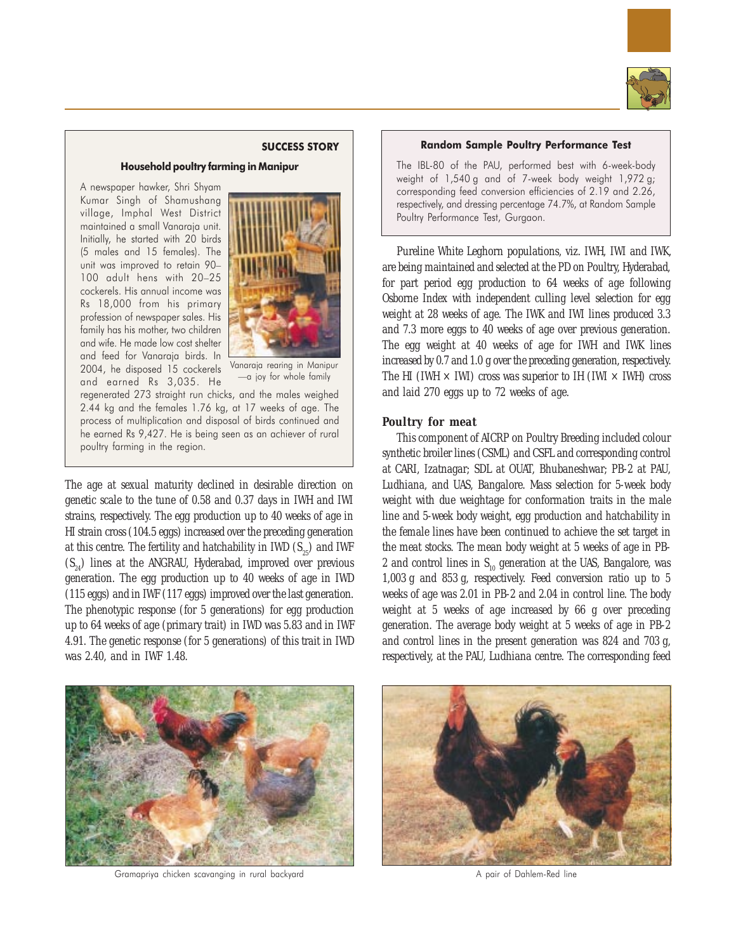

## SUCCESS STORY

# Household poultry farming in Manipur

A newspaper hawker, Shri Shyam Kumar Singh of Shamushang village, Imphal West District maintained a small Vanaraja unit. Initially, he started with 20 birds (5 males and 15 females). The unit was improved to retain 90– 100 adult hens with 20-25 cockerels. His annual income was Rs 18,000 from his primary profession of newspaper sales. His family has his mother, two children and wife. He made low cost shelter and feed for Vanaraja birds. In 2004, he disposed 15 cockerels and earned Rs 3,035. He



Vanaraja rearing in Manipur —a joy for whole family

regenerated 273 straight run chicks, and the males weighed 2.44 kg and the females 1.76 kg, at 17 weeks of age. The process of multiplication and disposal of birds continued and he earned Rs 9,427. He is being seen as an achiever of rural poultry farming in the region.

The age at sexual maturity declined in desirable direction on genetic scale to the tune of 0.58 and 0.37 days in IWH and IWI strains, respectively. The egg production up to 40 weeks of age in HI strain cross (104.5 eggs) increased over the preceding generation at this centre. The fertility and hatchability in IWD  $(S_{25})$  and IWF  $(S_{24})$  lines at the ANGRAU, Hyderabad, improved over previous generation. The egg production up to 40 weeks of age in IWD (115 eggs) and in IWF (117 eggs) improved over the last generation. The phenotypic response (for 5 generations) for egg production up to 64 weeks of age (primary trait) in IWD was 5.83 and in IWF 4.91. The genetic response (for 5 generations) of this trait in IWD was 2.40, and in IWF 1.48.

## Random Sample Poultry Performance Test

The IBL-80 of the PAU, performed best with 6-week-body weight of 1,540 g and of 7-week body weight 1,972 g; corresponding feed conversion efficiencies of 2.19 and 2.26, respectively, and dressing percentage 74.7%, at Random Sample Poultry Performance Test, Gurgaon.

Pureline White Leghorn populations, viz. IWH, IWI and IWK, are being maintained and selected at the PD on Poultry, Hyderabad, for part period egg production to 64 weeks of age following Osborne Index with independent culling level selection for egg weight at 28 weeks of age. The IWK and IWI lines produced 3.3 and 7.3 more eggs to 40 weeks of age over previous generation. The egg weight at 40 weeks of age for IWH and IWK lines increased by 0.7 and 1.0 g over the preceding generation, respectively. The HI (IWH  $\times$  IWI) cross was superior to IH (IWI  $\times$  IWH) cross and laid 270 eggs up to 72 weeks of age.

# *Poultry for meat*

This component of AICRP on Poultry Breeding included colour synthetic broiler lines (CSML) and CSFL and corresponding control at CARI, Izatnagar; SDL at OUAT, Bhubaneshwar; PB-2 at PAU, Ludhiana, and UAS, Bangalore. Mass selection for 5-week body weight with due weightage for conformation traits in the male line and 5-week body weight, egg production and hatchability in the female lines have been continued to achieve the set target in the meat stocks. The mean body weight at 5 weeks of age in PB-2 and control lines in  $S_{10}$  generation at the UAS, Bangalore, was 1,003 g and 853 g, respectively. Feed conversion ratio up to 5 weeks of age was 2.01 in PB-2 and 2.04 in control line. The body weight at 5 weeks of age increased by 66 g over preceding generation. The average body weight at 5 weeks of age in PB-2 and control lines in the present generation was 824 and 703 g, respectively, at the PAU, Ludhiana centre. The corresponding feed



Gramapriya chicken scavanging in rural backyard **A pair of Dahlem-Red line** A pair of Dahlem-Red line

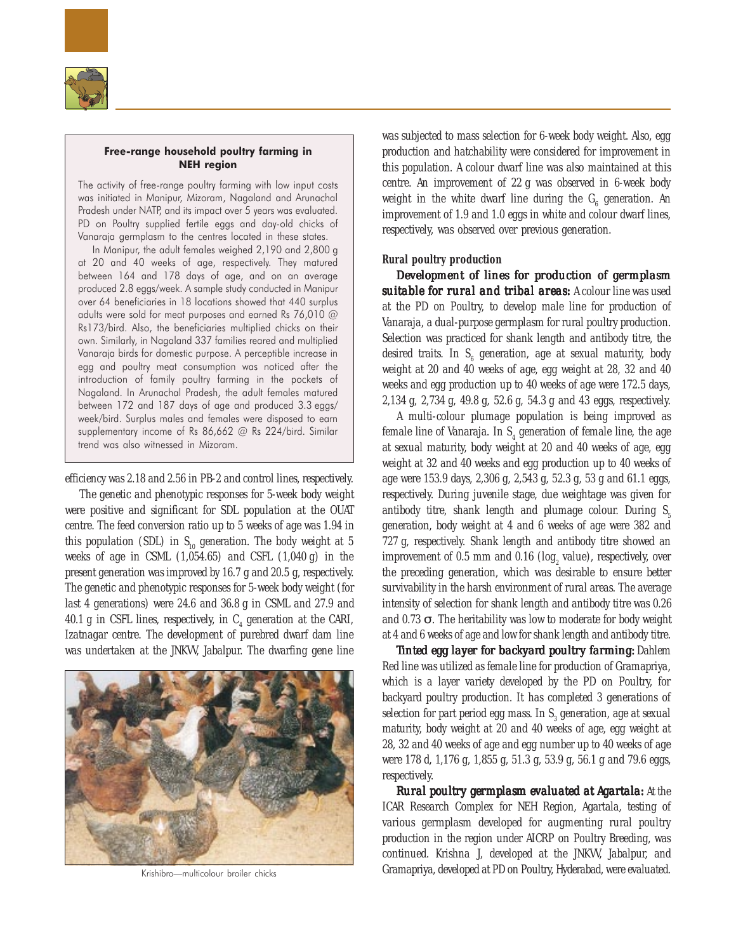

# Free-range household poultry farming in NEH region

The activity of free-range poultry farming with low input costs was initiated in Manipur, Mizoram, Nagaland and Arunachal Pradesh under NATP, and its impact over 5 years was evaluated. PD on Poultry supplied fertile eggs and day-old chicks of Vanaraja germplasm to the centres located in these states.

In Manipur, the adult females weighed 2,190 and 2,800 g at 20 and 40 weeks of age, respectively. They matured between 164 and 178 days of age, and on an average produced 2.8 eggs/week. A sample study conducted in Manipur over 64 beneficiaries in 18 locations showed that 440 surplus adults were sold for meat purposes and earned Rs 76,010 @ Rs173/bird. Also, the beneficiaries multiplied chicks on their own. Similarly, in Nagaland 337 families reared and multiplied Vanaraja birds for domestic purpose. A perceptible increase in egg and poultry meat consumption was noticed after the introduction of family poultry farming in the pockets of Nagaland. In Arunachal Pradesh, the adult females matured between 172 and 187 days of age and produced 3.3 eggs/ week/bird. Surplus males and females were disposed to earn supplementary income of Rs 86,662 @ Rs 224/bird. Similar trend was also witnessed in Mizoram.

efficiency was 2.18 and 2.56 in PB-2 and control lines, respectively.

The genetic and phenotypic responses for 5-week body weight were positive and significant for SDL population at the OUAT centre. The feed conversion ratio up to 5 weeks of age was 1.94 in this population (SDL) in  $S_{10}$  generation. The body weight at 5 weeks of age in CSML  $(1,054.65)$  and CSFL  $(1,040 \text{ g})$  in the present generation was improved by 16.7 g and 20.5 g, respectively. The genetic and phenotypic responses for 5-week body weight (for last 4 generations) were 24.6 and 36.8 g in CSML and 27.9 and 40.1 g in CSFL lines, respectively, in  $C_4$  generation at the CARI, Izatnagar centre. The development of purebred dwarf dam line was undertaken at the JNKVV, Jabalpur. The dwarfing gene line



Krishibro—multicolour broiler chicks

was subjected to mass selection for 6-week body weight. Also, egg production and hatchability were considered for improvement in this population. A colour dwarf line was also maintained at this centre. An improvement of 22 g was observed in 6-week body weight in the white dwarf line during the  $\textsf{G}_{_{6}}$  generation. An improvement of 1.9 and 1.0 eggs in white and colour dwarf lines, respectively, was observed over previous generation.

#### **Rural poultry production**

*Development of lines for production of germplasm* **suitable for rural and tribal areas:** A colour line was used at the PD on Poultry, to develop male line for production of Vanaraja*,* a dual-purpose germplasm for rural poultry production. Selection was practiced for shank length and antibody titre, the desired traits. In  $S_6$  generation, age at sexual maturity, body weight at 20 and 40 weeks of age, egg weight at 28, 32 and 40 weeks and egg production up to 40 weeks of age were 172.5 days, 2,134 g, 2,734 g, 49.8 g, 52.6 g, 54.3 g and 43 eggs, respectively.

A multi-colour plumage population is being improved as female line of Vanaraja. In  $S_4$  generation of female line, the age at sexual maturity, body weight at 20 and 40 weeks of age, egg weight at 32 and 40 weeks and egg production up to 40 weeks of age were 153.9 days, 2,306 g, 2,543 g, 52.3 g, 53 g and 61.1 eggs, respectively. During juvenile stage, due weightage was given for antibody titre, shank length and plumage colour. During  $S_5$ generation, body weight at 4 and 6 weeks of age were 382 and 727 g, respectively. Shank length and antibody titre showed an improvement of  $0.5$  mm and  $0.16$  (log<sub>2</sub> value), respectively, over the preceding generation, which was desirable to ensure better survivability in the harsh environment of rural areas. The average intensity of selection for shank length and antibody titre was 0.26 and 0.73  $\sigma$ . The heritability was low to moderate for body weight at 4 and 6 weeks of age and low for shank length and antibody titre.

*Tinted egg layer for backyard poultry farming: Dahlem* Red line was utilized as female line for production of Gramapriya*,* which is a layer variety developed by the PD on Poultry, for backyard poultry production. It has completed 3 generations of selection for part period egg mass. In  $\text{S}_\text{3}$  generation, age at sexual maturity, body weight at 20 and 40 weeks of age, egg weight at 28, 32 and 40 weeks of age and egg number up to 40 weeks of age were 178 d, 1,176 g, 1,855 g, 51.3 g, 53.9 g, 56.1 g and 79.6 eggs, respectively.

*Rural poultry germplasm evaluated at Agartala: At the* ICAR Research Complex for NEH Region, Agartala, testing of various germplasm developed for augmenting rural poultry production in the region under AICRP on Poultry Breeding, was continued. Krishna J, developed at the JNKVV, Jabalpur, and Gramapriya, developed at PD on Poultry, Hyderabad, were evaluated.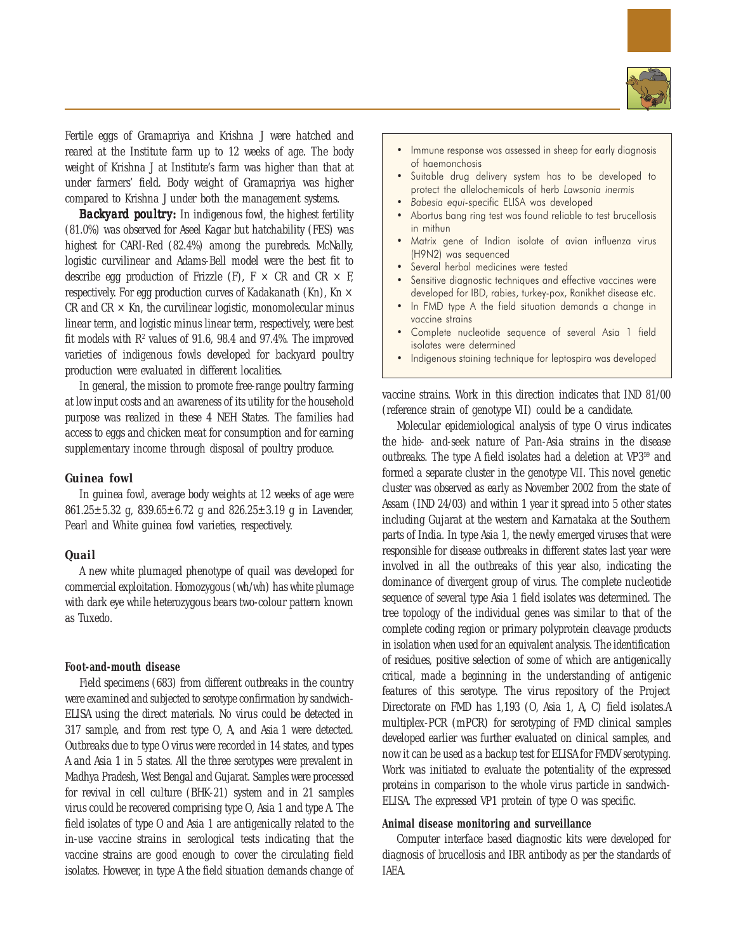

Fertile eggs of Gramapriya and Krishna J were hatched and reared at the Institute farm up to 12 weeks of age. The body weight of Krishna J at Institute's farm was higher than that at under farmers' field. Body weight of Gramapriya was higher compared to Krishna J under both the management systems.

**Backyard poultry:** In indigenous fowl, the highest fertility (81.0%) was observed for Aseel Kagar but hatchability (FES) was highest for CARI-Red (82.4%) among the purebreds. McNally, logistic curvilinear and Adams-Bell model were the best fit to describe egg production of Frizzle (F),  $F \times CR$  and  $CR \times F$ , respectively. For egg production curves of Kadakanath (Kn), Kn  $\times$ CR and  $CR \times Kn$ , the curvilinear logistic, monomolecular minus linear term, and logistic minus linear term, respectively, were best fit models with  $\mathbb{R}^2$  values of 91.6, 98.4 and 97.4%. The improved varieties of indigenous fowls developed for backyard poultry production were evaluated in different localities.

In general, the mission to promote free-range poultry farming at low input costs and an awareness of its utility for the household purpose was realized in these 4 NEH States. The families had access to eggs and chicken meat for consumption and for earning supplementary income through disposal of poultry produce.

# *Guinea fowl*

In guinea fowl, average body weights at 12 weeks of age were 861.25±5.32 g, 839.65±6.72 g and 826.25±3.19 g in Lavender, Pearl and White guinea fowl varieties, respectively.

# *Quail*

A new white plumaged phenotype of quail was developed for commercial exploitation. Homozygous (wh/wh) has white plumage with dark eye while heterozygous bears two-colour pattern known as Tuxedo.

# **Foot-and-mouth disease**

Field specimens (683) from different outbreaks in the country were examined and subjected to serotype confirmation by sandwich-ELISA using the direct materials. No virus could be detected in 317 sample, and from rest type O, A, and Asia 1 were detected. Outbreaks due to type O virus were recorded in 14 states, and types A and Asia 1 in 5 states. All the three serotypes were prevalent in Madhya Pradesh, West Bengal and Gujarat. Samples were processed for revival in cell culture (BHK-21) system and in 21 samples virus could be recovered comprising type O, Asia 1 and type A. The field isolates of type O and Asia 1 are antigenically related to the in-use vaccine strains in serological tests indicating that the vaccine strains are good enough to cover the circulating field isolates. However, in type A the field situation demands change of

- Immune response was assessed in sheep for early diagnosis of haemonchosis
- Suitable drug delivery system has to be developed to protect the allelochemicals of herb Lawsonia inermis
- Babesia equi-specific ELISA was developed
- Abortus bang ring test was found reliable to test brucellosis in mithun
- Matrix gene of Indian isolate of avian influenza virus (H9N2) was sequenced
- Several herbal medicines were tested
- Sensitive diagnostic techniques and effective vaccines were developed for IBD, rabies, turkey-pox, Ranikhet disease etc.
- In FMD type A the field situation demands a change in vaccine strains
- Complete nucleotide sequence of several Asia 1 field isolates were determined
- Indigenous staining technique for leptospira was developed

vaccine strains. Work in this direction indicates that IND 81/00 (reference strain of genotype VII) could be a candidate.

Molecular epidemiological analysis of type O virus indicates the hide- and-seek nature of Pan-Asia strains in the disease outbreaks. The type A field isolates had a deletion at VP3<sup>59</sup> and formed a separate cluster in the genotype VII. This novel genetic cluster was observed as early as November 2002 from the state of Assam (IND 24/03) and within 1 year it spread into 5 other states including Gujarat at the western and Karnataka at the Southern parts of India. In type Asia 1, the newly emerged viruses that were responsible for disease outbreaks in different states last year were involved in all the outbreaks of this year also, indicating the dominance of divergent group of virus. The complete nucleotide sequence of several type Asia 1 field isolates was determined. The tree topology of the individual genes was similar to that of the complete coding region or primary polyprotein cleavage products in isolation when used for an equivalent analysis. The identification of residues, positive selection of some of which are antigenically critical, made a beginning in the understanding of antigenic features of this serotype. The virus repository of the Project Directorate on FMD has 1,193 (O, Asia 1, A, C) field isolates.A multiplex-PCR (mPCR) for serotyping of FMD clinical samples developed earlier was further evaluated on clinical samples, and now it can be used as a backup test for ELISA for FMDV serotyping. Work was initiated to evaluate the potentiality of the expressed proteins in comparison to the whole virus particle in sandwich-ELISA. The expressed VP1 protein of type O was specific.

#### **Animal disease monitoring and surveillance**

Computer interface based diagnostic kits were developed for diagnosis of brucellosis and IBR antibody as per the standards of IAEA.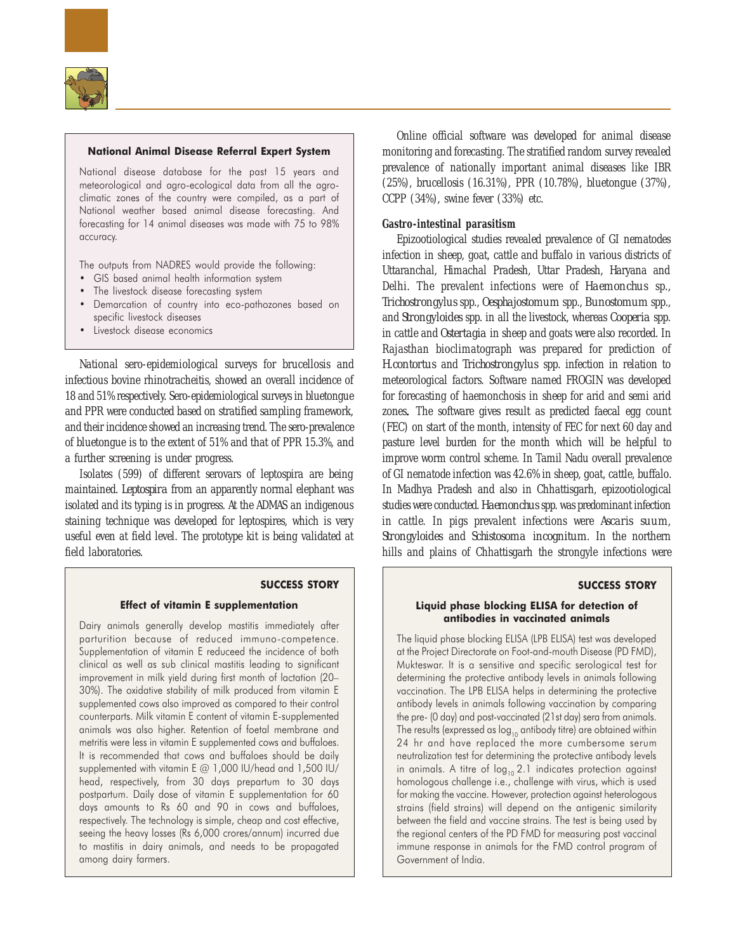

## National Animal Disease Referral Expert System

National disease database for the past 15 years and meteorological and agro-ecological data from all the agroclimatic zones of the country were compiled, as a part of National weather based animal disease forecasting. And forecasting for 14 animal diseases was made with 75 to 98% accuracy.

The outputs from NADRES would provide the following:

- GIS based animal health information system
- The livestock disease forecasting system
- Demarcation of country into eco-pathozones based on specific livestock diseases
- Livestock disease economics

National sero-epidemiological surveys for brucellosis and infectious bovine rhinotracheitis, showed an overall incidence of 18 and 51% respectively. Sero-epidemiological surveys in bluetongue and PPR were conducted based on stratified sampling framework, and their incidence showed an increasing trend. The sero-prevalence of bluetongue is to the extent of 51% and that of PPR 15.3%, and a further screening is under progress.

Isolates (599) of different serovars of leptospira are being maintained. *Leptospira* from an apparently normal elephant was isolated and its typing is in progress. At the ADMAS an indigenous staining technique was developed for leptospires, which is very useful even at field level. The prototype kit is being validated at field laboratories.

## SUCCESS STORY

#### Effect of vitamin E supplementation

Dairy animals generally develop mastitis immediately after parturition because of reduced immuno-competence. Supplementation of vitamin E reduceed the incidence of both clinical as well as sub clinical mastitis leading to significant improvement in milk yield during first month of lactation (20– 30%). The oxidative stability of milk produced from vitamin E supplemented cows also improved as compared to their control counterparts. Milk vitamin E content of vitamin E-supplemented animals was also higher. Retention of foetal membrane and metritis were less in vitamin E supplemented cows and buffaloes. It is recommended that cows and buffaloes should be daily supplemented with vitamin E @ 1,000 IU/head and 1,500 IU/ head, respectively, from 30 days prepartum to 30 days postpartum. Daily dose of vitamin E supplementation for 60 days amounts to Rs 60 and 90 in cows and buffaloes, respectively. The technology is simple, cheap and cost effective, seeing the heavy losses (Rs 6,000 crores/annum) incurred due to mastitis in dairy animals, and needs to be propagated among dairy farmers.

Online official software was developed for animal disease monitoring and forecasting. The stratified random survey revealed prevalence of nationally important animal diseases like IBR (25%), brucellosis (16.31%), PPR (10.78%), bluetongue (37%), CCPP (34%), swine fever (33%) etc.

# **Gastro-intestinal parasitism**

Epizootiological studies revealed prevalence of GI nematodes infection in sheep, goat, cattle and buffalo in various districts of Uttaranchal, Himachal Pradesh, Uttar Pradesh, Haryana and Delhi. The prevalent infections were of *Haemonchus* sp., *Trichostrongylus* spp., *Oesphajostomum* spp., *Bunostomum* spp., and *Strongyloides* spp. in all the livestock, whereas *Cooperia* spp. in cattle and *Ostertagia* in sheep and goats were also recorded. In Rajasthan bioclimatograph was prepared for prediction of *H.contortus* and *Trichostrongylus* spp. infection in relation to meteorological factors. Software named FROGIN was developed for forecasting of haemonchosis in sheep for arid and semi arid zones. The software gives result as predicted faecal egg count (FEC) on start of the month, intensity of FEC for next 60 day and pasture level burden for the month which will be helpful to improve worm control scheme. In Tamil Nadu overall prevalence of GI nematode infection was 42.6% in sheep, goat, cattle, buffalo. In Madhya Pradesh and also in Chhattisgarh, epizootiological studies were conducted. *Haemonchus* spp. was predominant infection in cattle. In pigs prevalent infections were *Ascaris suum*, *Strongyloides* and *Schistosoma incognitum*. In the northern hills and plains of Chhattisgarh the strongyle infections were

# SUCCESS STORY

## Liquid phase blocking ELISA for detection of antibodies in vaccinated animals

The liquid phase blocking ELISA (LPB ELISA) test was developed at the Project Directorate on Foot-and-mouth Disease (PD FMD), Mukteswar. It is a sensitive and specific serological test for determining the protective antibody levels in animals following vaccination. The LPB ELISA helps in determining the protective antibody levels in animals following vaccination by comparing the pre- (0 day) and post-vaccinated (21st day) sera from animals. The results (expressed as  $\log_{10}$  antibody titre) are obtained within 24 hr and have replaced the more cumbersome serum neutralization test for determining the protective antibody levels in animals. A titre of  $log_{10} 2.1$  indicates protection against homologous challenge i.e., challenge with virus, which is used for making the vaccine. However, protection against heterologous strains (field strains) will depend on the antigenic similarity between the field and vaccine strains. The test is being used by the regional centers of the PD FMD for measuring post vaccinal immune response in animals for the FMD control program of Government of India.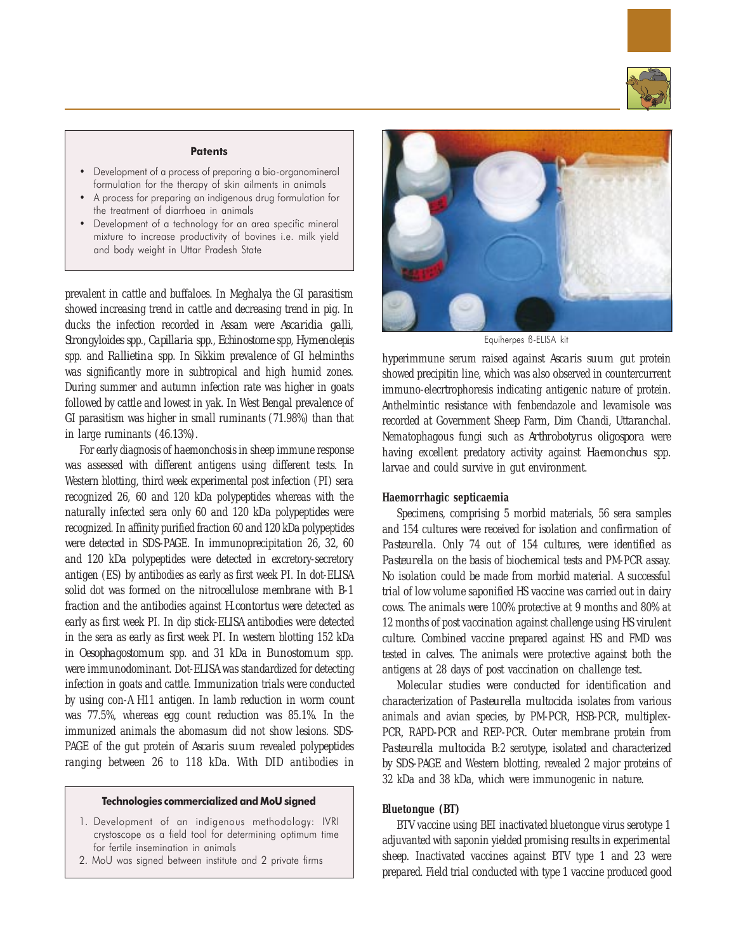

#### **Patents**

- Development of a process of preparing a bio-organomineral formulation for the therapy of skin ailments in animals
- A process for preparing an indigenous drug formulation for the treatment of diarrhoea in animals
- Development of a technology for an area specific mineral mixture to increase productivity of bovines i.e. milk yield and body weight in Uttar Pradesh State

prevalent in cattle and buffaloes. In Meghalya the GI parasitism showed increasing trend in cattle and decreasing trend in pig. In ducks the infection recorded in Assam were *Ascaridia galli*, *Strongyloides* spp., *Capillaria* spp., *Echinostome* spp, *Hymenolepis* spp. and *Rallietina* spp. In Sikkim prevalence of GI helminths was significantly more in subtropical and high humid zones. During summer and autumn infection rate was higher in goats followed by cattle and lowest in yak. In West Bengal prevalence of GI parasitism was higher in small ruminants (71.98%) than that in large ruminants (46.13%).

For early diagnosis of haemonchosis in sheep immune response was assessed with different antigens using different tests. In Western blotting, third week experimental post infection (PI) sera recognized 26, 60 and 120 kDa polypeptides whereas with the naturally infected sera only 60 and 120 kDa polypeptides were recognized. In affinity purified fraction 60 and 120 kDa polypeptides were detected in SDS-PAGE. In immunoprecipitation 26, 32, 60 and 120 kDa polypeptides were detected in excretory-secretory antigen (ES) by antibodies as early as first week PI. In dot-ELISA solid dot was formed on the nitrocellulose membrane with B-1 fraction and the antibodies against *H.contortus* were detected as early as first week PI. In dip stick-ELISA antibodies were detected in the sera as early as first week PI. In western blotting 152 kDa in *Oesophagostomum* spp. and 31 kDa in *Bunostomum* spp*.* were immunodominant. Dot-ELISA was standardized for detecting infection in goats and cattle. Immunization trials were conducted by using con-A H11 antigen. In lamb reduction in worm count was 77.5%, whereas egg count reduction was 85.1%. In the immunized animals the abomasum did not show lesions. SDS-PAGE of the gut protein of *Ascaris suum* revealed polypeptides ranging between 26 to 118 kDa. With DID antibodies in

# Technologies commercialized and MoU signed

- 1. Development of an indigenous methodology: IVRI crystoscope as a field tool for determining optimum time for fertile insemination in animals
- 2. MoU was signed between institute and 2 private firms



Equiherpes ß-ELISA kit

hyperimmune serum raised against *Ascaris suum* gut protein showed precipitin line, which was also observed in countercurrent immuno-elecrtrophoresis indicating antigenic nature of protein. Anthelmintic resistance with fenbendazole and levamisole was recorded at Government Sheep Farm, Dim Chandi, Uttaranchal. Nematophagous fungi such as *Arthrobotyrus oligospora* were having excellent predatory activity against *Haemonchus* spp. larvae and could survive in gut environment.

# **Haemorrhagic septicaemia**

Specimens, comprising 5 morbid materials, 56 sera samples and 154 cultures were received for isolation and confirmation of *Pasteurella*. Only 74 out of 154 cultures, were identified as *Pasteurella* on the basis of biochemical tests and PM-PCR assay. No isolation could be made from morbid material. A successful trial of low volume saponified HS vaccine was carried out in dairy cows. The animals were 100% protective at 9 months and 80% at 12 months of post vaccination against challenge using HS virulent culture. Combined vaccine prepared against HS and FMD was tested in calves. The animals were protective against both the antigens at 28 days of post vaccination on challenge test.

Molecular studies were conducted for identification and characterization of *Pasteurella multocida* isolates from various animals and avian species, by PM-PCR, HSB-PCR, multiplex-PCR, RAPD-PCR and REP-PCR. Outer membrane protein from *Pasteurella multocida* B:2 serotype, isolated and characterized by SDS-PAGE and Western blotting, revealed 2 major proteins of 32 kDa and 38 kDa, which were immunogenic in nature.

# **Bluetongue (BT)**

BTV vaccine using BEI inactivated bluetongue virus serotype 1 adjuvanted with saponin yielded promising results in experimental sheep. Inactivated vaccines against BTV type 1 and 23 were prepared. Field trial conducted with type 1 vaccine produced good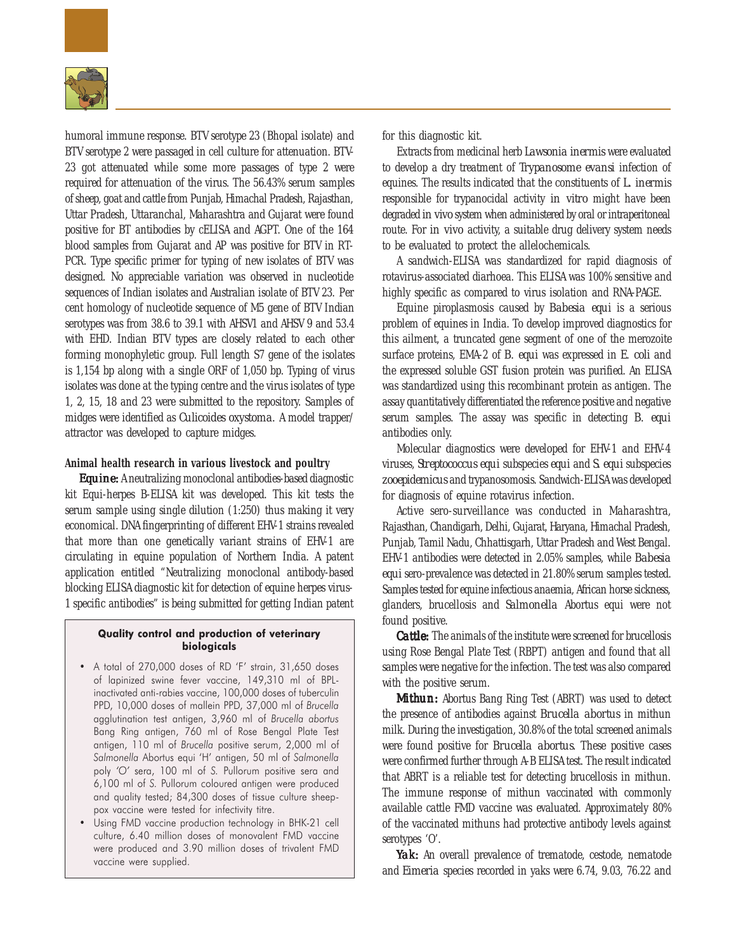

humoral immune response. BTV serotype 23 (Bhopal isolate) and BTV serotype 2 were passaged in cell culture for attenuation. BTV-23 got attenuated while some more passages of type 2 were required for attenuation of the virus. The 56.43% serum samples of sheep, goat and cattle from Punjab, Himachal Pradesh, Rajasthan, Uttar Pradesh, Uttaranchal, Maharashtra and Gujarat were found positive for BT antibodies by cELISA and AGPT. One of the 164 blood samples from Gujarat and AP was positive for BTV in RT-PCR. Type specific primer for typing of new isolates of BTV was designed. No appreciable variation was observed in nucleotide sequences of Indian isolates and Australian isolate of BTV 23. Per cent homology of nucleotide sequence of M5 gene of BTV Indian serotypes was from 38.6 to 39.1 with AHSV1 and AHSV 9 and 53.4 with EHD. Indian BTV types are closely related to each other forming monophyletic group. Full length S7 gene of the isolates is 1,154 bp along with a single ORF of 1,050 bp. Typing of virus isolates was done at the typing centre and the virus isolates of type 1, 2, 15, 18 and 23 were submitted to the repository. Samples of midges were identified as *Culicoides oxystoma.* A model trapper/ attractor was developed to capture midges.

# **Animal health research in various livestock and poultry**

*Equine: Equine:* A neutralizing monoclonal antibodies-based diagnostic kit Equi-herpes B-ELISA kit was developed. This kit tests the serum sample using single dilution (1:250) thus making it very economical. DNA fingerprinting of different EHV-1 strains revealed that more than one genetically variant strains of EHV-1 are circulating in equine population of Northern India. A patent application entitled "Neutralizing monoclonal antibody-based blocking ELISA diagnostic kit for detection of equine herpes virus-1 specific antibodies" is being submitted for getting Indian patent

# Quality control and production of veterinary biologicals

- A total of 270,000 doses of RD 'F' strain, 31,650 doses of lapinized swine fever vaccine, 149,310 ml of BPLinactivated anti-rabies vaccine, 100,000 doses of tuberculin PPD, 10,000 doses of mallein PPD, 37,000 ml of Brucella agglutination test antigen, 3,960 ml of Brucella abortus Bang Ring antigen, 760 ml of Rose Bengal Plate Test antigen, 110 ml of Brucella positive serum, 2,000 ml of Salmonella Abortus equi 'H' antigen, 50 ml of Salmonella poly 'O' sera, 100 ml of S. Pullorum positive sera and 6,100 ml of S. Pullorum coloured antigen were produced and quality tested; 84,300 doses of tissue culture sheeppox vaccine were tested for infectivity titre.
- Using FMD vaccine production technology in BHK-21 cell culture, 6.40 million doses of monovalent FMD vaccine were produced and 3.90 million doses of trivalent FMD vaccine were supplied.

for this diagnostic kit.

Extracts from medicinal herb *Lawsonia inermis* were evaluated to develop a dry treatment of *Trypanosome evansi* infection of equines. The results indicated that the constituents of *L. inermis* responsible for trypanocidal activity *in vitro* might have been degraded *in vivo* system when administered by oral or intraperitoneal route. For *in vivo* activity, a suitable drug delivery system needs to be evaluated to protect the allelochemicals.

A sandwich-ELISA was standardized for rapid diagnosis of rotavirus-associated diarhoea. This ELISA was 100% sensitive and highly specific as compared to virus isolation and RNA-PAGE.

Equine piroplasmosis caused by *Babesia equi* is a serious problem of equines in India. To develop improved diagnostics for this ailment, a truncated gene segment of one of the merozoite surface proteins, EMA-2 of *B. equi* was expressed in *E. coli* and the expressed soluble GST fusion protein was purified. An ELISA was standardized using this recombinant protein as antigen. The assay quantitatively differentiated the reference positive and negative serum samples. The assay was specific in detecting *B. equi* antibodies only.

Molecular diagnostics were developed for EHV-1 and EHV-4 viruses, *Streptococcus equi* subspecies *equi* and *S. equi* subspecies *zooepidemicus* and trypanosomosis. Sandwich-ELISA was developed for diagnosis of equine rotavirus infection.

Active sero-surveillance was conducted in Maharashtra, Rajasthan, Chandigarh, Delhi, Gujarat, Haryana, Himachal Pradesh, Punjab, Tamil Nadu, Chhattisgarh, Uttar Pradesh and West Bengal. EHV-1 antibodies were detected in 2.05% samples, while *Babesia equi* sero-prevalence was detected in 21.80% serum samples tested. Samples tested for equine infectious anaemia, African horse sickness, glanders, brucellosis and *Salmonella* Abortus equi were not found positive.

*Cattle:* The animals of the institute were screened for brucellosis using Rose Bengal Plate Test (RBPT) antigen and found that all samples were negative for the infection. The test was also compared with the positive serum.

*Mithun: Mithun:* Abortus Bang Ring Test (ABRT) was used to detect the presence of antibodies against *Brucella abortus* in mithun milk. During the investigation, 30.8% of the total screened animals were found positive for *Brucella abortus*. These positive cases were confirmed further through A-B ELISA test. The result indicated that ABRT is a reliable test for detecting brucellosis in mithun. The immune response of mithun vaccinated with commonly available cattle FMD vaccine was evaluated. Approximately 80% of the vaccinated mithuns had protective antibody levels against serotypes 'O'.

*Yak:* An overall prevalence of trematode, cestode, nematode and *Eimeria* species recorded in yaks were 6.74, 9.03, 76.22 and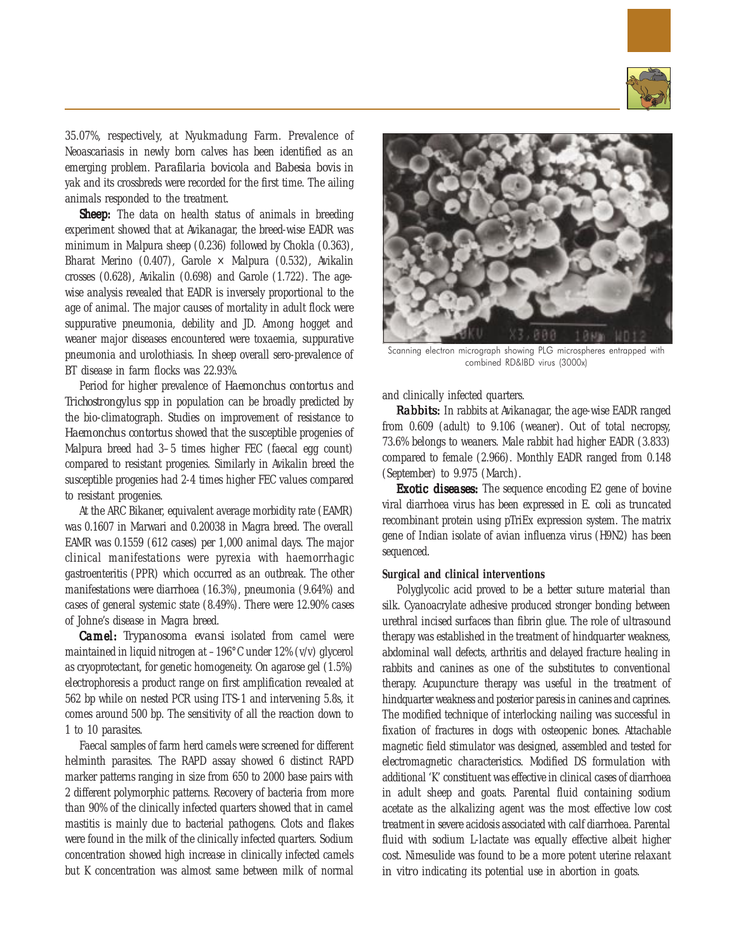

35.07%, respectively, at Nyukmadung Farm. Prevalence of Neoascariasis in newly born calves has been identified as an emerging problem. *Parafilaria bovicola* and *Babesia bovis* in yak and its crossbreds were recorded for the first time. The ailing animals responded to the treatment.

*Sheep:* The data on health status of animals in breeding experiment showed that at Avikanagar, the breed-wise EADR was minimum in Malpura sheep (0.236) followed by Chokla (0.363), Bharat Merino (0.407), Garole  $\times$  Malpura (0.532), Avikalin crosses (0.628), Avikalin (0.698) and Garole (1.722). The agewise analysis revealed that EADR is inversely proportional to the age of animal. The major causes of mortality in adult flock were suppurative pneumonia, debility and JD. Among hogget and weaner major diseases encountered were toxaemia, suppurative pneumonia and urolothiasis. In sheep overall sero-prevalence of BT disease in farm flocks was 22.93%.

Period for higher prevalence of *Haemonchus contortus* and *Trichostrongylus* spp in population can be broadly predicted by the bio-climatograph. Studies on improvement of resistance to *Haemonchus contortus* showed that the susceptible progenies of Malpura breed had 3–5 times higher FEC (faecal egg count) compared to resistant progenies. Similarly in Avikalin breed the susceptible progenies had 2-4 times higher FEC values compared to resistant progenies.

At the ARC Bikaner, equivalent average morbidity rate (EAMR) was 0.1607 in Marwari and 0.20038 in Magra breed. The overall EAMR was 0.1559 (612 cases) per 1,000 animal days. The major clinical manifestations were pyrexia with haemorrhagic gastroenteritis (PPR) which occurred as an outbreak. The other manifestations were diarrhoea (16.3%), pneumonia (9.64%) and cases of general systemic state (8.49%). There were 12.90% cases of Johne's disease in Magra breed.

*Camel: Trypanosoma evansi* isolated from camel were maintained in liquid nitrogen at –196°C under 12% (v/v) glycerol as cryoprotectant, for genetic homogeneity. On agarose gel (1.5%) electrophoresis a product range on first amplification revealed at 562 bp while on nested PCR using ITS-1 and intervening 5.8s, it comes around 500 bp. The sensitivity of all the reaction down to 1 to 10 parasites.

Faecal samples of farm herd camels were screened for different helminth parasites. The RAPD assay showed 6 distinct RAPD marker patterns ranging in size from 650 to 2000 base pairs with 2 different polymorphic patterns. Recovery of bacteria from more than 90% of the clinically infected quarters showed that in camel mastitis is mainly due to bacterial pathogens. Clots and flakes were found in the milk of the clinically infected quarters. Sodium concentration showed high increase in clinically infected camels but K concentration was almost same between milk of normal



Scanning electron micrograph showing PLG microspheres entrapped with combined RD&IBD virus (3000x)

and clinically infected quarters.

*Rabbits:* In rabbits at Avikanagar, the age-wise EADR ranged from 0.609 (adult) to 9.106 (weaner). Out of total necropsy, 73.6% belongs to weaners. Male rabbit had higher EADR (3.833) compared to female (2.966). Monthly EADR ranged from 0.148 (September) to 9.975 (March).

*Exotic diseases:* The sequence encoding E2 gene of bovine viral diarrhoea virus has been expressed in *E. coli* as truncated recombinant protein using pTriEx expression system. The matrix gene of Indian isolate of avian influenza virus (H9N2) has been sequenced.

# **Surgical and clinical interventions**

Polyglycolic acid proved to be a better suture material than silk. Cyanoacrylate adhesive produced stronger bonding between urethral incised surfaces than fibrin glue. The role of ultrasound therapy was established in the treatment of hindquarter weakness, abdominal wall defects, arthritis and delayed fracture healing in rabbits and canines as one of the substitutes to conventional therapy. Acupuncture therapy was useful in the treatment of hindquarter weakness and posterior paresis in canines and caprines. The modified technique of interlocking nailing was successful in fixation of fractures in dogs with osteopenic bones. Attachable magnetic field stimulator was designed, assembled and tested for electromagnetic characteristics. Modified DS formulation with additional 'K' constituent was effective in clinical cases of diarrhoea in adult sheep and goats. Parental fluid containing sodium acetate as the alkalizing agent was the most effective low cost treatment in severe acidosis associated with calf diarrhoea. Parental fluid with sodium L-lactate was equally effective albeit higher cost. Nimesulide was found to be a more potent uterine relaxant *in vitro* indicating its potential use in abortion in goats.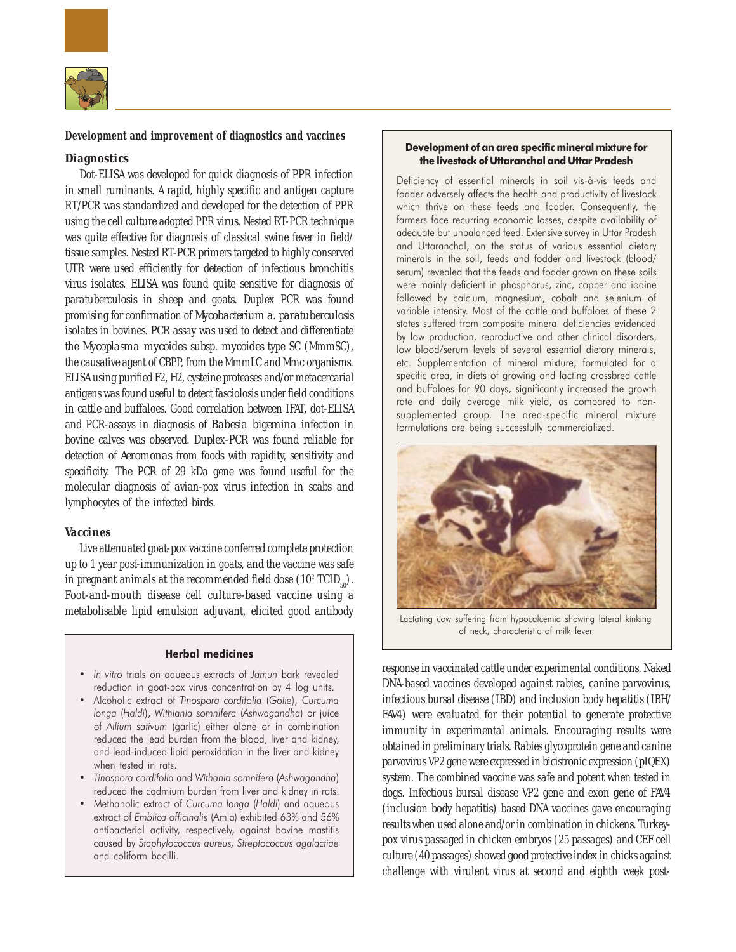

# **Development and improvement of diagnostics and vaccines**

# *Diagnostics*

Dot-ELISA was developed for quick diagnosis of PPR infection in small ruminants. A rapid, highly specific and antigen capture RT/PCR was standardized and developed for the detection of PPR using the cell culture adopted PPR virus. Nested RT-PCR technique was quite effective for diagnosis of classical swine fever in field/ tissue samples. Nested RT-PCR primers targeted to highly conserved UTR were used efficiently for detection of infectious bronchitis virus isolates. ELISA was found quite sensitive for diagnosis of paratuberculosis in sheep and goats. Duplex PCR was found promising for confirmation of *Mycobacterium a. paratuberculosis* isolates in bovines. PCR assay was used to detect and differentiate the *Mycoplasma mycoides* subsp. *mycoides* type SC (MmmSC), the causative agent of CBPP, from the MmmLC and Mmc organisms. ELISA using purified F2, H2, cysteine proteases and/or metacercarial antigens was found useful to detect fasciolosis under field conditions in cattle and buffaloes. Good correlation between IFAT, dot-ELISA and PCR-assays in diagnosis of *Babesia bigemina* infection in bovine calves was observed. Duplex-PCR was found reliable for detection of *Aeromonas* from foods with rapidity, sensitivity and specificity. The PCR of 29 kDa gene was found useful for the molecular diagnosis of avian-pox virus infection in scabs and lymphocytes of the infected birds.

#### *Vaccines*

Live attenuated goat-pox vaccine conferred complete protection up to 1 year post-immunization in goats, and the vaccine was safe in pregnant animals at the recommended field dose  $(10^2 \text{ TCID}_{50})$ . Foot-and-mouth disease cell culture-based vaccine using a metabolisable lipid emulsion adjuvant, elicited good antibody

## Herbal medicines

- In vitro trials on aqueous extracts of Jamun bark revealed reduction in goat-pox virus concentration by 4 log units.
- Alcoholic extract of Tinospora cordifolia (Golie), Curcuma longa (Haldi), Withiania somnifera (Ashwagandha) or juice of Allium sativum (garlic) either alone or in combination reduced the lead burden from the blood, liver and kidney, and lead-induced lipid peroxidation in the liver and kidney when tested in rats.
- Tinospora cordifolia and Withania somnifera (Ashwagandha) reduced the cadmium burden from liver and kidney in rats.
- Methanolic extract of Curcuma longa (Haldi) and aqueous extract of Emblica officinalis (Amla) exhibited 63% and 56% antibacterial activity, respectively, against bovine mastitis caused by Staphylococcus aureus, Streptococcus agalactiae and coliform bacilli.

## Development of an area specific mineral mixture for the livestock of Uttaranchal and Uttar Pradesh

Deficiency of essential minerals in soil vis-à-vis feeds and fodder adversely affects the health and productivity of livestock which thrive on these feeds and fodder. Consequently, the farmers face recurring economic losses, despite availability of adequate but unbalanced feed. Extensive survey in Uttar Pradesh and Uttaranchal, on the status of various essential dietary minerals in the soil, feeds and fodder and livestock (blood/ serum) revealed that the feeds and fodder grown on these soils were mainly deficient in phosphorus, zinc, copper and iodine followed by calcium, magnesium, cobalt and selenium of variable intensity. Most of the cattle and buffaloes of these 2 states suffered from composite mineral deficiencies evidenced by low production, reproductive and other clinical disorders, low blood/serum levels of several essential dietary minerals, etc. Supplementation of mineral mixture, formulated for a specific area, in diets of growing and lacting crossbred cattle and buffaloes for 90 days, significantly increased the growth rate and daily average milk yield, as compared to nonsupplemented group. The area-specific mineral mixture formulations are being successfully commercialized.



Lactating cow suffering from hypocalcemia showing lateral kinking of neck, characteristic of milk fever

response in vaccinated cattle under experimental conditions. Naked DNA-based vaccines developed against rabies, canine parvovirus, infectious bursal disease (IBD) and inclusion body hepatitis (IBH/ FAV4) were evaluated for their potential to generate protective immunity in experimental animals. Encouraging results were obtained in preliminary trials. Rabies glycoprotein gene and canine parvovirus VP2 gene were expressed in bicistronic expression (pIQEX) system. The combined vaccine was safe and potent when tested in dogs. Infectious bursal disease VP2 gene and exon gene of FAV4 (inclusion body hepatitis) based DNA vaccines gave encouraging results when used alone and/or in combination in chickens. Turkeypox virus passaged in chicken embryos (25 passages) and CEF cell culture (40 passages) showed good protective index in chicks against challenge with virulent virus at second and eighth week post-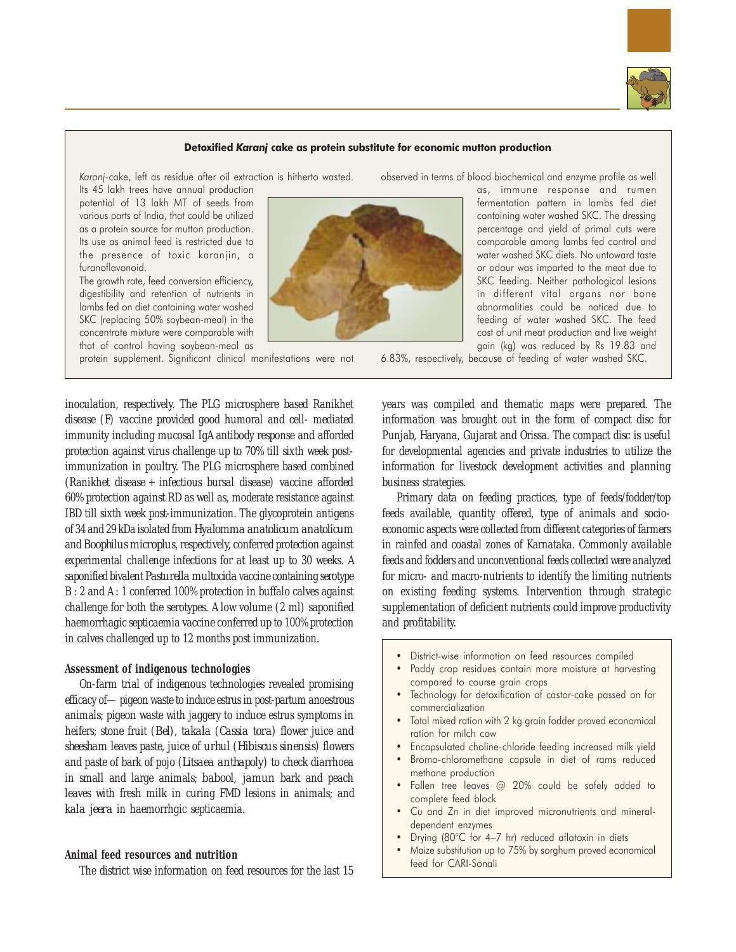

## Detoxified Karanj cake as protein substitute for economic mutton production

Karanj-cake, left as residue after oil extraction is hitherto wasted. Its 45 lakh trees have annual production

potential of 13 lakh MT of seeds from various parts of India, that could be utilized as a protein source for mutton production. Its use as animal feed is restricted due to the presence of toxic karanjin, a furanoflavonoid.

The growth rate, feed conversion efficiency, digestibility and retention of nutrients in lambs fed on diet containing water washed SKC (replacing 50% soybean-meal) in the concentrate mixture were comparable with that of control having soybean-meal as

protein supplement. Significant clinical manifestations were not

inoculation, respectively. The PLG microsphere based Ranikhet disease (F) vaccine provided good humoral and cell- mediated immunity including mucosal IgA antibody response and afforded protection against virus challenge up to 70% till sixth week postimmunization in poultry. The PLG microsphere based combined (Ranikhet disease + infectious bursal disease) vaccine afforded 60% protection against RD as well as, moderate resistance against IBD till sixth week post-immunization. The glycoprotein antigens of 34 and 29 kDa isolated from *Hyalomma anatolicum anatolicum* and *Boophilus microplu*s, respectively, conferred protection against experimental challenge infections for at least up to 30 weeks. A saponified bivalent *Pasturella multocida* vaccine containing serotype B : 2 and A : 1 conferred 100% protection in buffalo calves against challenge for both the serotypes. A low volume (2 ml) saponified haemorrhagic septicaemia vaccine conferred up to 100% protection in calves challenged up to 12 months post immunization.

# **Assessment of indigenous technologies**

On-farm trial of indigenous technologies revealed promising efficacy of—pigeon waste to induce estrus in post-partum anoestrous animals; pigeon waste with jaggery to induce estrus symptoms in heifers; stone fruit (*Bel*), *takala* (*Cassia tora*) flower juice and *sheesham* leaves paste, juice of *urhul* (*Hibiscus sinensis*) flowers and paste of bark of pojo (*Litsaea anthapoly*) to check diarrhoea in small and large animals; *babool, jamun* bark and peach leaves with fresh milk in curing FMD lesions in animals; and *kala jeera* in haemorrhgic septicaemia.

# **Animal feed resources and nutrition**

The district wise information on feed resources for the last 15



observed in terms of blood biochemical and enzyme profile as well

as, immune response and rumen fermentation pattern in lambs fed diet containing water washed SKC. The dressing percentage and yield of primal cuts were comparable among lambs fed control and water washed SKC diets. No untoward taste or odour was imparted to the meat due to SKC feeding. Neither pathological lesions in different vital organs nor bone abnormalities could be noticed due to feeding of water washed SKC. The feed cost of unit meat production and live weight gain (kg) was reduced by Rs 19.83 and

6.83%, respectively, because of feeding of water washed SKC.

years was compiled and thematic maps were prepared. The information was brought out in the form of compact disc for Punjab, Haryana, Gujarat and Orissa. The compact disc is useful for developmental agencies and private industries to utilize the information for livestock development activities and planning business strategies.

Primary data on feeding practices, type of feeds/fodder/top feeds available, quantity offered, type of animals and socioeconomic aspects were collected from different categories of farmers in rainfed and coastal zones of Karnataka. Commonly available feeds and fodders and unconventional feeds collected were analyzed for micro- and macro-nutrients to identify the limiting nutrients on existing feeding systems. Intervention through strategic supplementation of deficient nutrients could improve productivity and profitability.

- District-wise information on feed resources compiled
- Paddy crop residues contain more moisture at harvesting compared to course grain crops
- Technology for detoxification of castor-cake passed on for commercialization
- Total mixed ration with 2 kg grain fodder proved economical ration for milch cow
- Encapsulated choline-chloride feeding increased milk yield
- Bromo-chloromethane capsule in diet of rams reduced methane production
- Fallen tree leaves @ 20% could be safely added to complete feed block
- Cu and Zn in diet improved micronutrients and mineraldependent enzymes
- Drying (80°C for 4–7 hr) reduced aflatoxin in diets
- Maize substitution up to 75% by sorghum proved economical feed for CARI-Sonali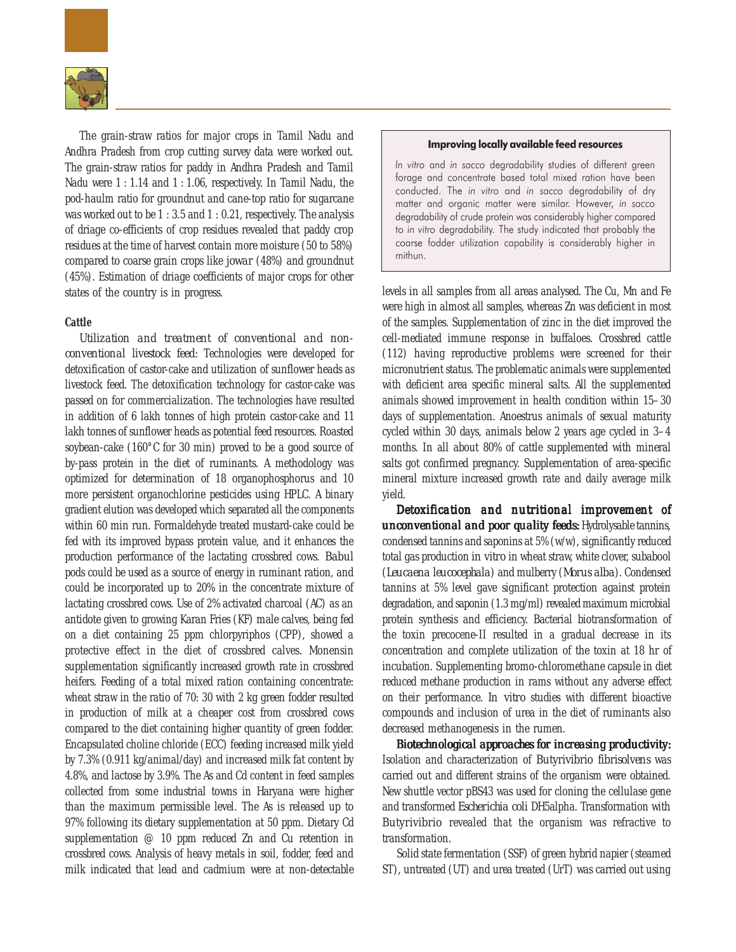

The grain-straw ratios for major crops in Tamil Nadu and Andhra Pradesh from crop cutting survey data were worked out. The grain-straw ratios for paddy in Andhra Pradesh and Tamil Nadu were 1 : 1.14 and 1 : 1.06, respectively. In Tamil Nadu, the pod-haulm ratio for groundnut and cane-top ratio for sugarcane was worked out to be 1 : 3.5 and 1 : 0.21, respectively. The analysis of driage co-efficients of crop residues revealed that paddy crop residues at the time of harvest contain more moisture (50 to 58%) compared to coarse grain crops like *jowar* (48%) and groundnut (45%). Estimation of driage coefficients of major crops for other states of the country is in progress.

# **Cattle**

*Utilization and treatment of conventional and nonconventional livestock feed:* Technologies were developed for detoxification of castor-cake and utilization of sunflower heads as livestock feed. The detoxification technology for castor-cake was passed on for commercialization. The technologies have resulted in addition of 6 lakh tonnes of high protein castor-cake and 11 lakh tonnes of sunflower heads as potential feed resources. Roasted soybean-cake (160°C for 30 min) proved to be a good source of by-pass protein in the diet of ruminants. A methodology was optimized for determination of 18 organophosphorus and 10 more persistent organochlorine pesticides using HPLC. A binary gradient elution was developed which separated all the components within 60 min run. Formaldehyde treated mustard-cake could be fed with its improved bypass protein value, and it enhances the production performance of the lactating crossbred cows. *Babul* pods could be used as a source of energy in ruminant ration, and could be incorporated up to 20% in the concentrate mixture of lactating crossbred cows. Use of 2% activated charcoal (AC) as an antidote given to growing Karan Fries (KF) male calves, being fed on a diet containing 25 ppm chlorpyriphos (CPP), showed a protective effect in the diet of crossbred calves. Monensin supplementation significantly increased growth rate in crossbred heifers. Feeding of a total mixed ration containing concentrate: wheat straw in the ratio of 70: 30 with 2 kg green fodder resulted in production of milk at a cheaper cost from crossbred cows compared to the diet containing higher quantity of green fodder. Encapsulated choline chloride (ECC) feeding increased milk yield by 7.3% (0.911 kg/animal/day) and increased milk fat content by 4.8%, and lactose by 3.9%. The As and Cd content in feed samples collected from some industrial towns in Haryana were higher than the maximum permissible level. The As is released up to 97% following its dietary supplementation at 50 ppm. Dietary Cd supplementation @ 10 ppm reduced Zn and Cu retention in crossbred cows. Analysis of heavy metals in soil, fodder, feed and milk indicated that lead and cadmium were at non-detectable

#### Improving locally available feed resources

In vitro and in sacco degradability studies of different green forage and concentrate based total mixed ration have been conducted. The in vitro and in sacco degradability of dry matter and organic matter were similar. However, in sacco degradability of crude protein was considerably higher compared to in vitro degradability. The study indicated that probably the coarse fodder utilization capability is considerably higher in mithun.

levels in all samples from all areas analysed. The Cu, Mn and Fe were high in almost all samples, whereas Zn was deficient in most of the samples. Supplementation of zinc in the diet improved the cell-mediated immune response in buffaloes. Crossbred cattle (112) having reproductive problems were screened for their micronutrient status. The problematic animals were supplemented with deficient area specific mineral salts. All the supplemented animals showed improvement in health condition within 15–30 days of supplementation. Anoestrus animals of sexual maturity cycled within 30 days, animals below 2 years age cycled in 3–4 months. In all about 80% of cattle supplemented with mineral salts got confirmed pregnancy. Supplementation of area-specific mineral mixture increased growth rate and daily average milk yield.

*Detoxification and nutritional improvement of and nutritional of unconventional and poor quality feeds:* Hydrolysable tannins, condensed tannins and saponins at 5% (w/w), significantly reduced total gas production *in vitro* in wheat straw, white clover, subabool (*Leucaena leucocephala*) and mulberry (*Morus alba*). Condensed tannins at 5% level gave significant protection against protein degradation, and saponin (1.3 mg/ml) revealed maximum microbial protein synthesis and efficiency. Bacterial biotransformation of the toxin precocene-II resulted in a gradual decrease in its concentration and complete utilization of the toxin at 18 hr of incubation. Supplementing bromo-chloromethane capsule in diet reduced methane production in rams without any adverse effect on their performance. *In vitro* studies with different bioactive compounds and inclusion of urea in the diet of ruminants also decreased methanogenesis in the rumen.

*Biotechnological approaches for increasing productivity: approaches increasing*  Isolation and characterization of *Butyrivibrio fibrisolvens* was carried out and different strains of the organism were obtained. New shuttle vector pBS43 was used for cloning the cellulase gene and transformed *Escherichia coli* DH5alpha. Transformation with *Butyrivibrio* revealed that the organism was refractive to transformation.

Solid state fermentation (SSF) of green hybrid napier (steamed ST), untreated (UT) and urea treated (UrT) was carried out using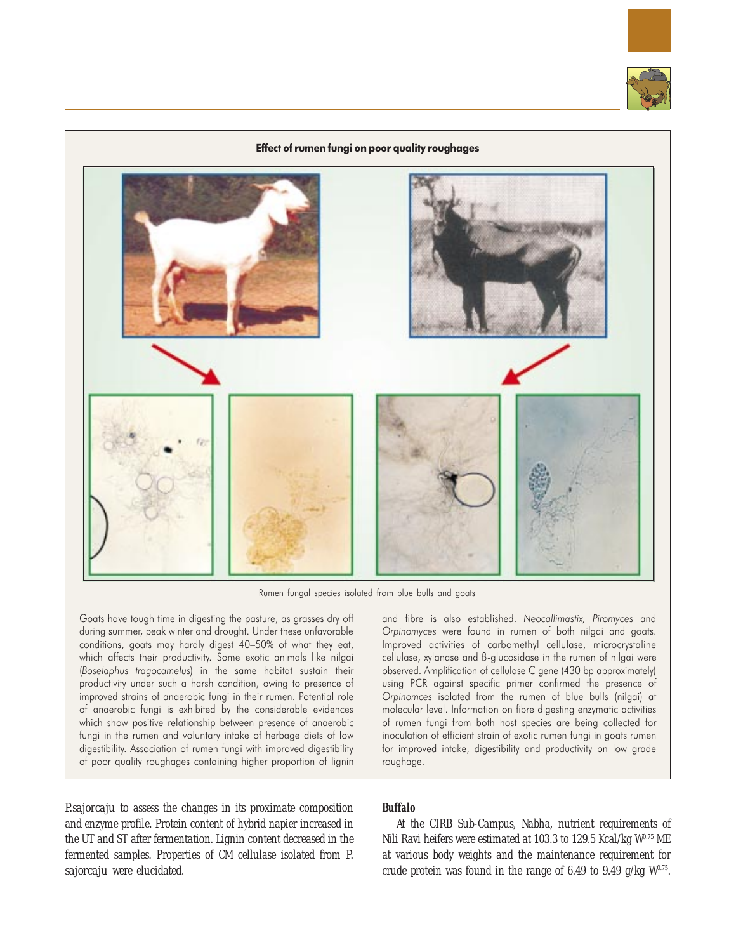



Rumen fungal species isolated from blue bulls and goats

Goats have tough time in digesting the pasture, as grasses dry off during summer, peak winter and drought. Under these unfavorable conditions, goats may hardly digest 40–50% of what they eat, which affects their productivity. Some exotic animals like nilgai (Boselaphus tragocamelus) in the same habitat sustain their productivity under such a harsh condition, owing to presence of improved strains of anaerobic fungi in their rumen. Potential role of anaerobic fungi is exhibited by the considerable evidences which show positive relationship between presence of anaerobic fungi in the rumen and voluntary intake of herbage diets of low digestibility. Association of rumen fungi with improved digestibility of poor quality roughages containing higher proportion of lignin

and fibre is also established. Neocallimastix, Piromyces and Orpinomyces were found in rumen of both nilgai and goats. Improved activities of carbomethyl cellulase, microcrystaline cellulase, xylanase and ß-glucosidase in the rumen of nilgai were observed. Amplification of cellulase C gene (430 bp approximately) using PCR against specific primer confirmed the presence of Orpinomces isolated from the rumen of blue bulls (nilgai) at molecular level. Information on fibre digesting enzymatic activities of rumen fungi from both host species are being collected for inoculation of efficient strain of exotic rumen fungi in goats rumen for improved intake, digestibility and productivity on low grade roughage.

*P.sajorcaju* to assess the changes in its proximate composition and enzyme profile. Protein content of hybrid napier increased in the UT and ST after fermentation. Lignin content decreased in the fermented samples. Properties of CM cellulase isolated from *P. sajorcaju* were elucidated.

# **Buffalo**

At the CIRB Sub-Campus, Nabha, nutrient requirements of Nili Ravi heifers were estimated at 103.3 to 129.5 Kcal/kg W0.75 ME at various body weights and the maintenance requirement for crude protein was found in the range of 6.49 to 9.49 g/kg  $W^{0.75}$ .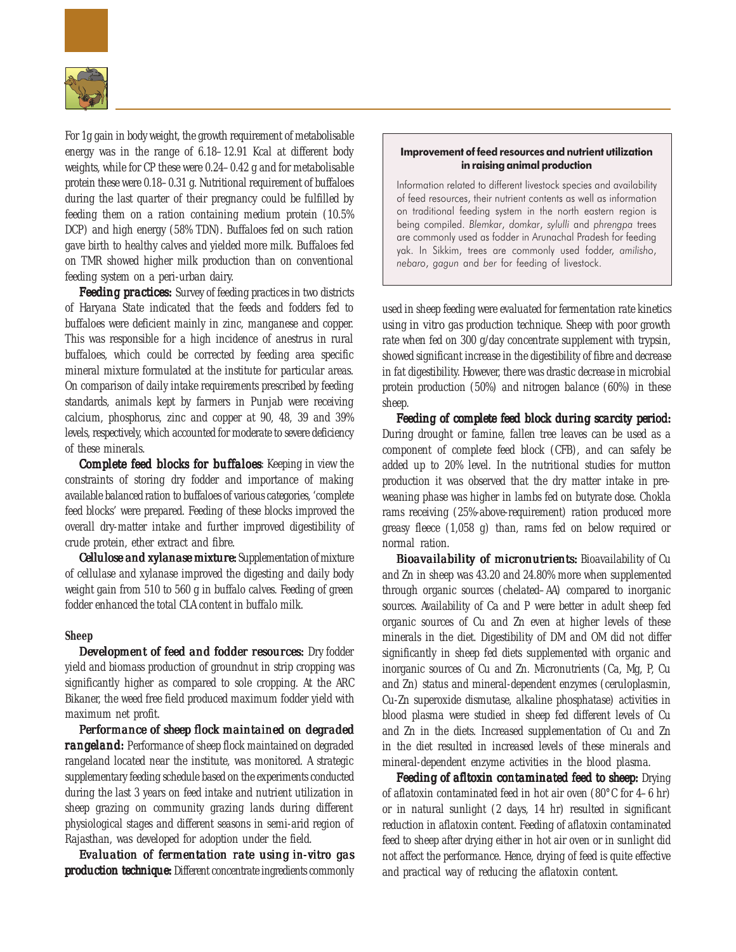

For 1g gain in body weight, the growth requirement of metabolisable energy was in the range of 6.18–12.91 Kcal at different body weights, while for CP these were 0.24–0.42 g and for metabolisable protein these were 0.18–0.31 g. Nutritional requirement of buffaloes during the last quarter of their pregnancy could be fulfilled by feeding them on a ration containing medium protein (10.5% DCP) and high energy (58% TDN). Buffaloes fed on such ration gave birth to healthy calves and yielded more milk. Buffaloes fed on TMR showed higher milk production than on conventional feeding system on a peri-urban dairy.

*Feeding practices:* Survey of feeding practices in two districts of Haryana State indicated that the feeds and fodders fed to buffaloes were deficient mainly in zinc, manganese and copper. This was responsible for a high incidence of anestrus in rural buffaloes, which could be corrected by feeding area specific mineral mixture formulated at the institute for particular areas. On comparison of daily intake requirements prescribed by feeding standards, animals kept by farmers in Punjab were receiving calcium, phosphorus, zinc and copper at 90, 48, 39 and 39% levels, respectively, which accounted for moderate to severe deficiency of these minerals.

*Complete feed blocks for buffaloes: Beeping in view the* constraints of storing dry fodder and importance of making available balanced ration to buffaloes of various categories, 'complete feed blocks' were prepared. Feeding of these blocks improved the overall dry-matter intake and further improved digestibility of crude protein, ether extract and fibre.

*Cellulose and xylanase mixture:* Supplementation of mixture of cellulase and xylanase improved the digesting and daily body weight gain from 510 to 560 g in buffalo calves. Feeding of green fodder enhanced the total CLA content in buffalo milk.

# **Sheep**

*Development of feed and fodder resources: Dry fodder* yield and biomass production of groundnut in strip cropping was significantly higher as compared to sole cropping. At the ARC Bikaner, the weed free field produced maximum fodder yield with maximum net profit.

*Performance of sheep flock maintained on degraded rangeland:* Performance of sheep flock maintained on degraded rangeland located near the institute, was monitored. A strategic supplementary feeding schedule based on the experiments conducted during the last 3 years on feed intake and nutrient utilization in sheep grazing on community grazing lands during different physiological stages and different seasons in semi-arid region of Rajasthan, was developed for adoption under the field.

*Evaluation of fermentation rate using* in-vitro *gas production technique:* Different concentrate ingredients commonly

## Improvement of feed resources and nutrient utilization in raising animal production

Information related to different livestock species and availability of feed resources, their nutrient contents as well as information on traditional feeding system in the north eastern region is being compiled. Blemkar, domkar, sylulli and phrengpa trees are commonly used as fodder in Arunachal Pradesh for feeding yak. In Sikkim, trees are commonly used fodder, amilisho, nebaro, gagun and ber for feeding of livestock.

used in sheep feeding were evaluated for fermentation rate kinetics using *in vitro* gas production technique. Sheep with poor growth rate when fed on 300 g/day concentrate supplement with trypsin, showed significant increase in the digestibility of fibre and decrease in fat digestibility. However, there was drastic decrease in microbial protein production (50%) and nitrogen balance (60%) in these sheep.

*Feeding of complete feed block during scarcity period: complete feed during scarcity*  During drought or famine, fallen tree leaves can be used as a component of complete feed block (CFB), and can safely be added up to 20% level. In the nutritional studies for mutton production it was observed that the dry matter intake in preweaning phase was higher in lambs fed on butyrate dose. Chokla rams receiving (25%-above-requirement) ration produced more greasy fleece (1,058 g) than, rams fed on below required or normal ration.

*Bioavailability of micronutrients: Bioavailability of Cu* and Zn in sheep was 43.20 and 24.80% more when supplemented through organic sources (chelated–AA) compared to inorganic sources. Availability of Ca and P were better in adult sheep fed organic sources of Cu and Zn even at higher levels of these minerals in the diet. Digestibility of DM and OM did not differ significantly in sheep fed diets supplemented with organic and inorganic sources of Cu and Zn. Micronutrients (Ca, Mg, P, Cu and Zn) status and mineral-dependent enzymes (ceruloplasmin, Cu-Zn superoxide dismutase, alkaline phosphatase) activities in blood plasma were studied in sheep fed different levels of Cu and Zn in the diets. Increased supplementation of Cu and Zn in the diet resulted in increased levels of these minerals and mineral-dependent enzyme activities in the blood plasma.

*Feeding of afltoxin contaminated feed to sheep: Drying* of aflatoxin contaminated feed in hot air oven (80°C for 4–6 hr) or in natural sunlight (2 days, 14 hr) resulted in significant reduction in aflatoxin content. Feeding of aflatoxin contaminated feed to sheep after drying either in hot air oven or in sunlight did not affect the performance. Hence, drying of feed is quite effective and practical way of reducing the aflatoxin content.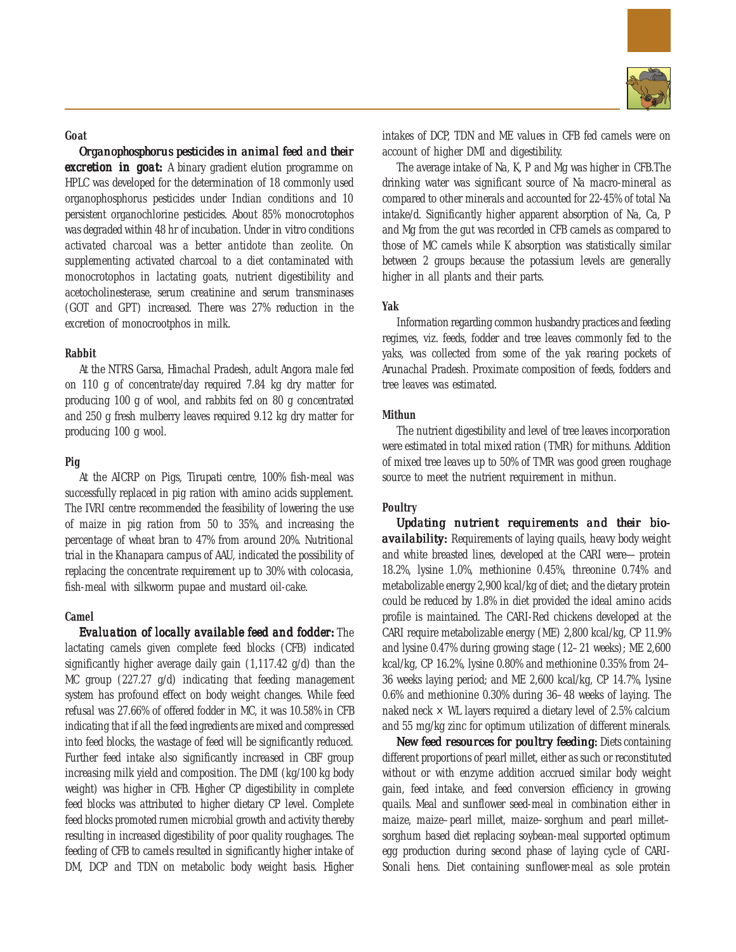#### **Goat**

**Organophosphorus pesticides in animal feed and their** *excretion in goat:* A binary gradient elution programme on HPLC was developed for the determination of 18 commonly used organophosphorus pesticides under Indian conditions and 10 persistent organochlorine pesticides. About 85% monocrotophos was degraded within 48 hr of incubation. Under *in vitro* conditions activated charcoal was a better antidote than zeolite. On supplementing activated charcoal to a diet contaminated with monocrotophos in lactating goats, nutrient digestibility and acetocholinesterase, serum creatinine and serum transminases (GOT and GPT) increased. There was 27% reduction in the excretion of monocrootphos in milk.

#### **Rabbit**

At the NTRS Garsa, Himachal Pradesh, adult Angora male fed on 110 g of concentrate/day required 7.84 kg dry matter for producing 100 g of wool, and rabbits fed on 80 g concentrated and 250 g fresh mulberry leaves required 9.12 kg dry matter for producing 100 g wool.

# **Pig**

At the AICRP on Pigs, Tirupati centre, 100% fish-meal was successfully replaced in pig ration with amino acids supplement. The IVRI centre recommended the feasibility of lowering the use of maize in pig ration from 50 to 35%, and increasing the percentage of wheat bran to 47% from around 20%. Nutritional trial in the Khanapara campus of AAU, indicated the possibility of replacing the concentrate requirement up to 30% with colocasia, fish-meal with silkworm pupae and mustard oil-cake.

# **Camel**

*Evaluation of locally available feed and fodder:* **The** lactating camels given complete feed blocks (CFB) indicated significantly higher average daily gain (1,117.42 g/d) than the MC group (227.27 g/d) indicating that feeding management system has profound effect on body weight changes. While feed refusal was 27.66% of offered fodder in MC, it was 10.58% in CFB indicating that if all the feed ingredients are mixed and compressed into feed blocks, the wastage of feed will be significantly reduced. Further feed intake also significantly increased in CBF group increasing milk yield and composition. The DMI (kg/100 kg body weight) was higher in CFB. Higher CP digestibility in complete feed blocks was attributed to higher dietary CP level. Complete feed blocks promoted rumen microbial growth and activity thereby resulting in increased digestibility of poor quality roughages. The feeding of CFB to camels resulted in significantly higher intake of DM, DCP and TDN on metabolic body weight basis. Higher



intakes of DCP, TDN and ME values in CFB fed camels were on account of higher DMI and digestibility.

The average intake of Na, K, P and Mg was higher in CFB.The drinking water was significant source of Na macro-mineral as compared to other minerals and accounted for 22-45% of total Na intake/d. Significantly higher apparent absorption of Na, Ca, P and Mg from the gut was recorded in CFB camels as compared to those of MC camels while K absorption was statistically similar between 2 groups because the potassium levels are generally higher in all plants and their parts.

#### **Yak**

Information regarding common husbandry practices and feeding regimes, viz. feeds, fodder and tree leaves commonly fed to the yaks, was collected from some of the yak rearing pockets of Arunachal Pradesh. Proximate composition of feeds, fodders and tree leaves was estimated.

# **Mithun**

The nutrient digestibility and level of tree leaves incorporation were estimated in total mixed ration (TMR) for mithuns. Addition of mixed tree leaves up to 50% of TMR was good green roughage source to meet the nutrient requirement in mithun.

# **Poultry**

Updating nutrient requirements and their bio*availability:* Requirements of laying quails, heavy body weight and white breasted lines, developed at the CARI were—protein 18.2%, lysine 1.0%, methionine 0.45%, threonine 0.74% and metabolizable energy 2,900 kcal/kg of diet; and the dietary protein could be reduced by 1.8% in diet provided the ideal amino acids profile is maintained. The CARI-Red chickens developed at the CARI require metabolizable energy (ME) 2,800 kcal/kg, CP 11.9% and lysine 0.47% during growing stage (12–21 weeks); ME 2,600 kcal/kg, CP 16.2%, lysine 0.80% and methionine 0.35% from 24– 36 weeks laying period; and ME 2,600 kcal/kg, CP 14.7%, lysine 0.6% and methionine 0.30% during 36–48 weeks of laying. The naked neck  $\times$  WL layers required a dietary level of 2.5% calcium and 55 mg/kg zinc for optimum utilization of different minerals.

*New feed resources for poultry feeding: Diets containing* different proportions of pearl millet, either as such or reconstituted without or with enzyme addition accrued similar body weight gain, feed intake, and feed conversion efficiency in growing quails. Meal and sunflower seed-meal in combination either in maize, maize–pearl millet, maize–sorghum and pearl millet– sorghum based diet replacing soybean-meal supported optimum egg production during second phase of laying cycle of CARI-Sonali hens. Diet containing sunflower-meal as sole protein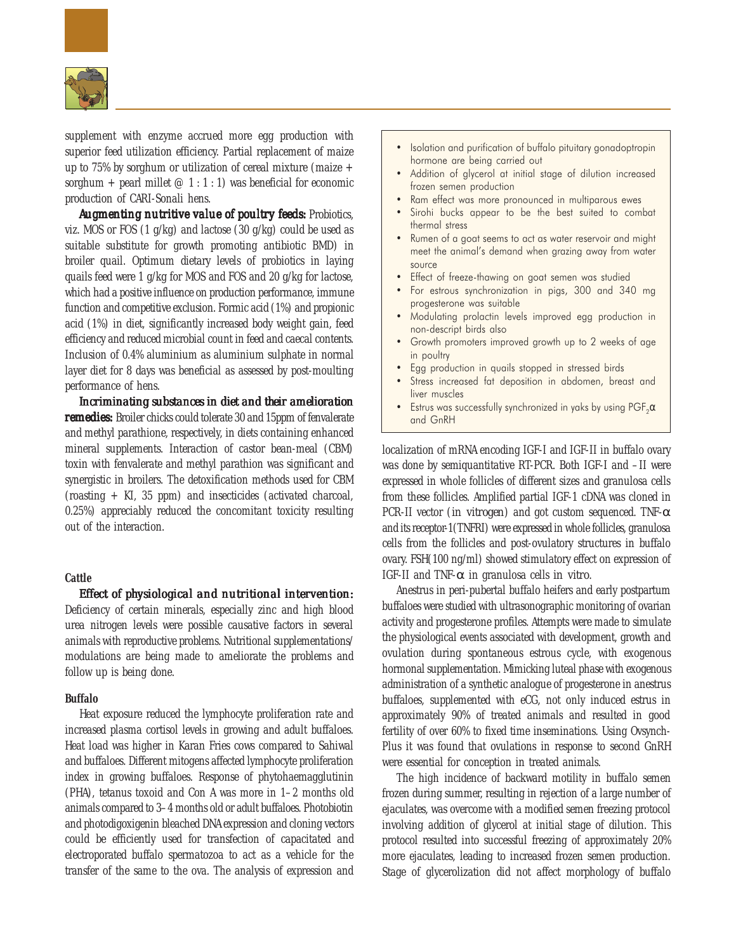

supplement with enzyme accrued more egg production with superior feed utilization efficiency. Partial replacement of maize up to 75% by sorghum or utilization of cereal mixture (maize  $+$ sorghum + pearl millet  $@ 1:1:1)$  was beneficial for economic production of CARI-Sonali hens.

*Augmenting nutritive value of poultry feeds: Probiotics,* viz. MOS or FOS (1 g/kg) and lactose (30 g/kg) could be used as suitable substitute for growth promoting antibiotic BMD) in broiler quail. Optimum dietary levels of probiotics in laying quails feed were 1 g/kg for MOS and FOS and 20 g/kg for lactose, which had a positive influence on production performance, immune function and competitive exclusion. Formic acid (1%) and propionic acid (1%) in diet, significantly increased body weight gain, feed efficiency and reduced microbial count in feed and caecal contents. Inclusion of 0.4% aluminium as aluminium sulphate in normal layer diet for 8 days was beneficial as assessed by post-moulting performance of hens.

*Incriminating substances in diet and their amelioration remedies:* Broiler chicks could tolerate 30 and 15ppm of fenvalerate and methyl parathione, respectively, in diets containing enhanced mineral supplements. Interaction of castor bean-meal (CBM) toxin with fenvalerate and methyl parathion was significant and synergistic in broilers. The detoxification methods used for CBM (roasting + KI, 35 ppm) and insecticides (activated charcoal, 0.25%) appreciably reduced the concomitant toxicity resulting out of the interaction.

# **Cattle**

*Effect of physiological and nutritional intervention: of physiological nutritional*  Deficiency of certain minerals, especially zinc and high blood urea nitrogen levels were possible causative factors in several animals with reproductive problems. Nutritional supplementations/

modulations are being made to ameliorate the problems and

#### **Buffalo**

follow up is being done.

Heat exposure reduced the lymphocyte proliferation rate and increased plasma cortisol levels in growing and adult buffaloes. Heat load was higher in Karan Fries cows compared to Sahiwal and buffaloes. Different mitogens affected lymphocyte proliferation index in growing buffaloes. Response of phytohaemagglutinin (PHA), tetanus toxoid and Con A was more in 1–2 months old animals compared to 3–4 months old or adult buffaloes. Photobiotin and photodigoxigenin bleached DNA expression and cloning vectors could be efficiently used for transfection of capacitated and electroporated buffalo spermatozoa to act as a vehicle for the transfer of the same to the ova. The analysis of expression and

- Isolation and purification of buffalo pituitary gonadoptropin hormone are being carried out
- Addition of glycerol at initial stage of dilution increased frozen semen production
- Ram effect was more pronounced in multiparous ewes
- Sirohi bucks appear to be the best suited to combat thermal stress
- Rumen of a goat seems to act as water reservoir and might meet the animal's demand when grazing away from water source
- Effect of freeze-thawing on goat semen was studied
- For estrous synchronization in pigs, 300 and 340 mg progesterone was suitable
- Modulating prolactin levels improved egg production in non-descript birds also
- Growth promoters improved growth up to 2 weeks of age in poultry
- Egg production in quails stopped in stressed birds
- Stress increased fat deposition in abdomen, breast and liver muscles
- Estrus was successfully synchronized in yaks by using  $\text{PGF}_2\alpha$ and GnRH

localization of mRNA encoding IGF-I and IGF-II in buffalo ovary was done by semiquantitative RT-PCR. Both IGF-I and –II were expressed in whole follicles of different sizes and granulosa cells from these follicles. Amplified partial IGF-1 cDNA was cloned in PCR-II vector (*in vitrogen*) and got custom sequenced. TNF-α and its receptor-1(TNFRI) were expressed in whole follicles, granulosa cells from the follicles and post-ovulatory structures in buffalo ovary. FSH(100 ng/ml) showed stimulatory effect on expression of IGF-II and TNF-α in granulosa cells *in vitro*.

Anestrus in peri-pubertal buffalo heifers and early postpartum buffaloes were studied with ultrasonographic monitoring of ovarian activity and progesterone profiles. Attempts were made to simulate the physiological events associated with development, growth and ovulation during spontaneous estrous cycle, with exogenous hormonal supplementation. Mimicking luteal phase with exogenous administration of a synthetic analogue of progesterone in anestrus buffaloes, supplemented with eCG, not only induced estrus in approximately 90% of treated animals and resulted in good fertility of over 60% to fixed time inseminations. Using Ovsynch-Plus it was found that ovulations in response to second GnRH were essential for conception in treated animals.

The high incidence of backward motility in buffalo semen frozen during summer, resulting in rejection of a large number of ejaculates, was overcome with a modified semen freezing protocol involving addition of glycerol at initial stage of dilution. This protocol resulted into successful freezing of approximately 20% more ejaculates, leading to increased frozen semen production. Stage of glycerolization did not affect morphology of buffalo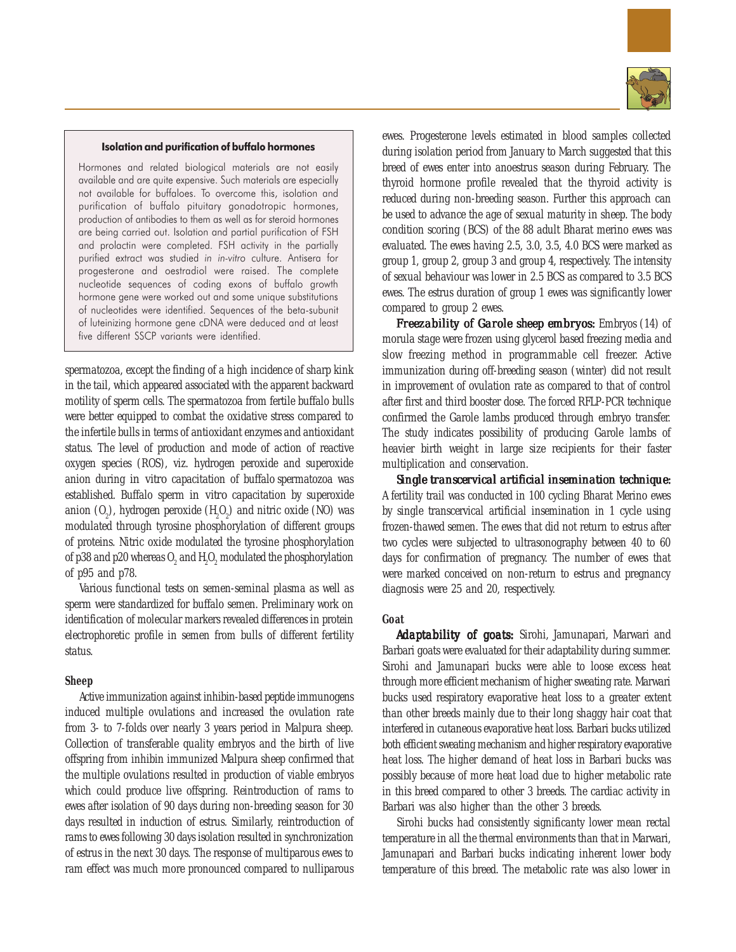

#### Isolation and purification of buffalo hormones

Hormones and related biological materials are not easily available and are quite expensive. Such materials are especially not available for buffaloes. To overcome this, isolation and purification of buffalo pituitary gonadotropic hormones, production of antibodies to them as well as for steroid hormones are being carried out. Isolation and partial purification of FSH and prolactin were completed. FSH activity in the partially purified extract was studied in in-vitro culture. Antisera for progesterone and oestradiol were raised. The complete nucleotide sequences of coding exons of buffalo growth hormone gene were worked out and some unique substitutions of nucleotides were identified. Sequences of the beta-subunit of luteinizing hormone gene cDNA were deduced and at least five different SSCP variants were identified.

spermatozoa, except the finding of a high incidence of sharp kink in the tail, which appeared associated with the apparent backward motility of sperm cells. The spermatozoa from fertile buffalo bulls were better equipped to combat the oxidative stress compared to the infertile bulls in terms of antioxidant enzymes and antioxidant status. The level of production and mode of action of reactive oxygen species (ROS), viz. hydrogen peroxide and superoxide anion during *in vitro* capacitation of buffalo spermatozoa was established. Buffalo sperm *in vitro* capacitation by superoxide anion  $(0_2)$ , hydrogen peroxide  $(H_2O_2)$  and nitric oxide (NO) was modulated through tyrosine phosphorylation of different groups of proteins. Nitric oxide modulated the tyrosine phosphorylation of p38 and p20 whereas  $0_{_2}$  and  $\rm H_{_2}O_{_2}$  modulated the phosphorylation of p95 and p78.

Various functional tests on semen-seminal plasma as well as sperm were standardized for buffalo semen. Preliminary work on identification of molecular markers revealed differences in protein electrophoretic profile in semen from bulls of different fertility status.

## **Sheep**

Active immunization against inhibin-based peptide immunogens induced multiple ovulations and increased the ovulation rate from 3- to 7-folds over nearly 3 years period in Malpura sheep. Collection of transferable quality embryos and the birth of live offspring from inhibin immunized Malpura sheep confirmed that the multiple ovulations resulted in production of viable embryos which could produce live offspring. Reintroduction of rams to ewes after isolation of 90 days during non-breeding season for 30 days resulted in induction of estrus. Similarly, reintroduction of rams to ewes following 30 days isolation resulted in synchronization of estrus in the next 30 days. The response of multiparous ewes to ram effect was much more pronounced compared to nulliparous

ewes. Progesterone levels estimated in blood samples collected during isolation period from January to March suggested that this breed of ewes enter into anoestrus season during February. The thyroid hormone profile revealed that the thyroid activity is reduced during non-breeding season. Further this approach can be used to advance the age of sexual maturity in sheep. The body condition scoring (BCS) of the 88 adult Bharat merino ewes was evaluated. The ewes having 2.5, 3.0, 3.5, 4.0 BCS were marked as group 1, group 2, group 3 and group 4, respectively. The intensity of sexual behaviour was lower in 2.5 BCS as compared to 3.5 BCS ewes. The estrus duration of group 1 ewes was significantly lower compared to group 2 ewes.

*Freezability of Garole sheep embryos:* Embryos (14) of morula stage were frozen using glycerol based freezing media and slow freezing method in programmable cell freezer. Active immunization during off-breeding season (winter) did not result in improvement of ovulation rate as compared to that of control after first and third booster dose. The forced RFLP-PCR technique confirmed the Garole lambs produced through embryo transfer. The study indicates possibility of producing Garole lambs of heavier birth weight in large size recipients for their faster multiplication and conservation.

*Single transcervical artificial insemination technique: Single technique:* A fertility trail was conducted in 100 cycling Bharat Merino ewes by single transcervical artificial insemination in 1 cycle using frozen-thawed semen. The ewes that did not return to estrus after two cycles were subjected to ultrasonography between 40 to 60 days for confirmation of pregnancy. The number of ewes that were marked conceived on non-return to estrus and pregnancy diagnosis were 25 and 20, respectively.

# **Goat**

Adaptability of goats: Sirohi, Jamunapari, Marwari and Barbari goats were evaluated for their adaptability during summer. Sirohi and Jamunapari bucks were able to loose excess heat through more efficient mechanism of higher sweating rate. Marwari bucks used respiratory evaporative heat loss to a greater extent than other breeds mainly due to their long shaggy hair coat that interfered in cutaneous evaporative heat loss. Barbari bucks utilized both efficient sweating mechanism and higher respiratory evaporative heat loss. The higher demand of heat loss in Barbari bucks was possibly because of more heat load due to higher metabolic rate in this breed compared to other 3 breeds. The cardiac activity in Barbari was also higher than the other 3 breeds.

Sirohi bucks had consistently significanty lower mean rectal temperature in all the thermal environments than that in Marwari, Jamunapari and Barbari bucks indicating inherent lower body temperature of this breed. The metabolic rate was also lower in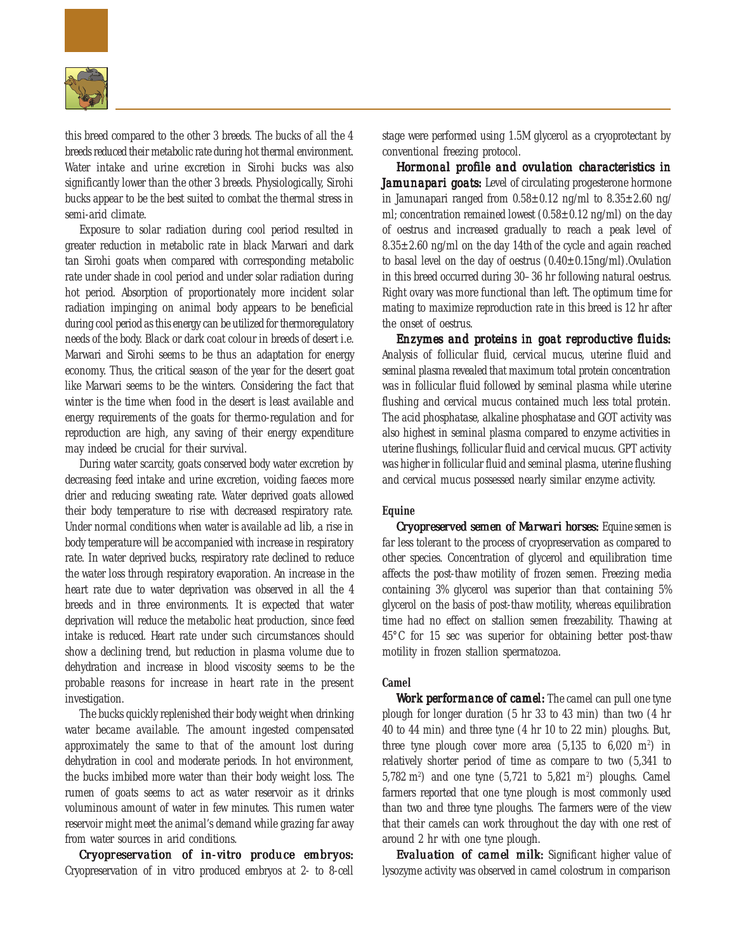

this breed compared to the other 3 breeds. The bucks of all the 4 breeds reduced their metabolic rate during hot thermal environment. Water intake and urine excretion in Sirohi bucks was also significantly lower than the other 3 breeds. Physiologically, Sirohi bucks appear to be the best suited to combat the thermal stress in semi-arid climate.

Exposure to solar radiation during cool period resulted in greater reduction in metabolic rate in black Marwari and dark tan Sirohi goats when compared with corresponding metabolic rate under shade in cool period and under solar radiation during hot period. Absorption of proportionately more incident solar radiation impinging on animal body appears to be beneficial during cool period as this energy can be utilized for thermoregulatory needs of the body. Black or dark coat colour in breeds of desert i.e. Marwari and Sirohi seems to be thus an adaptation for energy economy. Thus, the critical season of the year for the desert goat like Marwari seems to be the winters. Considering the fact that winter is the time when food in the desert is least available and energy requirements of the goats for thermo-regulation and for reproduction are high, any saving of their energy expenditure may indeed be crucial for their survival.

During water scarcity, goats conserved body water excretion by decreasing feed intake and urine excretion, voiding faeces more drier and reducing sweating rate. Water deprived goats allowed their body temperature to rise with decreased respiratory rate. Under normal conditions when water is available *ad lib*, a rise in body temperature will be accompanied with increase in respiratory rate. In water deprived bucks, respiratory rate declined to reduce the water loss through respiratory evaporation. An increase in the heart rate due to water deprivation was observed in all the 4 breeds and in three environments. It is expected that water deprivation will reduce the metabolic heat production, since feed intake is reduced. Heart rate under such circumstances should show a declining trend, but reduction in plasma volume due to dehydration and increase in blood viscosity seems to be the probable reasons for increase in heart rate in the present investigation.

The bucks quickly replenished their body weight when drinking water became available. The amount ingested compensated approximately the same to that of the amount lost during dehydration in cool and moderate periods. In hot environment, the bucks imbibed more water than their body weight loss. The rumen of goats seems to act as water reservoir as it drinks voluminous amount of water in few minutes. This rumen water reservoir might meet the animal's demand while grazing far away from water sources in arid conditions.

*Cryopreservation of* in-vitro *produce embryos:* Cryopreservation of *in vitro* produced embryos at 2- to 8-cell

stage were performed using 1.5M glycerol as a cryoprotectant by conventional freezing protocol.

*Hormonal profile and ovulation characteristics in Jamunapari goats: Jamunapari goats:* Level of circulating progesterone hormone in Jamunapari ranged from  $0.58 \pm 0.12$  ng/ml to  $8.35 \pm 2.60$  ng/ ml; concentration remained lowest  $(0.58\pm0.12 \text{ ng/ml})$  on the day of oestrus and increased gradually to reach a peak level of  $8.35\pm2.60$  ng/ml on the day 14th of the cycle and again reached to basal level on the day of oestrus  $(0.40\pm0.15$ ng/ml).Ovulation in this breed occurred during 30–36 hr following natural oestrus. Right ovary was more functional than left. The optimum time for mating to maximize reproduction rate in this breed is 12 hr after the onset of oestrus.

*Enzymes and proteins in goat reproductive fluids: reproductive fluids:* Analysis of follicular fluid, cervical mucus, uterine fluid and seminal plasma revealed that maximum total protein concentration was in follicular fluid followed by seminal plasma while uterine flushing and cervical mucus contained much less total protein. The acid phosphatase, alkaline phosphatase and GOT activity was also highest in seminal plasma compared to enzyme activities in uterine flushings, follicular fluid and cervical mucus. GPT activity was higher in follicular fluid and seminal plasma, uterine flushing and cervical mucus possessed nearly similar enzyme activity.

# **Equine**

*Cryopreserved semen of Marwari horses:* Equine semen is far less tolerant to the process of cryopreservation as compared to other species. Concentration of glycerol and equilibration time affects the post-thaw motility of frozen semen. Freezing media containing 3% glycerol was superior than that containing 5% glycerol on the basis of post-thaw motility, whereas equilibration time had no effect on stallion semen freezability. Thawing at 45°C for 15 sec was superior for obtaining better post-thaw motility in frozen stallion spermatozoa.

# **Camel**

*Work performance of camel:* The camel can pull one tyne plough for longer duration (5 hr 33 to 43 min) than two (4 hr 40 to 44 min) and three tyne (4 hr 10 to 22 min) ploughs. But, three tyne plough cover more area  $(5.135$  to  $6.020$  m<sup>2</sup>) in relatively shorter period of time as compare to two (5,341 to 5,782 m2 ) and one tyne (5,721 to 5,821 m2 ) ploughs. Camel farmers reported that one tyne plough is most commonly used than two and three tyne ploughs. The farmers were of the view that their camels can work throughout the day with one rest of around 2 hr with one tyne plough.

*Evaluation of camel milk: Evaluation camel milk:* Significant higher value of lysozyme activity was observed in camel colostrum in comparison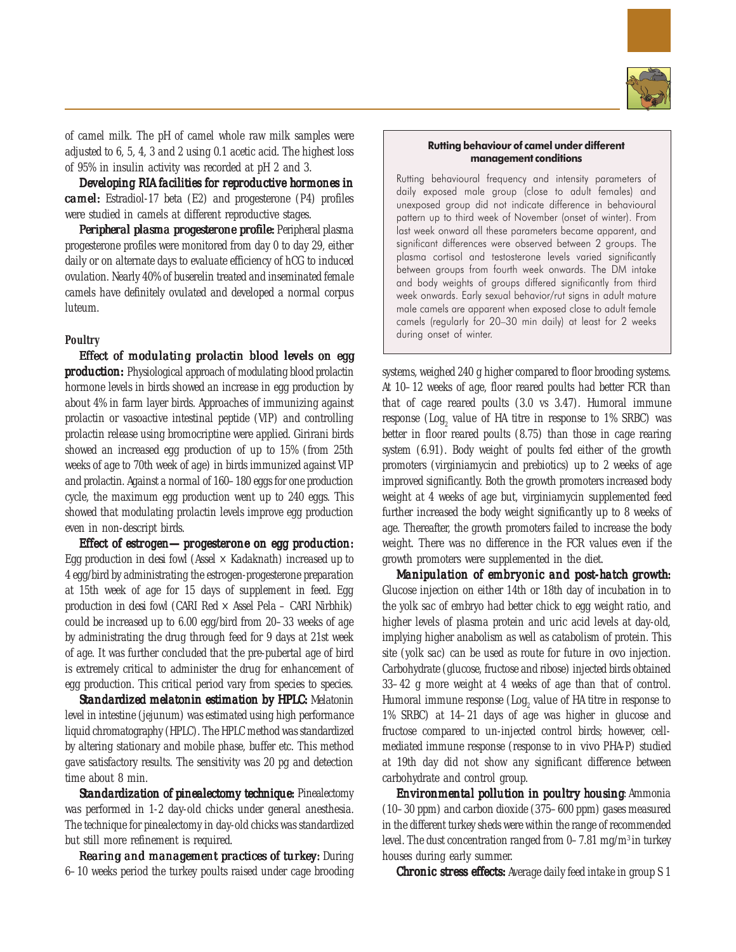

of camel milk. The pH of camel whole raw milk samples were adjusted to 6, 5, 4, 3 and 2 using 0.1 acetic acid. The highest loss of 95% in insulin activity was recorded at pH 2 and 3.

*Developing RIA facilities for reproductive hormones in camel:* Estradiol-17 beta (E2) and progesterone (P4) profiles were studied in camels at different reproductive stages.

*Peripheral plasma progesterone profile:* **Peripheral plasma** progesterone profiles were monitored from day 0 to day 29, either daily or on alternate days to evaluate efficiency of hCG to induced ovulation. Nearly 40% of buserelin treated and inseminated female camels have definitely ovulated and developed a normal corpus luteum.

# **Poultry**

*Effect of modulating prolactin blood levels on egg production:* Physiological approach of modulating blood prolactin hormone levels in birds showed an increase in egg production by about 4% in farm layer birds. Approaches of immunizing against prolactin or vasoactive intestinal peptide (VIP) and controlling prolactin release using bromocriptine were applied. Girirani birds showed an increased egg production of up to 15% (from 25th weeks of age to 70th week of age) in birds immunized against VIP and prolactin. Against a normal of 160–180 eggs for one production cycle, the maximum egg production went up to 240 eggs. This showed that modulating prolactin levels improve egg production even in non-descript birds.

*Effect of estrogen—progesterone on egg production: egg production:* Egg production in *desi* fowl (Assel  $\times$  Kadaknath) increased up to 4 egg/bird by administrating the estrogen-progesterone preparation at 15th week of age for 15 days of supplement in feed. Egg production in *desi* fowl (CARI Red × Assel Pela – CARI Nirbhik) could be increased up to 6.00 egg/bird from 20–33 weeks of age by administrating the drug through feed for 9 days at 21st week of age. It was further concluded that the pre-pubertal age of bird is extremely critical to administer the drug for enhancement of egg production. This critical period vary from species to species.

*Standardized melatonin estimation by HPLC: Melatonin* level in intestine (jejunum) was estimated using high performance liquid chromatography (HPLC). The HPLC method was standardized by altering stationary and mobile phase, buffer etc. This method gave satisfactory results. The sensitivity was 20 pg and detection time about 8 min.

*Standardization of pinealectomy technique: Pinealectomy* was performed in 1-2 day-old chicks under general anesthesia. The technique for pinealectomy in day-old chicks was standardized but still more refinement is required.

*Rearing and management practices of turkey: During* 6–10 weeks period the turkey poults raised under cage brooding

## Rutting behaviour of camel under different management conditions

Rutting behavioural frequency and intensity parameters of daily exposed male group (close to adult females) and unexposed group did not indicate difference in behavioural pattern up to third week of November (onset of winter). From last week onward all these parameters became apparent, and significant differences were observed between 2 groups. The plasma cortisol and testosterone levels varied significantly between groups from fourth week onwards. The DM intake and body weights of groups differed significantly from third week onwards. Early sexual behavior/rut signs in adult mature male camels are apparent when exposed close to adult female camels (regularly for 20–30 min daily) at least for 2 weeks during onset of winter.

systems, weighed 240 g higher compared to floor brooding systems. At 10–12 weeks of age, floor reared poults had better FCR than that of cage reared poults (3.0 vs 3.47). Humoral immune response  $($ Log $_2$  value of HA titre in response to 1% SRBC) was better in floor reared poults (8.75) than those in cage rearing system (6.91). Body weight of poults fed either of the growth promoters (virginiamycin and prebiotics) up to 2 weeks of age improved significantly. Both the growth promoters increased body weight at 4 weeks of age but, virginiamycin supplemented feed further increased the body weight significantly up to 8 weeks of age. Thereafter, the growth promoters failed to increase the body weight. There was no difference in the FCR values even if the growth promoters were supplemented in the diet.

*Manipulation of embryonic and post-hatch growth: Manipulation of embryonic post-hatch*  Glucose injection on either 14th or 18th day of incubation in to the yolk sac of embryo had better chick to egg weight ratio, and higher levels of plasma protein and uric acid levels at day-old, implying higher anabolism as well as catabolism of protein. This site (yolk sac) can be used as route for future *in ovo* injection. Carbohydrate (glucose, fructose and ribose) injected birds obtained 33–42 g more weight at 4 weeks of age than that of control. Humoral immune response  $(\text{Log}_2$  value of HA titre in response to 1% SRBC) at 14–21 days of age was higher in glucose and fructose compared to un-injected control birds; however, cellmediated immune response (response to *in vivo* PHA-P) studied at 19th day did not show any significant difference between carbohydrate and control group.

*Environmental pollution in poultry housing: Ammonia* (10–30 ppm) and carbon dioxide (375–600 ppm) gases measured in the different turkey sheds were within the range of recommended level. The dust concentration ranged from  $0-7.81$  mg/m<sup>3</sup> in turkey houses during early summer.

**Chronic stress effects:** Average daily feed intake in group S 1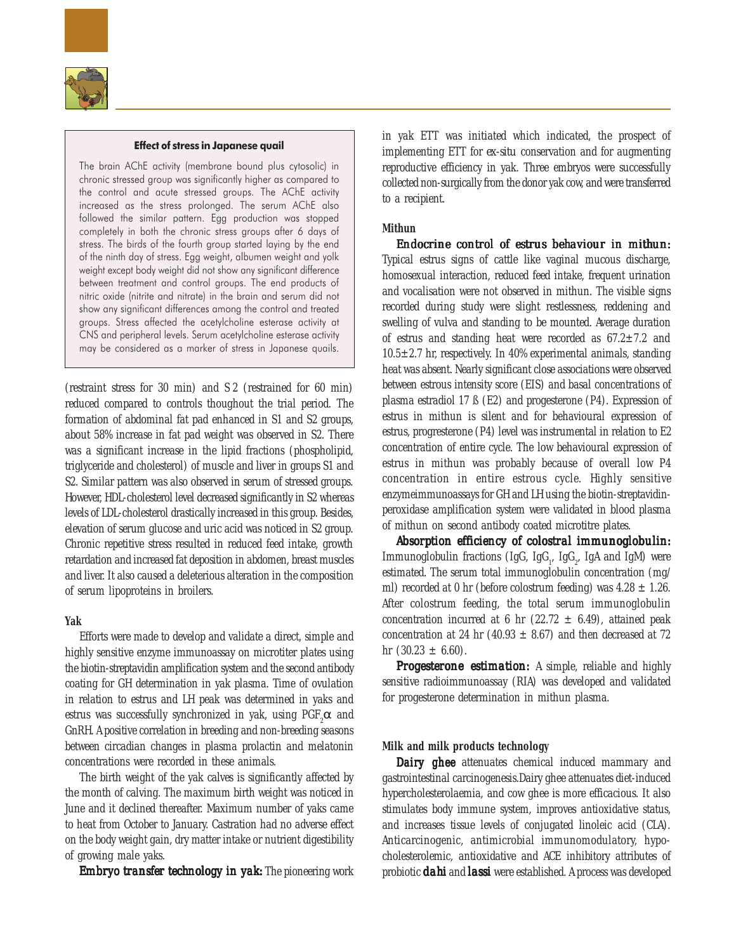

#### Effect of stress in Japanese quail

The brain AChE activity (membrane bound plus cytosolic) in chronic stressed group was significantly higher as compared to the control and acute stressed groups. The AChE activity increased as the stress prolonged. The serum AChE also followed the similar pattern. Egg production was stopped completely in both the chronic stress groups after 6 days of stress. The birds of the fourth group started laying by the end of the ninth day of stress. Egg weight, albumen weight and yolk weight except body weight did not show any significant difference between treatment and control groups. The end products of nitric oxide (nitrite and nitrate) in the brain and serum did not show any significant differences among the control and treated groups. Stress affected the acetylcholine esterase activity at CNS and peripheral levels. Serum acetylcholine esterase activity may be considered as a marker of stress in Japanese quails.

(restraint stress for 30 min) and S 2 (restrained for 60 min) reduced compared to controls thoughout the trial period. The formation of abdominal fat pad enhanced in S1 and S2 groups, about 58% increase in fat pad weight was observed in S2. There was a significant increase in the lipid fractions (phospholipid, triglyceride and cholesterol) of muscle and liver in groups S1 and S2. Similar pattern was also observed in serum of stressed groups. However, HDL-cholesterol level decreased significantly in S2 whereas levels of LDL-cholesterol drastically increased in this group. Besides, elevation of serum glucose and uric acid was noticed in S2 group. Chronic repetitive stress resulted in reduced feed intake, growth retardation and increased fat deposition in abdomen, breast muscles and liver. It also caused a deleterious alteration in the composition of serum lipoproteins in broilers.

# **Yak**

Efforts were made to develop and validate a direct, simple and highly sensitive enzyme immunoassay on microtiter plates using the biotin-streptavidin amplification system and the second antibody coating for GH determination in yak plasma. Time of ovulation in relation to estrus and LH peak was determined in yaks and estrus was successfully synchronized in yak, using  $\mathrm{PGF}_2\alpha$  and GnRH. A positive correlation in breeding and non-breeding seasons between circadian changes in plasma prolactin and melatonin concentrations were recorded in these animals.

The birth weight of the yak calves is significantly affected by the month of calving. The maximum birth weight was noticed in June and it declined thereafter. Maximum number of yaks came to heat from October to January. Castration had no adverse effect on the body weight gain, dry matter intake or nutrient digestibility of growing male yaks.

*Embryo transfer technology in yak:* **The pioneering work** 

in yak ETT was initiated which indicated, the prospect of implementing ETT for *ex-situ* conservation and for augmenting reproductive efficiency in yak. Three embryos were successfully collected non-surgically from the donor yak cow, and were transferred to a recipient.

# **Mithun**

*Endocrine control of estrus behaviour in mithun: Endocrine control of behaviour in*  Typical estrus signs of cattle like vaginal mucous discharge, homosexual interaction, reduced feed intake, frequent urination and vocalisation were not observed in mithun. The visible signs recorded during study were slight restlessness, reddening and swelling of vulva and standing to be mounted. Average duration of estrus and standing heat were recorded as  $67.2 \pm 7.2$  and  $10.5\pm2.7$  hr, respectively. In 40% experimental animals, standing heat was absent. Nearly significant close associations were observed between estrous intensity score (EIS) and basal concentrations of plasma estradiol 17 ß (E2) and progesterone (P4). Expression of estrus in mithun is silent and for behavioural expression of estrus, progresterone (P4) level was instrumental in relation to E2 concentration of entire cycle. The low behavioural expression of estrus in mithun was probably because of overall low P4 concentration in entire estrous cycle. Highly sensitive enzymeimmunoassays for GH and LH using the biotin-streptavidinperoxidase amplification system were validated in blood plasma of mithun on second antibody coated microtitre plates.

*Absorption efficiency of colostral immunoglobulin: efficiency of colostral*  Immunoglobulin fractions (IgG, IgG<sub>1</sub>, IgG<sub>2</sub>, IgA and IgM) were estimated. The serum total immunoglobulin concentration (mg/ ml) recorded at 0 hr (before colostrum feeding) was  $4.28 \pm 1.26$ . After colostrum feeding, the total serum immunoglobulin concentration incurred at 6 hr (22.72  $\pm$  6.49), attained peak concentration at 24 hr (40.93  $\pm$  8.67) and then decreased at 72 hr  $(30.23 \pm 6.60)$ .

**Progesterone estimation:** A simple, reliable and highly sensitive radioimmunoassay (RIA) was developed and validated for progesterone determination in mithun plasma.

# **Milk and milk products technology**

Dairy ghee attenuates chemical induced mammary and gastrointestinal carcinogenesis.Dairy ghee attenuates diet-induced hypercholesterolaemia, and cow ghee is more efficacious. It also stimulates body immune system, improves antioxidative status, and increases tissue levels of conjugated linoleic acid (CLA). Anticarcinogenic, antimicrobial immunomodulatory, hypocholesterolemic, antioxidative and ACE inhibitory attributes of probiotic *dahi* and *lassi* were established. A process was developed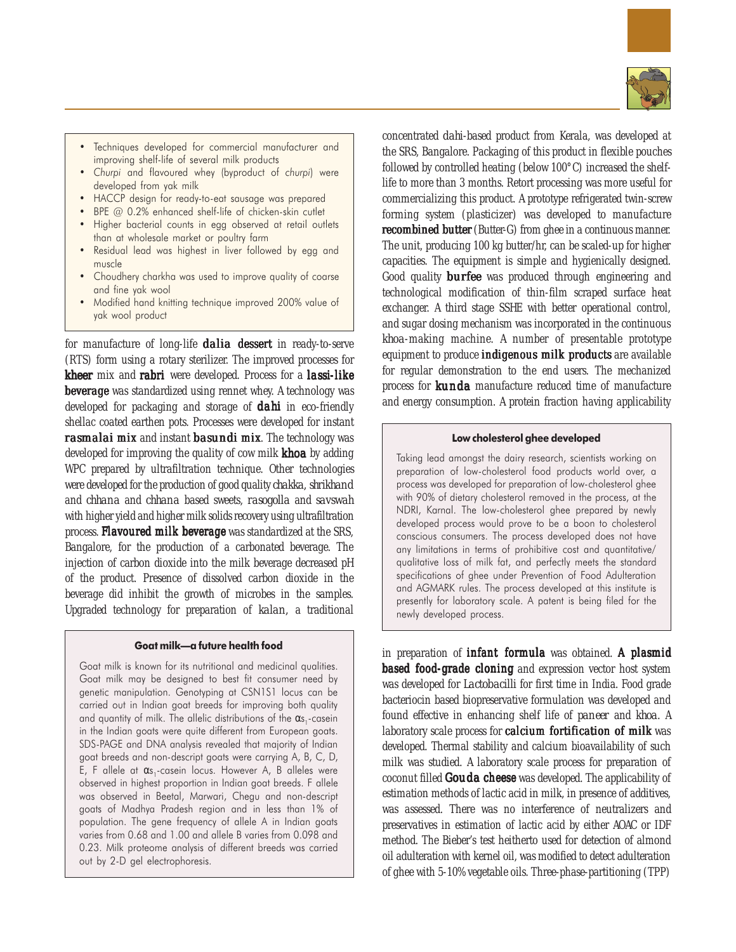

- Techniques developed for commercial manufacturer and improving shelf-life of several milk products
- Churpi and flavoured whey (byproduct of churpi) were developed from yak milk
- HACCP design for ready-to-eat sausage was prepared
- BPE @ 0.2% enhanced shelf-life of chicken-skin cutlet
- Higher bacterial counts in egg observed at retail outlets than at wholesale market or poultry farm
- Residual lead was highest in liver followed by egg and muscle
- Choudhery charkha was used to improve quality of coarse and fine yak wool
- Modified hand knitting technique improved 200% value of yak wool product

for manufacture of long-life *dalia* dessert in ready-to-serve (RTS) form using a rotary sterilizer. The improved processes for *kheer* mix and rabri were developed. Process for a *lassi*-like beverage was standardized using rennet whey. A technology was developed for packaging and storage of *dahi* in eco-friendly shellac coated earthen pots. Processes were developed for instant *rasmalai* mix and instant *basundi* mix. The technology was developed for improving the quality of cow milk *khoa* by adding WPC prepared by ultrafiltration technique. Other technologies were developed for the production of good quality *chakka, shrikhand* and *chhana* and *chhana* based sweets, *rasogolla* and *savswah* with higher yield and higher milk solids recovery using ultrafiltration process. Flavoured milk beverage was standardized at the SRS, Bangalore, for the production of a carbonated beverage. The injection of carbon dioxide into the milk beverage decreased pH of the product. Presence of dissolved carbon dioxide in the beverage did inhibit the growth of microbes in the samples. Upgraded technology for preparation of *kalan,* a traditional

#### Goat milk—a future health food

Goat milk is known for its nutritional and medicinal qualities. Goat milk may be designed to best fit consumer need by genetic manipulation. Genotyping at CSN1S1 locus can be carried out in Indian goat breeds for improving both quality and quantity of milk. The allelic distributions of the  $\alpha s$ ,-casein in the Indian goats were quite different from European goats. SDS-PAGE and DNA analysis revealed that majority of Indian goat breeds and non-descript goats were carrying A, B, C, D, E, F allele at  $\alpha s_1$ -casein locus. However A, B alleles were observed in highest proportion in Indian goat breeds. F allele was observed in Beetal, Marwari, Chegu and non-descript goats of Madhya Pradesh region and in less than 1% of population. The gene frequency of allele A in Indian goats varies from 0.68 and 1.00 and allele B varies from 0.098 and 0.23. Milk proteome analysis of different breeds was carried out by 2-D gel electrophoresis.

concentrated *dahi*-based product from Kerala, was developed at the SRS, Bangalore. Packaging of this product in flexible pouches followed by controlled heating (below 100°C) increased the shelflife to more than 3 months. Retort processing was more useful for commercializing this product. A prototype refrigerated twin-screw forming system (plasticizer) was developed to manufacture recombined butter (Butter-G) from ghee in a continuous manner. The unit, producing 100 kg butter/hr, can be scaled-up for higher capacities. The equipment is simple and hygienically designed. Good quality *burfee* was produced through engineering and technological modification of thin-film scraped surface heat exchanger. A third stage SSHE with better operational control, and sugar dosing mechanism was incorporated in the continuous *khoa*-making machine. A number of presentable prototype equipment to produce *indigenous* milk products are available for regular demonstration to the end users. The mechanized process for *kunda* manufacture reduced time of manufacture and energy consumption. A protein fraction having applicability

## Low cholesterol ghee developed

Taking lead amongst the dairy research, scientists working on preparation of low-cholesterol food products world over, a process was developed for preparation of low-cholesterol ghee with 90% of dietary cholesterol removed in the process, at the NDRI, Karnal. The low-cholesterol ghee prepared by newly developed process would prove to be a boon to cholesterol conscious consumers. The process developed does not have any limitations in terms of prohibitive cost and quantitative/ qualitative loss of milk fat, and perfectly meets the standard specifications of ghee under Prevention of Food Adulteration and AGMARK rules. The process developed at this institute is presently for laboratory scale. A patent is being filed for the newly developed process.

in preparation of infant formula was obtained. A plasmid based food-grade cloning and expression vector host system was developed for *Lactobacilli* for first time in India. Food grade bacteriocin based biopreservative formulation was developed and found effective in enhancing shelf life of *paneer* and *khoa*. A laboratory scale process for calcium fortification of milk was developed. Thermal stability and calcium bioavailability of such milk was studied. A laboratory scale process for preparation of coconut filled *Gouda* cheese was developed. The applicability of estimation methods of lactic acid in milk, in presence of additives, was assessed. There was no interference of neutralizers and preservatives in estimation of lactic acid by either AOAC or IDF method. The Bieber's test heitherto used for detection of almond oil adulteration with kernel oil, was modified to detect adulteration of ghee with 5-10% vegetable oils. Three-phase-partitioning (TPP)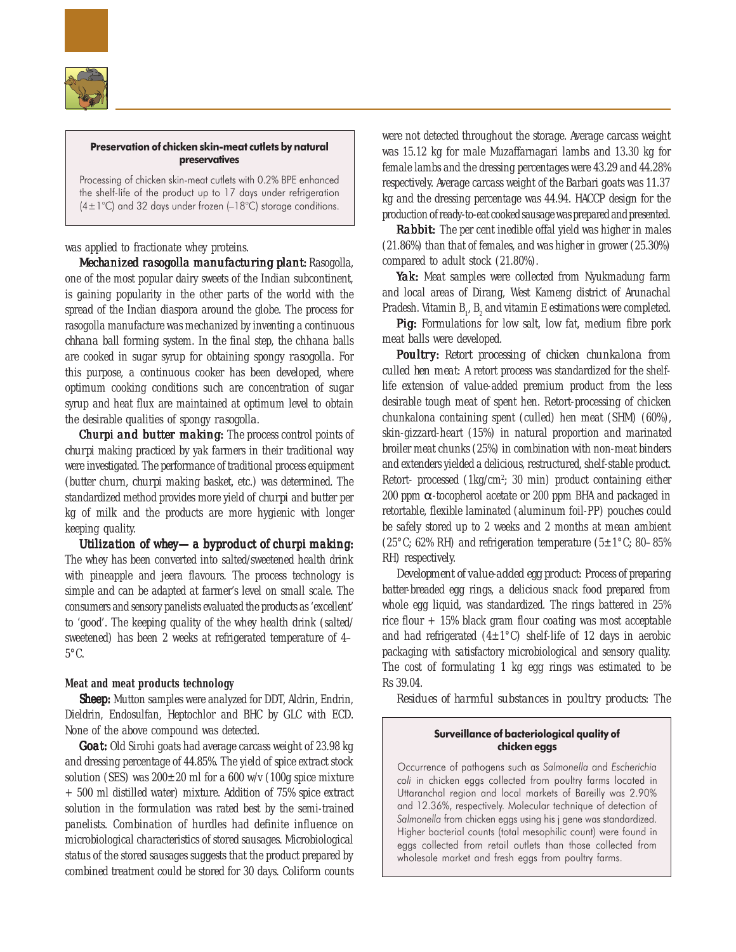

# Preservation of chicken skin-meat cutlets by natural preservatives

Processing of chicken skin-meat cutlets with 0.2% BPE enhanced the shelf-life of the product up to 17 days under refrigeration  $(4\pm1\degree C)$  and 32 days under frozen (-18°C) storage conditions.

was applied to fractionate whey proteins.

*Mechanized rasogolla manufacturing plant: Rasogolla,* one of the most popular dairy sweets of the Indian subcontinent, is gaining popularity in the other parts of the world with the spread of the Indian diaspora around the globe. The process for rasogolla manufacture was mechanized by inventing a continuous *chhana* ball forming system. In the final step, the chhana balls are cooked in sugar syrup for obtaining spongy *rasogolla*. For this purpose, a continuous cooker has been developed, where optimum cooking conditions such are concentration of sugar syrup and heat flux are maintained at optimum level to obtain the desirable qualities of spongy *rasogolla*.

**Churpi and butter making:** The process control points of *churpi* making practiced by yak farmers in their traditional way were investigated. The performance of traditional process equipment (butter churn, *churpi* making basket, etc.) was determined. The standardized method provides more yield of *churpi* and butter per kg of milk and the products are more hygienic with longer keeping quality.

*Utilization of whey—a byproduct of churpi making:* The whey has been converted into salted/sweetened health drink with pineapple and jeera flavours. The process technology is simple and can be adapted at farmer's level on small scale. The consumers and sensory panelists evaluated the products as 'excellent' to 'good'. The keeping quality of the whey health drink (salted/ sweetened) has been 2 weeks at refrigerated temperature of 4–  $5^{\circ}$ C.

# **Meat and meat products technology**

*Sheep:* Mutton samples were analyzed for DDT, Aldrin, Endrin, Dieldrin, Endosulfan, Heptochlor and BHC by GLC with ECD. None of the above compound was detected.

*Goat:* Old Sirohi goats had average carcass weight of 23.98 kg and dressing percentage of 44.85%. The yield of spice extract stock solution (SES) was  $200\pm20$  ml for a 600 w/v (100g spice mixture + 500 ml distilled water) mixture. Addition of 75% spice extract solution in the formulation was rated best by the semi-trained panelists. Combination of hurdles had definite influence on microbiological characteristics of stored sausages. Microbiological status of the stored sausages suggests that the product prepared by combined treatment could be stored for 30 days. Coliform counts

were not detected throughout the storage. Average carcass weight was 15.12 kg for male Muzaffarnagari lambs and 13.30 kg for female lambs and the dressing percentages were 43.29 and 44.28% respectively. Average carcass weight of the Barbari goats was 11.37 kg and the dressing percentage was 44.94. HACCP design for the production of ready-to-eat cooked sausage was prepared and presented.

*Rabbit: Rabbit:* The per cent inedible offal yield was higher in males (21.86%) than that of females, and was higher in grower (25.30%) compared to adult stock (21.80%).

*Yak:* Meat samples were collected from Nyukmadung farm and local areas of Dirang, West Kameng district of Arunachal Pradesh. Vitamin  $B_1$ ,  $B_2$  and vitamin E estimations were completed.

*Pig:* Formulations for low salt, low fat, medium fibre pork meat balls were developed.

*Poultry: Retort processing of chicken chunkalona from culled hen meat:* A retort process was standardized for the shelflife extension of value-added premium product from the less desirable tough meat of spent hen. Retort-processing of chicken chunkalona containing spent (culled) hen meat (SHM) (60%), skin-gizzard-heart (15%) in natural proportion and marinated broiler meat chunks (25%) in combination with non-meat binders and extenders yielded a delicious, restructured, shelf-stable product. Retort- processed (1kg/cm<sup>2</sup>; 30 min) product containing either 200 ppm α-tocopherol acetate or 200 ppm BHA and packaged in retortable, flexible laminated (aluminum foil-PP) pouches could be safely stored up to 2 weeks and 2 months at mean ambient (25 $\degree$ C; 62% RH) and refrigeration temperature (5±1 $\degree$ C; 80–85% RH) respectively.

*Development of value-added egg product:* Process of preparing batter-breaded egg rings, a delicious snack food prepared from whole egg liquid, was standardized. The rings battered in 25% rice flour  $+ 15\%$  black gram flour coating was most acceptable and had refrigerated  $(4\pm1^{\circ}C)$  shelf-life of 12 days in aerobic packaging with satisfactory microbiological and sensory quality. The cost of formulating 1 kg egg rings was estimated to be Rs 39.04.

*Residues of harmful substances in poultry products:* The

# Surveillance of bacteriological quality of chicken eggs

Occurrence of pathogens such as Salmonella and Escherichia coli in chicken eggs collected from poultry farms located in Uttaranchal region and local markets of Bareilly was 2.90% and 12.36%, respectively. Molecular technique of detection of Salmonella from chicken eggs using his j gene was standardized. Higher bacterial counts (total mesophilic count) were found in eggs collected from retail outlets than those collected from wholesale market and fresh eggs from poultry farms.